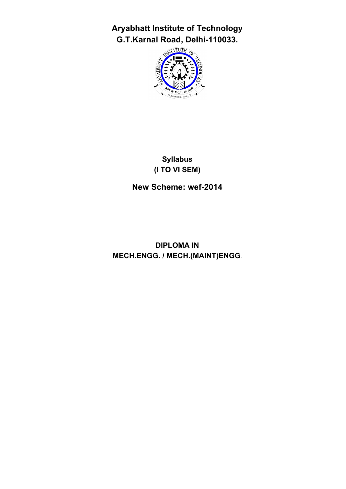**Aryabhatt Institute of Technology G.T.Karnal Road, Delhi-110033.**



# **Syllabus (I TO VI SEM)**

**New Scheme: wef-2014**

**DIPLOMA IN MECH.ENGG. / MECH.(MAINT)ENGG.**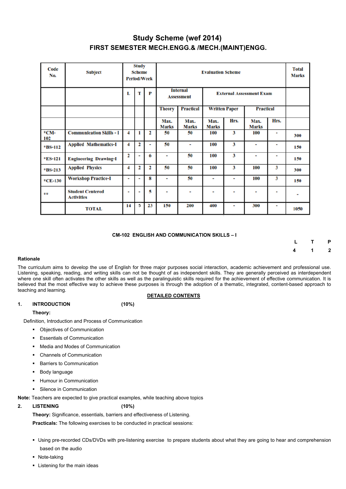# **Study Scheme (wef 2014) FIRST SEMESTER MECH.ENGG.& /MECH.(MAINT)ENGG.**

| Code<br>No.    | <b>Subject</b>                               |                | <b>Study</b><br><b>Scheme</b><br><b>Period/Week</b> |    |                                              | <b>Total</b><br><b>Marks</b>         |                                 |      |                      |                |                |
|----------------|----------------------------------------------|----------------|-----------------------------------------------------|----|----------------------------------------------|--------------------------------------|---------------------------------|------|----------------------|----------------|----------------|
|                |                                              | L              | т                                                   | P  |                                              | <b>Internal</b><br><b>Assessment</b> | <b>External Assessment Exam</b> |      |                      |                |                |
|                |                                              |                |                                                     |    | <b>Practical</b><br><b>Theory</b>            |                                      | <b>Written Paper</b>            |      | <b>Practical</b>     |                |                |
|                |                                              |                |                                                     |    | Max.<br>Max.<br><b>Marks</b><br><b>Marks</b> |                                      | Max.<br><b>Marks</b>            | Hrs. | Max.<br><b>Marks</b> | Hrs.           |                |
| $*CM-$<br>102  | <b>Communication Skills - I</b>              | 4              | 1                                                   | 2  | 50                                           | 50                                   |                                 | 3    | 100                  | ٠              | 300            |
| <b>*BS-112</b> | <b>Applied Mathematics-I</b>                 | 4              | 2                                                   | ٠  | 50                                           | $\blacksquare$                       | 100                             | 3    | $\blacksquare$       | $\blacksquare$ | 150            |
| *ES-121        | <b>Engineering Drawing-I</b>                 | 2              | ٠                                                   | 6  | ۰                                            | 50                                   | 100                             | 3    | ۰                    | $\blacksquare$ | 150            |
| *BS-213        | <b>Applied Physics</b>                       | 4              | 2                                                   | 2  | 50                                           | 50                                   | 100                             | 3    | 100                  | 3              | 300            |
| $*CE-130$      | <b>Workshop Practice-I</b>                   | $\blacksquare$ |                                                     | 8  | $\overline{\phantom{a}}$                     | 50                                   | ۰                               | ۰    | 100                  | 3              | 150            |
| 含含             | <b>Student Centered</b><br><b>Activities</b> |                |                                                     | 5  | ٠<br>۰                                       |                                      | -                               | ۰    | ۰                    | $\blacksquare$ | $\blacksquare$ |
|                | <b>TOTAL</b>                                 | 14             | 5                                                   | 23 | 150                                          | 200                                  | 400                             | ٠    | 300                  | ٠              | 1050           |

#### **CM-102 ENGLISH AND COMMUNICATION SKILLS – I**

 **L T P 4 1 2**

#### **Rationale**

The curriculum aims to develop the use of English for three major purposes social interaction, academic achievement and professional use. Listening, speaking, reading, and writing skills can not be thought of as independent skills. They are generally perceived as interdependent where one skill often activates the other skills as well as the paralinguistic skills required for the achievement of effective communication. It is believed that the most effective way to achieve these purposes is through the adoption of a thematic, integrated, content-based approach to teaching and learning.

#### **DETAILED CONTENTS**

### **1. INTRODUCTION (10%)**

**Theory:**

Definition, Introduction and Process of Communication

- Objectives of Communication
- Essentials of Communication
- Media and Modes of Communication
- Channels of Communication
- Barriers to Communication
- Body language
- § Humour in Communication
- Silence in Communication

**Note:** Teachers are expected to give practical examples, while teaching above topics

**2. LISTENING (10%)** 

**Theory:** Significance, essentials, barriers and effectiveness of Listening.

**Practicals:** The following exercises to be conducted in practical sessions:

- Using pre-recorded CDs/DVDs with pre-listening exercise to prepare students about what they are going to hear and comprehension based on the audio
- Note-taking
- Listening for the main ideas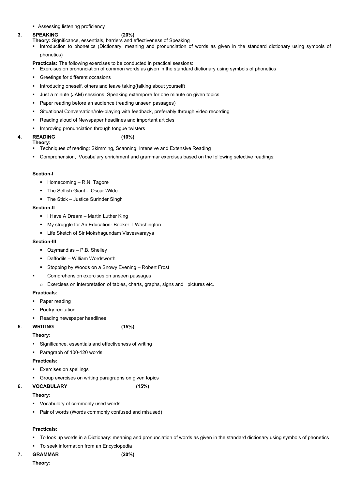■ Assessing listening proficiency

#### **3. SPEAKING (20%)**

**Theory:** Significance, essentials, barriers and effectiveness of Speaking

§ Introduction to phonetics (Dictionary: meaning and pronunciation of words as given in the standard dictionary using symbols of phonetics)

**Practicals:** The following exercises to be conducted in practical sessions:

- Exercises on pronunciation of common words as given in the standard dictionary using symbols of phonetics
- § Greetings for different occasions
- Introducing oneself, others and leave taking (talking about yourself)
- § Just a minute (JAM) sessions: Speaking extempore for one minute on given topics
- § Paper reading before an audience (reading unseen passages)
- Situational Conversation/role-playing with feedback, preferably through video recording
- § Reading aloud of Newspaper headlines and important articles
- **■** Improving pronunciation through tongue twisters

- Techniques of reading: Skimming, Scanning, Intensive and Extensive Reading
- § Comprehension, Vocabulary enrichment and grammar exercises based on the following selective readings:

- Ozymandias P.B. Shelley
- Daffodils William Wordsworth
- Stopping by Woods on a Snowy Evening Robert Frost
- § Comprehension exercises on unseen passages
- o Exercises on interpretation of tables, charts, graphs, signs and pictures etc.

- Paper reading
- Poetry recitation
- Reading newspaper headlines
- **5. WRITING (15%)**

- Significance, essentials and effectiveness of writing
- Paragraph of 100-120 words

## **4. READING (10%)**

**Theory:** 

### **Section-I**

- Homecoming R.N. Tagore
- § The Selfish Giant Oscar Wilde
- The Stick Justice Surinder Singh

### **Section-II**

- I Have A Dream Martin Luther King
- § My struggle for An Education- Booker T Washington
- Life Sketch of Sir Mokshagundam Visvesvarayya

### **Section-III**

### **Practicals:**

### **Theory:**

### **Practicals:**

- 
- § Exercises on spellings
- Group exercises on writing paragraphs on given topics
- **6. VOCABULARY (15%)**

### **Theory:**

- Vocabulary of commonly used words
- Pair of words (Words commonly confused and misused)

#### **Practicals:**

- To look up words in a Dictionary: meaning and pronunciation of words as given in the standard dictionary using symbols of phonetics
- To seek information from an Encyclopedia

## **7. GRAMMAR (20%)**

**Theory:**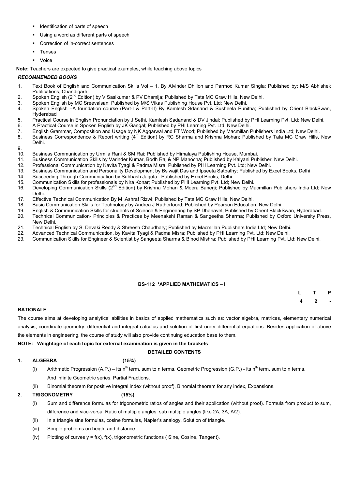- § Identification of parts of speech
- Using a word as different parts of speech
- § Correction of in-correct sentences
- **Tenses**
- § Voice

**Note:** Teachers are expected to give practical examples, while teaching above topics

#### *RECOMMENDED BOOKS*

- 1. Text Book of English and Communication Skills Vol 1, By Alvinder Dhillon and Parmod Kumar Singla; Published by: M/S Abhishek Publications, Chandigarh
- 2. Spoken English (2<sup>nd</sup> Edition) by V Sasikumar & PV Dhamija; Published by Tata MC Graw Hills, New Delhi.
- 3. Spoken English by MC Sreevalsan; Published by M/S Vikas Publishing House Pvt. Ltd; New Delhi.
- 4. Spoken English –A foundation course (Part-I & Part-II) By Kamlesh Sdanand & Susheela Punitha; Published by Orient BlackSwan, Hyderabad
- 5. Practical Course in English Pronunciation by J Sethi, Kamlesh Sadanand & DV Jindal; Published by PHI Learning Pvt. Ltd; New Delhi.
- 6. A Practical Course in Spoken English by JK Gangal; Published by PHI Learning Pvt. Ltd; New Delhi.
- 7. English Grammar, Composition and Usage by NK Aggarwal and FT Wood; Published by Macmillan Publishers India Ltd; New Delhi.
- 8. Business Correspondence & Report writing (4<sup>th</sup> Edition) by RC Sharma and Krishna Mohan; Published by Tata MC Graw Hills, New Delhi.

9.

- (i) Sum and difference formulas for trigonometric ratios of angles and their application (without proof). Formula from product to sum, difference and vice-versa. Ratio of multiple angles, sub multiple angles (like 2A, 3A, A/2).
- (ii) In a triangle sine formulas, cosine formulas, Napier's analogy. Solution of triangle.
- (iii) Simple problems on height and distance.
- (iv) Plotting of curves  $y = f(x)$ ,  $f(x)$ , trigonometric functions (Sine, Cosine, Tangent).
- 10. Business Communication by Urmila Rani & SM Rai; Published by Himalaya Publishing House, Mumbai.
- 11. Business Communication Skills by Varinder Kumar, Bodh Raj & NP Manocha; Published by Kalyani Publisher, New Delhi.
- 12. Professional Communication by Kavita Tyagi & Padma Misra; Published by PHI Learning Pvt. Ltd; New Delhi.
- 13. Business Communication and Personality Development by Bsiwajit Das and Ipseeta Satpathy; Published by Excel Books, Delhi
- 14. Succeeding Through Communication by Subhash Jagota; Published by Excel Books, Delhi
- 15. Communication Skills for professionals by Nira Konar; Published by PHI Learning Pvt. Ltd; New Delhi.
- 16. Developing Communication Skills (2<sup>nd</sup> Edition) by Krishna Mohan & Meera Banerji; Published by Macmillan Publishers India Ltd; New Delhi.
- 17. Effective Technical Communication By M .Ashraf Rizwi; Published by Tata MC Graw Hills, New Delhi.
- 18. Basic Communication Skills for Technology by Andrea J Rutherfoord; Published by Pearson Education, New Delhi
- 19. English & Communication Skills for students of Science & Engineering by SP Dhanavel; Published by Orient BlackSwan, Hyderabad.
- 20. Technical Communication- Principles & Practices by Meenakshi Raman & Sangeetha Sharma; Published by Oxford University Press, New Delhi.
- 21. Technical English by S. Devaki Reddy & Shreesh Chaudhary; Published by Macmillan Publishers India Ltd; New Delhi.
- 22. Advanced Technical Communication, by Kavita Tyagi & Padma Misra; Published by PHI Learning Pvt. Ltd; New Delhi.
- 23. Communication Skills for Engineer & Scientist by Sangeeta Sharma & Binod Mishra; Published by PHI Learning Pvt. Ltd; New Delhi.

### **BS-112 \*APPLIED MATHEMATICS – I**

| $\mathsf{L}$ | $\mathbf{T}$            | P              |
|--------------|-------------------------|----------------|
| 4            | $\overline{\mathbf{2}}$ | $\overline{a}$ |

### **RATIONALE**

The course aims at developing analytical abilities in basics of applied mathematics such as: vector algebra, matrices, elementary numerical analysis, coordinate geometry, differential and integral calculus and solution of first order differential equations. Besides application of above the elements in engineering, the course of study will also provide continuing education base to them.

#### **NOTE: Weightage of each topic for external examination is given in the brackets**

### **DETAILED CONTENTS**

#### **1. ALGEBRA (15%)**

Arithmetic Progression (A.P.) – its n<sup>th</sup> term, sum to n terms. Geometric Progression (G.P.) - its n<sup>th</sup> term, sum to n terms.

- And infinite Geometric series. Partial Fractions.
- (ii) Binomial theorem for positive integral index (without proof), Binomial theorem for any index, Expansions.

## **2. TRIGONOMETRY (15%)**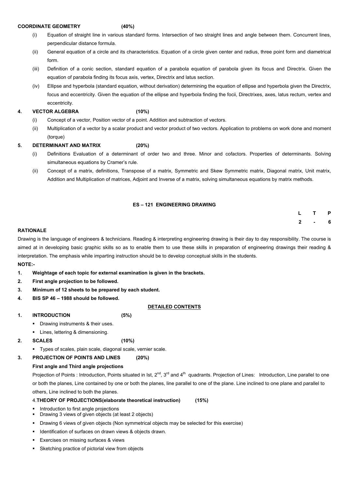#### **COORDINATE GEOMETRY (40%)**

- (i) Equation of straight line in various standard forms. Intersection of two straight lines and angle between them. Concurrent lines, perpendicular distance formula.
- (ii) General equation of a circle and its characteristics. Equation of a circle given center and radius, three point form and diametrical form.
- (iii) Definition of a conic section, standard equation of a parabola equation of parabola given its focus and Directrix. Given the equation of parabola finding its focus axis, vertex, Directrix and latus section.
- (iv) Ellipse and hyperbola (standard equation, without derivation) determining the equation of ellipse and hyperbola given the Directrix, focus and eccentricity. Given the equation of the ellipse and hyperbola finding the focii, Directrixes, axes, latus rectum, vertex and eccentricity.

### **4. VECTOR ALGEBRA (10%)**

- (i) Concept of a vector, Position vector of a point. Addition and subtraction of vectors.
- (ii) Multiplication of a vector by a scalar product and vector product of two vectors. Application to problems on work done and moment (torque)

#### **5. DETERMINANT AND MATRIX (20%)**

- Drawing instruments & their uses.
- Lines, lettering & dimensioning.
- **2. SCALES (10%)**
	- § Types of scales, plain scale, diagonal scale, vernier scale.
- **3. PROJECTION OF POINTS AND LINES (20%)**
- (i) Definitions Evaluation of a determinant of order two and three. Minor and cofactors. Properties of determinants. Solving simultaneous equations by Cramer's rule.
- (ii) Concept of a matrix, definitions, Transpose of a matrix, Symmetric and Skew Symmetric matrix, Diagonal matrix, Unit matrix, Addition and Multiplication of matrices, Adjoint and Inverse of a matrix, solving simultaneous equations by matrix methods.

#### **ES – 121 ENGINEERING DRAWING**

|  | L T P   |  |
|--|---------|--|
|  | $2 - 6$ |  |

#### **RATIONALE**

Drawing is the language of engineers & technicians. Reading & interpreting engineering drawing is their day to day responsibility. The course is aimed at in developing basic graphic skills so as to enable them to use these skills in preparation of engineering drawings their reading & interpretation. The emphasis while imparting instruction should be to develop conceptual skills in the students.

#### **NOTE:-**

- **1. Weightage of each topic for external examination is given in the brackets.**
- **2. First angle projection to be followed.**
- **3. Minimum of 12 sheets to be prepared by each student.**
- **4. BIS SP 46 – 1988 should be followed.**

#### **DETAILED CONTENTS**

**1. INTRODUCTION (5%)**

#### **First angle and Third angle projections**

Projection of Points : Introduction, Points situated in Ist, 2<sup>nd</sup>, 3<sup>rd</sup> and 4<sup>th</sup> quadrants. Projection of Lines: Introduction, Line parallel to one

or both the planes, Line contained by one or both the planes, line parallel to one of the plane. Line inclined to one plane and parallel to others, Line inclined to both the planes.

#### 4.**THEORY OF PROJECTIONS(elaborate theoretical instruction) (15%)**

- Introduction to first angle projections
- Drawing 3 views of given objects (at least 2 objects)
- § Drawing 6 views of given objects (Non symmetrical objects may be selected for this exercise)
- Identification of surfaces on drawn views & objects drawn.
- Exercises on missing surfaces & views
- Sketching practice of pictorial view from objects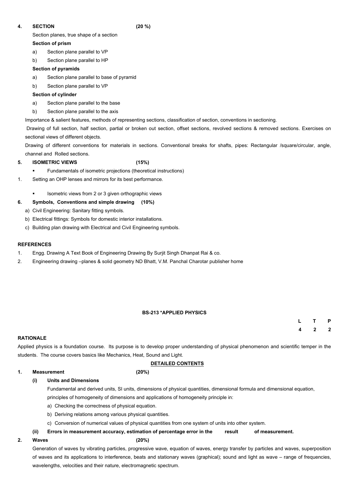## **4. SECTION (20 %)**

Section planes, true shape of a section

## **Section of prism**

- a) Section plane parallel to VP
- b) Section plane parallel to HP

## **Section of pyramids**

- a) Section plane parallel to base of pyramid
- b) Section plane parallel to VP

## **Section of cylinder**

- a) Section plane parallel to the base
- b) Section plane parallel to the axis

Importance & salient features, methods of representing sections, classification of section, conventions in sectioning.

- Fundamentals of isometric projections (theoretical instructions)
- 1. Setting an OHP lenses and mirrors for its best performance.
	- § Isometric views from 2 or 3 given orthographic views

Drawing of full section, half section, partial or broken out section, offset sections, revolved sections & removed sections. Exercises on sectional views of different objects.

Drawing of different conventions for materials in sections. Conventional breaks for shafts, pipes: Rectangular /square/circular, angle, channel and Rolled sections.

## **5. ISOMETRIC VIEWS (15%)**

## **6. Symbols, Conventions and simple drawing (10%)**

- a) Civil Engineering: Sanitary fitting symbols.
- b) Electrical fittings: Symbols for domestic interior installations.
- c) Building plan drawing with Electrical and Civil Engineering symbols.

## **REFERENCES**

- 1. Engg. Drawing A Text Book of Engineering Drawing By Surjit Singh Dhanpat Rai & co.
- 2. Engineering drawing –planes & solid geometry ND Bhatt, V.M. Panchal Charotar publisher home

## **BS-213 \*APPLIED PHYSICS**

| L | T              | $\mathsf{P}$ |
|---|----------------|--------------|
| 4 | $\overline{2}$ | $\mathbf 2$  |

### **RATIONALE**

Applied physics is a foundation course. Its purpose is to develop proper understanding of physical phenomenon and scientific temper in the students. The course covers basics like Mechanics, Heat, Sound and Light.

## **DETAILED CONTENTS**

#### **1. Measurement (20%)**

## **(i) Units and Dimensions**

Fundamental and derived units, SI units, dimensions of physical quantities, dimensional formula and dimensional equation,

principles of homogeneity of dimensions and applications of homogeneity principle in:

- a) Checking the correctness of physical equation.
- b) Deriving relations among various physical quantities.
- c) Conversion of numerical values of physical quantities from one system of units into other system.
- **(ii) Errors in measurement accuracy, estimation of percentage error in the result of measurement.**

## **2. Waves (20%)**

Generation of waves by vibrating particles, progressive wave, equation of waves, energy transfer by particles and waves, superposition of waves and its applications to interference, beats and stationary waves (graphical); sound and light as wave – range of frequencies, wavelengths, velocities and their nature, electromagnetic spectrum.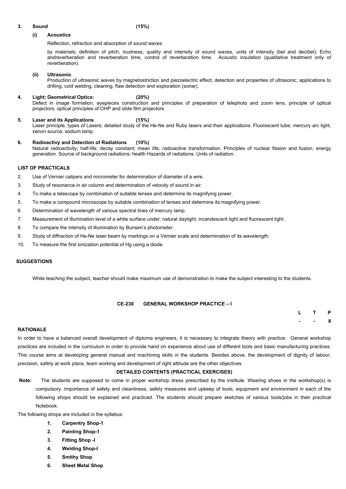#### **3. Sound (15%)**

#### **(i) Acoustics**

Reflection, refraction and absorption of sound waves

by materials; definition of pitch, loudness, quality and intensity of sound waves, units of intensity (bel and decibel); Echo andreverberation and reverberation time, control of reverberation time. Acoustic insulation (qualitative treatment only of reverberation).

#### **(ii) Ultrasonic**

Production of ultrasonic waves by magnetostriction and piezoelectric effect, detection and properties of ultrasonic; applications to drilling, cold welding, cleaning, flaw detection and exploration (sonar).

#### **4. Light; Geometrical Optics: (20%)** Defect in image formation, eyepieces construction and principles of preparation of telephoto and zoom lens, principle of optical projectors, optical principles of OHP and slide film projectors.

### **5. Laser and its Applications (15%)** Laser principle, types of Lasers; detailed study of the He-Ne and Ruby lasers and their applications. Fluorescent tube; mercury arc light, xenon source, sodium lamp.

#### **6. Radioactivy and Detection of Radiations (10%)** Natural radioactivity; half-life; decay constant; mean life; radioactive transformation. Principles of nuclear fission and fusion; energy generation. Source of background radiations; health Hazards of radiations. Units of radiation.

#### **LIST OF PRACTICALS**

- 2. Use of Vernier calipers and micrometer for determination of diameter of a wire.
- 3. Study of resonance in air column and determination of velocity of sound in air.
- 4. To make a telescope by combination of suitable lenses and determine its magnifying power.
- 5. To make a compound microscope by suitable combination of lenses and determine its magnifying power.
- 6. Determination of wavelength of various spectral lines of mercury lamp.
- 7. Measurement of illumination level of a white surface under: natural daylight, incandescent light and fluorescent light.
- 8. To compare the intensity of illumination by Bunsen's photometer.
- 9. Study of diffraction of He-Ne laser beam by markings on a Vernier scale and determination of its wavelength.
- 10. To measure the first ionization potential of Hg using a diode.

#### **SUGGESTIONS**

While teaching the subject, teacher should make maximum use of demonstration to make the subject interesting to the students.

#### **CE-230 GENERAL WORKSHOP PRACTICE – I**

| L | T. | P |
|---|----|---|
|   |    | 8 |

#### **RATIONALE**

In order to have a balanced overall development of diploma engineers, it is necessary to integrate theory with practice. General workshop practices are included in the curriculum in order to provide hand on experience about use of different tools and basic manufacturing practices. This course aims at developing general manual and machining skills in the students. Besides above, the development of dignity of labour, precision, safety at work place, team working and development of right attitude are the other objectives.

#### **DETAILED CONTENTS (PRACTICAL EXERCISES)**

**Note:** The students are supposed to come in proper workshop dress prescribed by the institute. Wearing shoes in the workshop(s) is compulsory. Importance of safety and cleanliness, safety measures and upkeep of tools, equipment and environment in each of the following shops should be explained and practiced. The students should prepare sketches of various tools/jobs in their practical Notebook.

The following shops are included in the syllabus:

- **1. Carpentry Shop-1**
- **2. Painting Shop-1**
- **3. Fitting Shop -I**
- **4. Welding Shop-I**
- **5. Smithy Shop**
- **6. Sheet Metal Shop**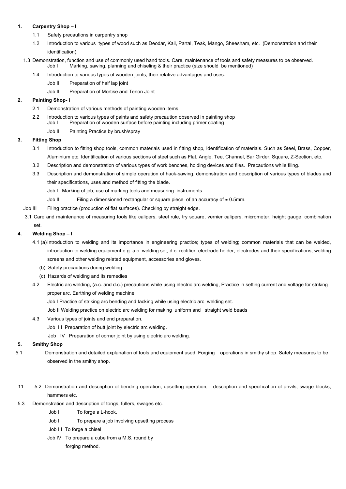#### **1. Carpentry Shop – I**

- 1.1 Safety precautions in carpentry shop
- 1.2 Introduction to various types of wood such as Deodar, Kail, Partal, Teak, Mango, Sheesham, etc. (Demonstration and their identification).
- 1.3 Demonstration, function and use of commonly used hand tools. Care, maintenance of tools and safety measures to be observed. Job I Marking, sawing, planning and chiseling & their practice (size should be mentioned)
	- 1.4 Introduction to various types of wooden joints, their relative advantages and uses.
		- Job II Preparation of half lap joint
		- Job III Preparation of Mortise and Tenon Joint

#### **2. Painting Shop- I**

- 2.1 Demonstration of various methods of painting wooden items.
- 2.2 Introduction to various types of paints and safety precaution observed in painting shop Job I Preparation of wooden surface before painting including primer coating
	- Job II Painting Practice by brush/spray

### **3. Fitting Shop**

- 3.1 Introduction to fitting shop tools, common materials used in fitting shop, Identification of materials. Such as Steel, Brass, Copper, Aluminium etc. Identification of various sections of steel such as Flat, Angle, Tee, Channel, Bar Girder, Square, Z-Section, etc.
- 3.2 Description and demonstration of various types of work benches, holding devices and files. Precautions while filing.
- 3.3 Description and demonstration of simple operation of hack-sawing, demonstration and description of various types of blades and their specifications, uses and method of fitting the blade.
	- Job I Marking of job, use of marking tools and measuring instruments.
	- Job II Filing a dimensioned rectangular or square piece of an accuracy of  $\pm$  0.5mm.
- Job III Filing practice (production of flat surfaces). Checking by straight edge.
- 3.1 Care and maintenance of measuring tools like calipers, steel rule, try square, vernier calipers, micrometer, height gauge, combination set.

### **4. Welding Shop – I**

- 4.1 (a)Introduction to welding and its importance in engineering practice; types of welding; common materials that can be welded, introduction to welding equipment e.g. a.c. welding set, d.c. rectifier, electrode holder, electrodes and their specifications, welding screens and other welding related equipment, accessories and gloves.
	- (b) Safety precautions during welding
	- (c) Hazards of welding and its remedies
- 4.2 Electric arc welding, (a.c. and d.c.) precautions while using electric arc welding, Practice in setting current and voltage for striking proper arc. Earthing of welding machine.
	- Job I Practice of striking arc bending and tacking while using electric arc welding set.
	- Job II Welding practice on electric arc welding for making uniform and straight weld beads
- 4.3 Various types of joints and end preparation.
	- Job III Preparation of butt joint by electric arc welding.
	- Job IV Preparation of corner joint by using electric arc welding.

#### **5. Smithy Shop**

- 5.1 Demonstration and detailed explanation of tools and equipment used. Forging operations in smithy shop. Safety measures to be observed in the smithy shop.
- 11 5.2 Demonstration and description of bending operation, upsetting operation, description and specification of anvils, swage blocks, hammers etc.
- 5.3 Demonstration and description of tongs, fullers, swages etc.

Job I To forge a L-hook.

Job II To prepare a job involving upsetting process

Job III To forge a chisel

Job IV To prepare a cube from a M.S. round by

forging method.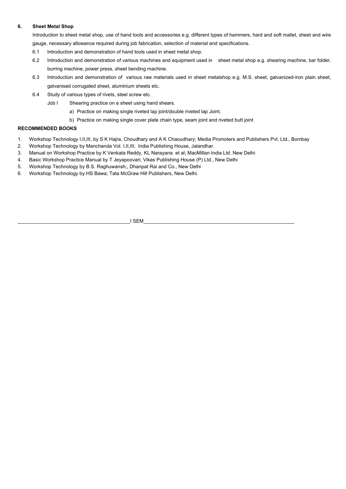#### **6. Sheet Metal Shop**

Introduction to sheet metal shop, use of hand tools and accessories e.g. different types of hammers, hard and soft mallet, sheet and wire gauge, necessary allowance required during job fabrication, selection of material and specifications.

- 6.1 Introduction and demonstration of hand tools used in sheet metal shop.
- 6.2 Introduction and demonstration of various machines and equipment used in sheet metal shop e.g. shearing machine, bar folder, burring machine, power press, sheet bending machine.
- 6.3 Introduction and demonstration of various raw materials used in sheet metalshop e.g. M.S. sheet, galvanized-iron plain sheet, galvanised corrugated sheet, aluminium sheets etc.
- 6.4 Study of various types of rivets, steel screw etc.
	- Job I Shearing practice on a sheet using hand shears.
		- a) Practice on making single riveted lap joint/double riveted lap Joint.
		- b) Practice on making single cover plate chain type, seam joint and riveted butt joint

## **RECOMMENDED BOOKS**

- 1. Workshop Technology I,II,III, by S K Hajra, Choudhary and A K Chaoudhary; Media Promoters and Publishers Pvt. Ltd., Bombay
- 2. Workshop Technology by Manchanda Vol. I,II,III; India Publishing House, Jalandhar.
- 3. Manual on Workshop Practice by K Venkata Reddy, KL Narayana et al; MacMillan India Ltd. New Delhi
- 4. Basic Workshop Practice Manual by T Jeyapoovan; Vikas Publishing House (P) Ltd., New Delhi
- 5. Workshop Technology by B.S. Raghuwansh;, Dhanpat Rai and Co., New Delhi
- 6. Workshop Technology by HS Bawa; Tata McGraw Hill Publishers, New Delhi.

\_\_\_\_\_\_\_\_\_\_\_\_\_\_\_\_\_\_\_\_\_\_\_\_\_\_\_\_\_\_\_\_\_\_\_\_\_\_\_\_\_I SEM\_\_\_\_\_\_\_\_\_\_\_\_\_\_\_\_\_\_\_\_\_\_\_\_\_\_\_\_\_\_\_\_\_\_\_\_\_\_\_\_\_\_\_\_\_\_\_\_\_\_\_\_\_\_\_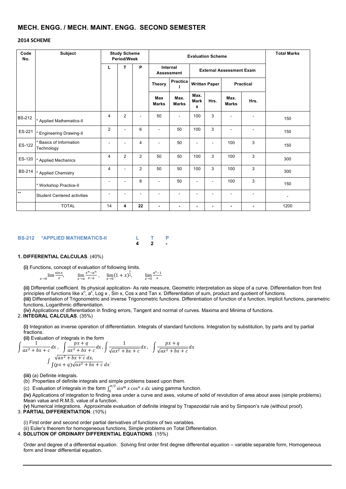## **MECH. ENGG. / MECH. MAINT. ENGG. SECOND SEMESTER**

#### **2014 SCHEME**

#### **BS-212 \*APPLIED MATHEMATICS-II L T P 4 2 -**

#### **1. DIFFERENTIAL CALCULAS**. (40%)

**(i)** Functions, concept of evaluation of following limits.

$$
\lim_{x \to 0} \frac{\sin x}{x}, \qquad \lim_{x \to a} \frac{x^n - a^n}{x - a}, \qquad \lim_{x \to 0} (1 + x)^{\frac{1}{x}}, \qquad \lim_{x \to 0} \frac{a^x - 1}{x}
$$

**(ii)** Differential coefficient. Its physical application- As rate measure, Geometric interpretation as slope of a curve. Differentiation from first principles of functions like  $x^n$ ,  $a^x$ , Log x, Sin x, Cos x and Tan x. Differentiation of sum, product and quotient of functions. **(iii)** Differentiation of Trigonometric and inverse Trigonometric functions. Differentiation of function of a function, Implicit functions, parametric functions, Logarithmic differentiation.

**(iv)** Applications of differentiation in finding errors, Tangent and normal of curves. Maxima and Minima of functions.

#### 2. **INTEGRAL CALCULAS**. (35%)

**(i)** Integration as inverse operation of differentiation. Integrals of standard functions. Integration by substitution, by parts and by partial fractions.

**(ii)** Evaluation of integrals in the form

$$
\int \frac{1}{ax^2 + bx + c} dx, \quad \int \frac{px + q}{ax^2 + bx + c} dx, \quad \int \frac{1}{\sqrt{ax^2 + bx + c}} dx, \quad \int \frac{px + q}{\sqrt{ax^2 + bx + c}} dx
$$

$$
\int \frac{\sqrt{ax^2 + bx + c}}{\int (px + q)\sqrt{ax^2 + bx + c}} dx
$$

**(iii)** (a) Definite integrals.

(b) Properties of definite integrals and simple problems based upon them.

(c) Evaluation of integrals in the form  $\int_0^{\pi/2} \sin^m x \cos^n x \, dx$  using gamma function.

**(iv)** Applications of integration to finding area under a curve and axes, volume of solid of revolution of area about axes (simple problems). Mean value and R.M.S. value of a function.

**(v)** Numerical integrations. Approximate evaluation of definite integral by Trapezoidal rule and by Simpson's rule (without proof). 3. **PARTIAL DIFFERENTIATION**. (10%)

(i) First order and second order partial derivatives of functions of two variables. (ii) Euler's theorem for homogeneous functions, Simple problems on Total Differentiation. 4. **SOLUTION OF ORDINARY DIFFERENTIAL EQUATIONS**. (15%)

Order and degree of a differential equation. Solving first order first degree differential equation – variable separable form, Homogeneous form and linear differential equation.

| Code<br>No.   | <b>Subject</b>                             |                          | <b>Study Scheme</b><br><b>Period/Week</b> |                          |                                                          | <b>Evaluation Scheme</b>             | <b>Total Marks</b>       |                                 |                          |                          |      |
|---------------|--------------------------------------------|--------------------------|-------------------------------------------|--------------------------|----------------------------------------------------------|--------------------------------------|--------------------------|---------------------------------|--------------------------|--------------------------|------|
|               |                                            | L                        | т                                         | P                        |                                                          | <b>Internal</b><br><b>Assessment</b> |                          | <b>External Assessment Exam</b> |                          |                          |      |
|               |                                            |                          |                                           |                          | <b>Practica</b><br><b>Written Paper</b><br><b>Theory</b> |                                      |                          |                                 | <b>Practical</b>         |                          |      |
|               |                                            |                          |                                           |                          | <b>Max</b><br><b>Marks</b>                               | Max.<br><b>Marks</b>                 | Max.<br><b>Mark</b><br>S | Hrs.                            | Max.<br><b>Marks</b>     | Hrs.                     |      |
| <b>BS-212</b> | * Applied Mathematics-II                   | $\overline{4}$           | $\overline{2}$                            |                          | 50                                                       | $\blacksquare$                       | 100                      | 3                               |                          |                          | 150  |
| ES-221        | * Engineering Drawing-II                   | $\overline{2}$           | $\blacksquare$                            | $6\phantom{1}6$          | $\overline{\phantom{a}}$                                 | 50                                   | 100                      | 3                               | $\overline{\phantom{a}}$ | $\overline{\phantom{a}}$ | 150  |
| ES-122        | <b>Basics of Information</b><br>Technology | $\overline{\phantom{a}}$ |                                           | 4                        | $\overline{\phantom{a}}$                                 | 50                                   | -                        | -                               | 100                      | $\sqrt{3}$               | 150  |
| ES-120        | * Applied Mechanics                        | $\overline{4}$           | $\overline{2}$                            | $\overline{2}$           | 50                                                       | 50                                   | 100                      | $\overline{3}$                  | 100                      | $\mathfrak{S}$           | 300  |
| <b>BS-214</b> | * Applied Chemistry                        | 4                        | $\overline{\phantom{a}}$                  | $\overline{2}$           | 50                                                       | 50                                   | 100                      | 3                               | 100                      | $\sqrt{3}$               | 300  |
|               | * Workshop Practice-II                     | $\overline{\phantom{a}}$ | $\overline{\phantom{a}}$                  | 8                        | $\overline{\phantom{a}}$                                 | 50                                   | -                        | $\overline{\phantom{0}}$        | 100                      | $\mathfrak{S}$           | 150  |
| $\star\star$  | <b>Student Centered activities</b>         | $\overline{\phantom{a}}$ |                                           | $\overline{\phantom{a}}$ |                                                          | $\overline{\phantom{0}}$             | $\overline{\phantom{0}}$ |                                 | $\overline{\phantom{a}}$ | $\blacksquare$           |      |
|               | <b>TOTAL</b>                               | 14                       | 4                                         | 22                       | $\blacksquare$                                           | $\blacksquare$                       | ۰                        | ۰                               | $\blacksquare$           | $\blacksquare$           | 1200 |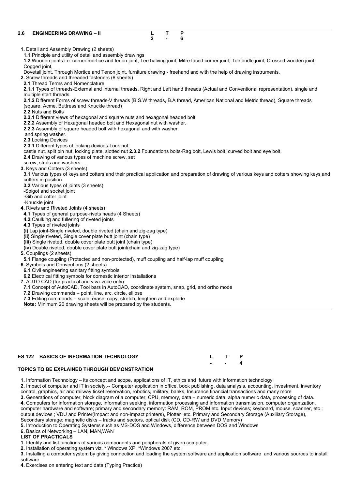| 2.6 | <b>ENGINEERING DRAWING - II</b>                                                                                               | L              | T | P |                                                                                                                                               |
|-----|-------------------------------------------------------------------------------------------------------------------------------|----------------|---|---|-----------------------------------------------------------------------------------------------------------------------------------------------|
|     |                                                                                                                               | $\overline{2}$ |   | 6 |                                                                                                                                               |
|     |                                                                                                                               |                |   |   |                                                                                                                                               |
|     | 1. Detail and Assembly Drawing (2 sheets)                                                                                     |                |   |   |                                                                                                                                               |
|     | 1.1 Principle and utility of detail and assembly drawings                                                                     |                |   |   |                                                                                                                                               |
|     |                                                                                                                               |                |   |   | 1.2 Wooden joints i.e. corner mortice and tenon joint, Tee halving joint, Mitre faced corner joint, Tee bridle joint, Crossed wooden joint,   |
|     | Cogged joint,                                                                                                                 |                |   |   |                                                                                                                                               |
|     | Dovetail joint, Through Mortice and Tenon joint, furniture drawing - freehand and with the help of drawing instruments.       |                |   |   |                                                                                                                                               |
|     | 2. Screw threads and threaded fasteners (8 sheets)                                                                            |                |   |   |                                                                                                                                               |
|     | 2.1 Thread Terms and Nomenclature                                                                                             |                |   |   |                                                                                                                                               |
|     |                                                                                                                               |                |   |   | 2.1.1 Types of threads-External and Internal threads, Right and Left hand threads (Actual and Conventional representation), single and        |
|     | multiple start threads.                                                                                                       |                |   |   |                                                                                                                                               |
|     |                                                                                                                               |                |   |   | 2.1.2 Different Forms of screw threads-V threads (B.S.W threads, B.A thread, American National and Metric thread), Square threads             |
|     | (square, Acme, Buttress and Knuckle thread)                                                                                   |                |   |   |                                                                                                                                               |
|     | 2.2 Nuts and Bolts                                                                                                            |                |   |   |                                                                                                                                               |
|     | 2.2.1 Different views of hexagonal and square nuts and hexagonal headed bolt                                                  |                |   |   |                                                                                                                                               |
|     | 2.2.2 Assembly of Hexagonal headed bolt and Hexagonal nut with washer.                                                        |                |   |   |                                                                                                                                               |
|     | 2.2.3 Assembly of square headed bolt with hexagonal and with washer.                                                          |                |   |   |                                                                                                                                               |
|     | and spring washer.                                                                                                            |                |   |   |                                                                                                                                               |
|     | 2.3 Locking Devices                                                                                                           |                |   |   |                                                                                                                                               |
|     | 2.3.1 Different types of locking devices-Lock nut,                                                                            |                |   |   |                                                                                                                                               |
|     | castle nut, split pin nut, locking plate, slotted nut 2.3.2 Foundations bolts-Rag bolt, Lewis bolt, curved bolt and eye bolt. |                |   |   |                                                                                                                                               |
|     | 2.4 Drawing of various types of machine screw, set                                                                            |                |   |   |                                                                                                                                               |
|     | screw, studs and washers.                                                                                                     |                |   |   |                                                                                                                                               |
|     | 3. Keys and Cotters (3 sheets)                                                                                                |                |   |   |                                                                                                                                               |
|     |                                                                                                                               |                |   |   | 3.1 Various types of keys and cotters and their practical application and preparation of drawing of various keys and cotters showing keys and |
|     | cotters in position                                                                                                           |                |   |   |                                                                                                                                               |
|     | 3.2 Various types of joints (3 sheets)                                                                                        |                |   |   |                                                                                                                                               |
|     | -Spigot and socket joint                                                                                                      |                |   |   |                                                                                                                                               |
|     | -Gib and cotter joint<br>-Knuckle joint                                                                                       |                |   |   |                                                                                                                                               |
|     | 4. Rivets and Riveted Joints (4 sheets)                                                                                       |                |   |   |                                                                                                                                               |
|     | 4.1 Types of general purpose-rivets heads (4 Sheets)                                                                          |                |   |   |                                                                                                                                               |
|     | 4.2 Caulking and fullering of riveted joints                                                                                  |                |   |   |                                                                                                                                               |
|     | 4.3 Types of riveted joints                                                                                                   |                |   |   |                                                                                                                                               |
|     | (i) Lap joint-Single riveted, double riveted (chain and zig-zag type)                                                         |                |   |   |                                                                                                                                               |
|     | (ii) Single riveted, Single cover plate butt joint (chain type)                                                               |                |   |   |                                                                                                                                               |
|     | (iii) Single riveted, double cover plate butt joint (chain type)                                                              |                |   |   |                                                                                                                                               |
|     | (iv) Double riveted, double cover plate butt joint (chain and zig-zag type)                                                   |                |   |   |                                                                                                                                               |
|     | 5. Couplings (2 sheets)                                                                                                       |                |   |   |                                                                                                                                               |
|     | 5.1 Flange coupling (Protected and non-protected), muff coupling and half-lap muff coupling                                   |                |   |   |                                                                                                                                               |
|     | 6. Symbols and Conventions (2 sheets)                                                                                         |                |   |   |                                                                                                                                               |
|     | 6.1 Civil engineering sanitary fitting symbols                                                                                |                |   |   |                                                                                                                                               |
|     | 6.2 Electrical fitting symbols for domestic interior installations                                                            |                |   |   |                                                                                                                                               |
|     | 7. AUTO CAD (for practical and viva-voce only)                                                                                |                |   |   |                                                                                                                                               |
|     | 7.1 Concept of AutoCAD, Tool bars in AutoCAD, coordinate system, snap, grid, and ortho mode                                   |                |   |   |                                                                                                                                               |
|     | 7.2 Drawing commands – point, line, arc, circle, ellipse                                                                      |                |   |   |                                                                                                                                               |
|     | 7.3 Editing commands – scale, erase, copy, stretch, lengthen and explode                                                      |                |   |   |                                                                                                                                               |
|     | Note: Minimum 20 drawing sheets will be prepared by the students.                                                             |                |   |   |                                                                                                                                               |
|     |                                                                                                                               |                |   |   |                                                                                                                                               |

| ES 122 BASICS OF INFORMATION TECHNOLOGY | L T P  |  |
|-----------------------------------------|--------|--|
|                                         | $ -$ 4 |  |

#### **TOPICS TO BE EXPLAINED THROUGH DEMONSTRATION**

**1.** Information Technology – its concept and scope, applications of IT, ethics and future with information technology **2.** Impact of computer and IT in society.-- Computer application in office, book publishing, data analysis, accounting, investment, inventory control, graphics, air and railway ticket reservation, robotics, military, banks, Insurance financial transactions and many more **3.** Generations of computer, block diagram of a computer, CPU, memory, data – numeric data, alpha numeric data, processing of data. **4.** Computers for information storage, information seeking, information processing and information transmission, computer organization, computer hardware and software; primary and secondary memory: RAM, ROM, PROM etc. Input devices; keyboard, mouse, scanner, etc ; output devices ; VDU and Printer(Impact and non-Impact printers), Plotter etc. Primary and Secondary Storage (Auxiliary Storage), Secondary storage; magnetic disks – tracks and sectors, optical disk (CD, CD-RW and DVD Memory) **5.** Introduction to Operating Systems such as MS-DOS and Windows, difference between DOS and Windows **6.** Basics of Networking – LAN, MAN,WAN

## **LIST OF PRACTICALS**

**1.** Identify and list functions of various components and peripherals of given computer.

**2.** Installation of operating system viz. \* Windows XP, \*Windows 2007 etc.

**3.** Installing a computer system by giving connection and loading the system software and application software and various sources to install software

**4.** Exercises on entering text and data (Typing Practice)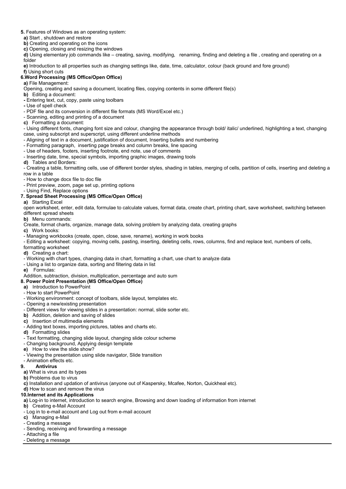- **5.** Features of Windows as an operating system:
- **a)** Start , shutdown and restore
- **b)** Creating and operating on the icons
- **c)** Opening, closing and resizing the windows

**d)** Using elementary job commands like – creating, saving, modifying, renaming, finding and deleting a file , creating and operating on a folder

**e)** Introduction to all properties such as changing settings like, date, time, calculator, colour (back ground and fore ground)

**f)** Using short cuts

## **6.Word Processing (MS Office/Open Office)**

**a)** File Management:

- Opening, creating and saving a document, locating files, copying contents in some different file(s)
- **b)** Editing a document:
- **-** Entering text, cut, copy, paste using toolbars
- **-** Use of spell check
- PDF file and its conversion in different file formats (MS Word/Excel etc.)
- Scanning, editing and printing of a document
- **c)** Formatting a document:

- Using different fonts, changing font size and colour, changing the appearance through bold/ italic/ underlined, highlighting a text, changing case, using subscript and superscript, using different underline methods

- Aligning of text in a document, justification of document, Inserting bullets and numbering
- Formatting paragraph, inserting page breaks and column breaks, line spacing
- Use of headers, footers, inserting footnote, end note, use of comments
- Inserting date, time, special symbols, importing graphic images, drawing tools

**d)** Tables and Borders:

- Creating a table, formatting cells, use of different border styles, shading in tables, merging of cells, partition of cells, inserting and deleting a row in a table

- How to change docx file to doc file
- Print preview, zoom, page set up, printing options
- Using Find, Replace options

## **7. Spread Sheet Processing (MS Office/Open Office)**

**a)** Starting Excel

open worksheet, enter, edit data, formulae to calculate values, format data, create chart, printing chart, save worksheet, switching between different spread sheets

**b)** Menu commands:

Create, format charts, organize, manage data, solving problem by analyzing data, creating graphs

**c)** Work books:

- Managing workbooks (create, open, close, save, rename), working in work books

- Editing a worksheet: copying, moving cells, pasting, inserting, deleting cells, rows, columns, find and replace text, numbers of cells, formatting worksheet

- **d)** Creating a chart:
- Working with chart types, changing data in chart, formatting a chart, use chart to analyze data
- Using a list to organize data, sorting and filtering data in list
- **e)** Formulas:

Addition, subtraction, division, multiplication, percentage and auto sum

## **8. Power Point Presentation (MS Office/Open Office)**

- **a)** Introduction to PowerPoint
- How to start PowerPoint
- Working environment: concept of toolbars, slide layout, templates etc.
- Opening a new/existing presentation
- Different views for viewing slides in a presentation: normal, slide sorter etc.
- **b)** Addition, deletion and saving of slides
- **c)** Insertion of multimedia elements
- Adding text boxes, importing pictures, tables and charts etc.
- **d)** Formatting slides
- Text formatting, changing slide layout, changing slide colour scheme
- Changing background, Applying design template
- **e)** How to view the slide show?
- Viewing the presentation using slide navigator, Slide transition
- Animation effects etc.

#### **9. Antivirus**

**a)** What is virus and its types

**b)** Problems due to virus

**c)** Installation and updation of antivirus (anyone out of Kaspersky, Mcafee, Norton, Quickheal etc).

**d)** How to scan and remove the virus

### **10.Internet and its Applications**

**a)** Log-in to internet, introduction to search engine, Browsing and down loading of information from internet

**b)** Creating e-Mail Account

- Log in to e-mail account and Log out from e-mail account
- **c)** Managing e-Mail
- Creating a message
- Sending, receiving and forwarding a message
- Attaching a file
- Deleting a message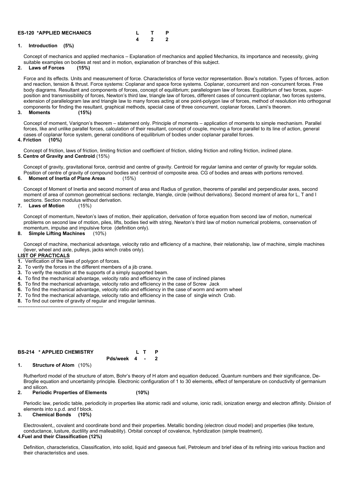| <b>ES-120 *APPLIED MECHANICS</b> |  |  |
|----------------------------------|--|--|
|                                  |  |  |

### **1. Introduction (5%)**

Concept of mechanics and applied mechanics – Explanation of mechanics and applied Mechanics, its importance and necessity, giving suitable examples on bodies at rest and in motion, explanation of branches of this subject.

#### **2. Laws of Forces (15%)**

Force and its effects. Units and measurement of force. Characteristics of force vector representation. Bow's notation. Types of forces, action and reaction, tension & thrust. Force systems: Coplanar and space force systems. Coplanar, concurrent and non -concurrent forces. Free body diagrams. Resultant and components of forces, concept of equilibrium; parallelogram law of forces. Equilibrium of two forces, superposition and transmissibility of forces, Newton's third law, triangle law of forces, different cases of concurrent coplanar, two forces systems, extension of parallelogram law and triangle law to many forces acting at one point-polygon law of forces, method of resolution into orthogonal components for finding the resultant, graphical methods, special case of three concurrent, coplanar forces, Lami's theorem.

**3. Moments (15%)**

Concept of moment, Varignon's theorem – statement only. Principle of moments – application of moments to simple mechanism. Parallel forces, like and unlike parallel forces, calculation of their resultant, concept of couple, moving a force parallel to its line of action, general cases of coplanar force system, general conditions of equilibrium of bodies under coplanar parallel forces. **4. Friction (10%)**

Concept of friction, laws of friction, limiting friction and coefficient of friction, sliding friction and rolling friction, inclined plane.

## **5. Centre of Gravity and Centroid** (15%)

Concept of gravity, gravitational force, centroid and centre of gravity. Centroid for regular lamina and center of gravity for regular solids. Position of centre of gravity of compound bodies and centroid of composite area. CG of bodies and areas with portions removed.

**6. Moment of Inertia of Plane Areas** (15%)

Concept of Moment of Inertia and second moment of area and Radius of gyration, theorems of parallel and perpendicular axes, second moment of area of common geometrical sections: rectangle, triangle, circle (without derivations). Second moment of area for L, T and I sections. Section modulus without derivation.

#### **7. Laws of Motion** (15%)

Concept of momentum, Newton's laws of motion, their application, derivation of force equation from second law of motion, numerical problems on second law of motion, piles, lifts, bodies tied with string, Newton's third law of motion numerical problems, conservation of momentum, impulse and impulsive force (definition only).

#### **8. Simple Lifting Machines** (10%)

Concept of machine, mechanical advantage, velocity ratio and efficiency of a machine, their relationship, law of machine, simple machines (lever, wheel and axle, pulleys, jacks winch crabs only).

#### **LIST OF PRACTICALS**

- **1.** Verification of the laws of polygon of forces.
- **2.** To verify the forces in the different members of a jib crane.
- **3.** To verify the reaction at the supports of a simply supported beam.
- **4.** To find the mechanical advantage, velocity ratio and efficiency in the case of inclined planes
- **5.** To find the mechanical advantage, velocity ratio and efficiency in the case of Screw Jack
- **6.** To find the mechanical advantage, velocity ratio and efficiency in the case of worm and worm wheel
- **7.** To find the mechanical advantage, velocity ratio and efficiency in the case of single winch Crab.
- **8.** To find out centre of gravity of regular and irregular laminas.

#### ----------------------------------------------------

#### **BS-214 \* APPLIED CHEMISTRY L T P**

**Pds/week 4 - 2**

Rutherford model of the structure of atom, Bohr's theory of H atom and equation deduced. Quantum numbers and their significance, De-Broglie equation and uncertainity principle. Electronic configuration of 1 to 30 elements, effect of temperature on conductivity of germanium and silicon.

#### **2. Periodic Properties of Elements (10%)**

Periodic law, periodic table, periodicity in properties like atomic radii and volume, ionic radii, ionization energy and electron affinity. Division of elements into s.p.d. and f block.

#### **3. Chemical Bonds (10%)**

Electrovalent,, covalent and coordinate bond and their properties. Metallic bonding (electron cloud model) and properties (like texture, conductance, lusture, ductility and malleability). Orbital concept of covalence, hybridization (simple treatment). **4.Fuel and their Classification (12%)**

Definition, characteristics, Classification, into solid, liquid and gaseous fuel, Petroleum and brief idea of its refining into various fraction and their characteristics and uses.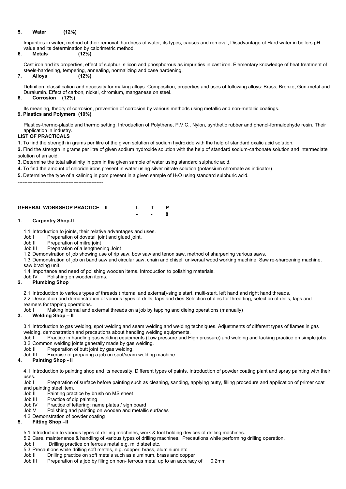## **5. Water (12%)**

Impurities in water, method of their removal, hardness of water, its types, causes and removal, Disadvantage of Hard water in boilers pH value and its determination by calorimetric method.

## **6. Metals (12%)**

Cast iron and its properties, effect of sulphur, silicon and phosphorous as impurities in cast iron. Elementary knowledge of heat treatment of steels-hardening, tempering, annealing, normalizing and case hardening.

### **7. Alloys (12%)**

Definition, classification and necessity for making alloys. Composition, properties and uses of following alloys: Brass, Bronze, Gun-metal and Duralumin. Effect of carbon, nickel, chromium, manganese on steel.

#### **8. Corrosion (12%)**

Its meaning, theory of corrosion, prevention of corrosion by various methods using metallic and non-metallic coatings.

### **9. Plastics and Polymers (10%)**

Plastics-thermo-plastic and thermo setting. Introduction of Polythene, P.V.C., Nylon, synthetic rubber and phenol-formaldehyde resin. Their application in industry.

### **LIST OF PRACTICALS**

**1.** To find the strength in grams per litre of the given solution of sodium hydroxide with the help of standard oxalic acid solution.

**2.** Find the strength in grams per litre of given sodium hydroxide solution with the help of standard sodium-carbonate solution and intermediate solution of an acid.

**3.** Determine the total alkalinity in ppm in the given sample of water using standard sulphuric acid.

**4.** To find the amount of chloride irons present in water using silver nitrate solution (potassium chromate as indicator)

**5.** Determine the type of alkalining in ppm present in a given sample of H<sub>2</sub>O using standard sulphuric acid.

Job I Practice in handling gas welding equipments (Low pressure and High pressure) and welding and tacking practice on simple jobs. 3.2 Common welding joints generally made by gas welding.

Job II Preparation of butt joint by gas welding.

----------------------------------------------------

## **GENERAL WORKSHOP PRACTICE – II L T P**

**- - 8**

**1. Carpentry Shop-II**

1.1 Introduction to joints, their relative advantages and uses.

- Job I Preparation of dovetail joint and glued joint.
- Job II Preparation of mitre joint

- Job II Painting practice by brush on MS sheet
- Job III Practice of dip painting
- Job IV Practice of lettering: name plates / sign board
- Job V Polishing and painting on wooden and metallic surfaces
- 4.2 Demonstration of powder coating
- **5. Fitting Shop –II**
	- 5.1 Introduction to various types of drilling machines, work & tool holding devices of drilling machines.
	- 5.2 Care, maintenance & handling of various types of drilling machines. Precautions while performing drilling operation.
	- Job I Drilling practice on ferrous metal e.g. mild steel etc.
	- 5.3 Precautions while drilling soft metals, e.g. copper, brass, aluminium etc.
	- Job II Drilling practice on soft metals such as aluminum, brass and copper
	- Job III Preparation of a job by filing on non-ferrous metal up to an accuracy of 0.2mm

Job III Preparation of a lengthening Joint

1.2 Demonstration of job showing use of rip saw, bow saw and tenon saw, method of sharpening various saws.

1.3 Demonstration of job on band saw and circular saw, chain and chisel, universal wood working machine, Saw re-sharpening machine, saw brazing unit.

1.4 Importance and need of polishing wooden items. Introduction to polishing materials.

Job IV Polishing on wooden items.

### **2. Plumbing Shop**

2.1 Introduction to various types of threads (internal and external)-single start, multi-start, left hand and right hand threads.

2.2 Description and demonstration of various types of drills, taps and dies Selection of dies for threading, selection of drills, taps and reamers for tapping operations.

Job I Making internal and external threads on a job by tapping and dieing operations (manually)

## **3. Welding Shop – II**

3.1 Introduction to gas welding, spot welding and seam welding and welding techniques. Adjustments of different types of flames in gas welding, demonstration and precautions about handling welding equipments.

Job III Exercise of preparing a job on spot/seam welding machine.

#### **4. Painting Shop - II**

4.1 Introduction to painting shop and its necessity. Different types of paints. Introduction of powder coating plant and spray painting with their uses. Job I Preparation of surface before painting such as cleaning, sanding, applying putty, filling procedure and application of primer coat and painting steel item.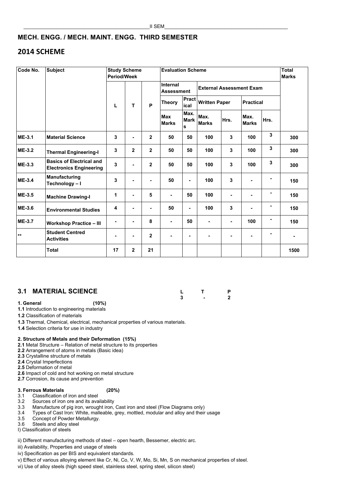# **MECH. ENGG. / MECH. MAINT. ENGG. THIRD SEMESTER**

# **2014 SCHEME**

## **3.1 MATERIAL SCIENCE L T P**

**3 - 2**

**1. General (10%)**

**1.1** Introduction to engineering materials

**1.2** Classification of materials

**1.3** Thermal, Chemical, electrical, mechanical properties of various materials.

**1.4** Selection criteria for use in industry

## **2. Structure of Metals and their Deformation (15%)**

2.1 Metal Structure – Relation of metal structure to its properties

**2.2** Arrangement of atoms in metals (Basic idea)

**2.3** Crystalline structure of metals

**2.4** Crystal Imperfections

**2.5** Deformation of metal

**2.6** Impact of cold and hot working on metal structure **2.7** Corrosion, its cause and prevention

#### **3. Ferrous Materials (20%)**

- 3.1 Classification of iron and steel
- 3.2 Sources of iron ore and its availability
- 3.3 Manufacture of pig iron, wrought iron, Cast iron and steel (Flow Diagrams only)
- 3.4 Types of Cast Iron: White, malleable, grey, mottled, modular and alloy and their usage
- 3.5 Concept of Powder Metallurgy.
- 3.6 Steels and alloy steel
- I) Classification of steels

ii) Different manufacturing methods of steel – open hearth, Bessemer, electric arc.

- iii) Availability, Properties and usage of steels
- iv) Specification as per BIS and equivalent standards.
- v) Effect of various alloying element like Cr, Ni, Co, V, W, Mo, Si, Mn, S on mechanical properties of steel.
- vi) Use of alloy steels (high speed steel, stainless steel, spring steel, silicon steel)

| Code No.      | <b>Subject</b>                                                    | <b>Period/Week</b> | <b>Study Scheme</b> |                | <b>Evaluation Scheme</b>             | <b>Total</b><br><b>Marks</b>        |                                 |                |                      |                         |      |
|---------------|-------------------------------------------------------------------|--------------------|---------------------|----------------|--------------------------------------|-------------------------------------|---------------------------------|----------------|----------------------|-------------------------|------|
|               |                                                                   | L                  |                     | P              | <b>Internal</b><br><b>Assessment</b> |                                     | <b>External Assessment Exam</b> |                |                      |                         |      |
|               |                                                                   |                    | T.                  |                | <b>Theory</b>                        | <b>Pract</b><br>ical                | <b>Written Paper</b>            |                | <b>Practical</b>     |                         |      |
|               |                                                                   |                    |                     |                | <b>Max</b><br><b>Marks</b>           | Max.<br><b>Mark</b><br>$\mathbf{s}$ | Max.<br><b>Marks</b>            | Hrs.           | Max.<br><b>Marks</b> | Hrs.                    |      |
| <b>ME-3.1</b> | <b>Material Science</b>                                           | $\mathbf{3}$       | $\blacksquare$      | $\overline{2}$ | 50                                   | 50                                  | 100                             | $\mathbf{3}$   | 100                  | 3                       | 300  |
| <b>ME-3.2</b> | <b>Thermal Engineering-I</b>                                      | $\mathbf{3}$       | $\mathbf{2}$        | $\overline{2}$ | 50                                   | 50                                  | 100                             | $\mathbf{3}$   | 100                  | $\overline{\mathbf{3}}$ | 300  |
| <b>ME-3.3</b> | <b>Basics of Electrical and</b><br><b>Electronics Engineering</b> | $\overline{3}$     | $\blacksquare$      | $\mathbf{2}$   | 50                                   | 50                                  | 100                             | $\mathbf{3}$   | 100                  | 3                       | 300  |
| <b>ME-3.4</b> | <b>Manufacturing</b><br>Technology-I                              | $\mathbf{3}$       |                     | $\blacksquare$ | 50                                   | $\blacksquare$                      | 100                             | $\overline{3}$ | $\blacksquare$       |                         | 150  |
| <b>ME-3.5</b> | <b>Machine Drawing-I</b>                                          | 1                  | $\blacksquare$      | $5\phantom{1}$ | ٠                                    | 50                                  | 100                             | ٠              | $\blacksquare$       | ۰                       | 150  |
| <b>ME-3.6</b> | <b>Environmental Studies</b>                                      | 4                  | $\blacksquare$      | $\blacksquare$ | 50                                   | $\blacksquare$                      | 100                             | $\overline{3}$ | ٠                    | ۰                       | 150  |
| <b>ME-3.7</b> | <b>Workshop Practice - III</b>                                    |                    | $\blacksquare$      | 8              |                                      | 50                                  | $\blacksquare$                  | $\blacksquare$ | 100                  |                         | 150  |
| $***$         | <b>Student Centred</b><br><b>Activities</b>                       |                    | $\blacksquare$      | $\overline{2}$ |                                      | $\blacksquare$                      | $\blacksquare$                  | ۰              | $\blacksquare$       |                         |      |
|               | <b>Total</b>                                                      | 17                 | $\mathbf{2}$        | 21             |                                      |                                     |                                 |                |                      |                         | 1500 |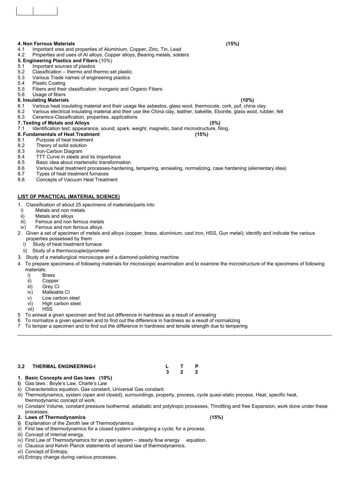## **4. Non Ferrous Materials (15%)**

- 4.1 Important ores and properties of Aluminium, Copper, Zinc, Tin, Lead
- 4.2 Properties and uses of AI alloys, Copper alloys, Bearing metals, solders
- **5. Engineering Plastics and Fibers** (10%)
- 5.1 Important sources of plastics
- 5.2 Classification thermo and thermo set plastic.
- 5.3 Various Trade names of engineering plastics
- 5.4 Plastic Coating
- 5.5 Fibers and their classification: Inorganic and Organic Fibers
- 5.6 Usage of fibers

## **6. Insulating Materials (10%)**

- 6.1 Various heat insulating material and their usage like asbestos, glass wool, thermocole, cork, puf, china clay.
- 6.2 Various electrical insulating material and their use like China clay, leather, bakelite, Ebonite, glass wool, rubber, felt
- 6.3 Ceramics-Classification, properties, applications

## **7. Testing of Metals and Alloys (5%)**

7.1 Identification test: appearance, sound, spark, weight, magnetic, band microstructure, filing.

## **8. Fundamentals of Heat Treatment (15%)**

- 8.1 Purpose of heat treatment
- 8.2 Theory of solid solution
- 8.3 Iron-Carbon Diagram
- 8.4 TTT Curve in steels and its importance
- 8.5 Basic idea about martensitic transformation
- 8.6 Various heat treatment processes-hardening, tempering, annealing, normalizing, case hardening (elementary idea)
- 8.7 Types of heat treatment furnaces
- 8.8 Concepts of Vacuum Heat Treatment

## **LIST OF PRACTICAL (MATERIAL SCIENCE)**

- 1. Classification of about 25 specimens of materials/parts into
- i) Metals and non metals
- ii) Metals and alloys
- iii) Ferrous and non ferrous metals
- iv) Ferrous and non ferrous alloys
- 2. Given a set of specimen of metals and alloys (copper, brass, aluminium, cast iron, HSS, Gun metal); identify and indicate the various properties possessed by them
	- i) Study of heat treatment furnace
	- ii) Study of a thermocouple/pyrometer
- 3. Study of a metallurgical microscope and a diamond-polishing machine
- 4 To prepare specimens of following materials for microscopic examination and to examine the microstructure of the specimens of following materials:
	- i) Brass
	- ii) Copper
	- iii) Grey CI
	- iv) Malleable CI
	- v) Low carbon steel
	- vi) High carbon steel vii) HSS
- 5 To anneal a given specimen and find out difference in hardness as a result of annealing
- 6 To normalize a given specimen and to find out the difference in hardness as a result of normalizing
- 7 To temper a specimen and to find out the difference in hardness and tensile strength due to tempering

**3.2 THERMAL ENGINEERING-I L T P**

#### **3 2 2**

#### **1. Basic Concepts and Gas laws (10%)**

- **i)** Gas laws : Boyle's Law, Charle's Law
- ii) Characteristics equation, Gas constant, Universal Gas constant.
- iii) Thermodynamics, system (open and closed), surroundings, property, process, cycle quasi-static process. Heat, specific heat, thermodynamic concept of work.
- iv) Constant Volume, constant pressure Isothermal, adiabatic and polytropic processes, Throttling and free Expansion, work done under these processes.
- **2. Laws of Thermodynamics (15%)**
	-
- **i)** Explanation of the Zeroth law of Thermodynamics
- ii) First law of thermodynamics for a closed system undergoing a cycle; for a process.
- iii) Concept of Internal energy.
- iv) First Law of Thermodynamics for an open system steady flow energy equation.
- v) Clausius and Kelvin Planck statements of second law of thermodynamics.
- vi) Concept of Entropy.
- vii) Entropy change during various processes.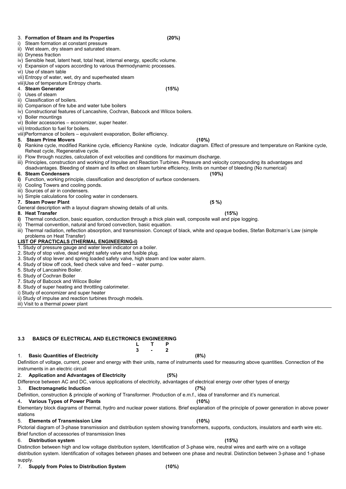#### 3. **Formation of Steam and its Properties (20%)**

- i) Steam formation at constant pressure
- ii) Wet steam, dry steam and saturated steam.
- iii) Dryness fraction
- iv) Sensible heat, latent heat, total heat, internal energy, specific volume.
- v) Expansion of vapors according to various thermodynamic processes.
- vi) Use of steam table
- vii) Entropy of water, wet, dry and superheated steam
- viii)Use of temperature Entropy charts.

## 4. **Steam Generator (15%)**

- i) Uses of steam
- ii) Classification of boilers.
- iii) Comparison of fire tube and water tube boilers
- iv) Constructional features of Lancashire, Cochran, Babcock and Wilcox boilers.
- v) Boiler mountings
- vi) Boiler accessories economizer, super heater.
- vii) Introduction to fuel for boilers.
- viii)Performance of boilers equivalent evaporation, Boiler efficiency.

## **5. Steam Prime Movers (10%)**

- **i)** Rankine cycle, modified Rankine cycle, efficiency Rankine cycle, Indicator diagram. Effect of pressure and temperature on Rankine cycle, Reheat cycle, Regenerative cycle.
- ii) Flow through nozzles, calculation of exit velocities and conditions for maximum discharge.
- iii) Principles, construction and working of Impulse and Reaction Turbines. Pressure and velocity compounding its advantages and disadvantages. Bleeding of steam and its effect on steam turbine efficiency, limits on number of bleeding (No numerical)

### **6. Steam Condensers (10%)**

- **i)** Function, working principle, classification and description of surface condensers.
- ii) Cooling Towers and cooling ponds.
- iii) Sources of air in condensers.
- iv) Simple calculations for cooling water in condensers.

### **7. Steam Power Plant (5 %)**

General description with a layout diagram showing details of all units.

### **8. Heat Transfer (15%)**

- **i)** Thermal conduction, basic equation, conduction through a thick plain wall, composite wall and pipe logging.
- ii) Thermal convention, natural and forced convection, basic equation.
- iii) Thermal radiation, reflection absorption, and transmission. Concept of black, white and opaque bodies, Stefan Boltzman's Law (simple problems on Heat Transfer)

## **LIST OF PRACTICALS (THERMAL ENGINEERING-I)**

- 1. Study of pressure gauge and water level indicator on a boiler.
- 2. Study of stop valve, dead weight safety valve and fusible plug.
- 3. Study of stop lever and spring loaded safety valve, high steam and low water alarm.
- 4. Study of blow off cock, feed check valve and feed water pump.
- 5. Study of Lancashire Boiler.
- 6. Study of Cochran Boiler
- 7. Study of Babcock and Wilcox Boiler
- 8. Study of super heating and throttling calorimeter.
- i) Study of economizer and super heater
- ii) Study of impulse and reaction turbines through models.
- iii) Visit to a thermal power plant

#### **3.3 BASICS OF ELECTRICAL AND ELECTRONICS ENGINEERING L T P**

**3 - 2**

#### 1. **Basic Quantities of Electricity (8%)** Definition of voltage, current, power and energy with their units, name of instruments used for measuring above quantities. Connection of the instruments in an electric circuit

## 2. **Application and Advantages of Electricity (5%)**

Difference between AC and DC, various applications of electricity, advantages of electrical energy over other types of energy

## 3. **Electromagnetic Induction (7%)**

Definition, construction & principle of working of Transformer. Production of e.m.f., idea of transformer and it's numerical.

4**. Various Types of Power Plants (10%)**

Elementary block diagrams of thermal, hydro and nuclear power stations. Brief explanation of the principle of power generation in above power stations

## 5. **Elements of Transmission Line (10%)**

Pictorial diagram of 3-phase transmission and distribution system showing transformers, supports, conductors, insulators and earth wire etc. Brief function of accessories of transmission lines

## 6. **Distribution system (15%)**

Distinction between high and low voltage distribution system, Identification of 3-phase wire, neutral wires and earth wire on a voltage distribution system. Identification of voltages between phases and between one phase and neutral. Distinction between 3-phase and 1-phase supply.

7. **Supply from Poles to Distribution System (10%)**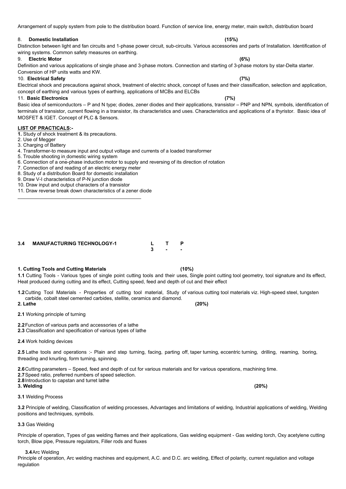Arrangement of supply system from pole to the distribution board. Function of service line, energy meter, main switch, distribution board

#### 8. **Domestic Installation (15%)**

Distinction between light and fan circuits and 1-phase power circuit, sub-circuits. Various accessories and parts of Installation. Identification of wiring systems. Common safety measures on earthing.

#### 9. **Electric Motor (6%)**

Definition and various applications of single phase and 3-phase motors. Connection and starting of 3-phase motors by star-Delta starter. Conversion of HP units watts and KW.

#### 10. **Electrical Safety (7%)**

Electrical shock and precautions against shock, treatment of electric shock, concept of fuses and their classification, selection and application, concept of earthing and various types of earthing, applications of MCBs and ELCBs

#### 11. **Basic Electronics (7%)**

Basic idea of semiconductors – P and N type; diodes, zener diodes and their applications, transistor – PNP and NPN, symbols, identification of terminals of transistor, current flowing in a transistor, its characteristics and uses. Characteristics and applications of a thyristor. Basic idea of MOSFET & IGET. Concept of PLC & Sensors.

#### **LIST OF PRACTICALS:-**

2.5 Lathe tools and operations :- Plain and step turning, facing, parting off, taper turning, eccentric turning, drilling, reaming, boring, threading and knurling, form turning, spinning.

- **1.** Study of shock treatment & its precautions.
- 2. Use of Megger
- 3. Charging of Battery
- 4. Transformer-to measure input and output voltage and currents of a loaded transformer
- 5. Trouble shooting in domestic wiring system
- 6. Connection of a one-phase induction motor to supply and reversing of its direction of rotation
- 7. Connection of and reading of an electric energy meter
- 8. Study of a distribution Board for domestic installation
- 9. Draw V-I characteristics of P-N junction diode
- 10. Draw input and output characters of a transistor
- 11. Draw reverse break down characteristics of a zener diode

**3.4 MANUFACTURING TECHNOLOGY-1 L T P**

 $\overline{\phantom{a}}$  , and the contract of the contract of the contract of the contract of the contract of the contract of the contract of the contract of the contract of the contract of the contract of the contract of the contrac

**3 - -**

## **1. Cutting Tools and Cutting Materials (10%)**

**1.1** Cutting Tools - Various types of single point cutting tools and their uses, Single point cutting tool geometry, tool signature and its effect, Heat produced during cutting and its effect, Cutting speed, feed and depth of cut and their effect

**1.2**Cutting Tool Materials - Properties of cutting tool material, Study of various cutting tool materials viz. High-speed steel, tungsten carbide, cobalt steel cemented carbides, stellite, ceramics and diamond.

**2. Lathe (20%)**

**2.1** Working principle of turning

- **2.2**Function of various parts and accessories of a lathe
- **2.3** Classification and specification of various types of lathe
- **2.4** Work holding devices

**2.6**Cutting parameters – Speed, feed and depth of cut for various materials and for various operations, machining time.

**2.7**Speed ratio, preferred numbers of speed selection. **2.8**Introduction to capstan and turret lathe **3. Welding (20%)**

**3.1** Welding Process

**3.2** Principle of welding, Classification of welding processes, Advantages and limitations of welding, Industrial applications of welding, Welding positions and techniques, symbols.

**3.3** Gas Welding

Principle of operation, Types of gas welding flames and their applications, Gas welding equipment - Gas welding torch, Oxy acetylene cutting torch, Blow pipe, Pressure regulators, Filler rods and fluxes

**3.4**Arc Welding

Principle of operation, Arc welding machines and equipment, A.C. and D.C. arc welding, Effect of polarity, current regulation and voltage regulation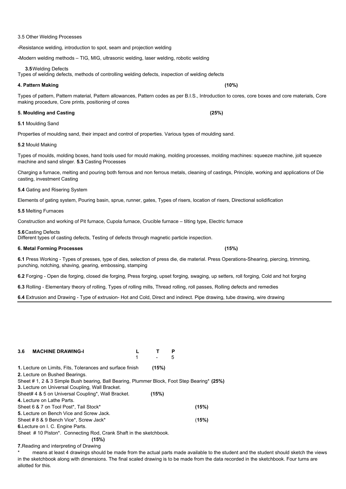#### 3.5 Other Welding Processes

**-**Resistance welding, introduction to spot, seam and projection welding

**-**Modern welding methods – TIG, MIG, ultrasonic welding, laser welding, robotic welding

**3.5**Welding Defects

Types of welding defects, methods of controlling welding defects, inspection of welding defects

#### **4. Pattern Making (10%)**

Types of pattern, Pattern material, Pattern allowances, Pattern codes as per B.I.S., Introduction to cores, core boxes and core materials, Core making procedure, Core prints, positioning of cores

**5. Moulding and Casting (25%)**

#### **5.1** Moulding Sand

Properties of moulding sand, their impact and control of properties. Various types of moulding sand.

**5.2** Mould Making

Types of moulds, molding boxes, hand tools used for mould making, molding processes, molding machines: squeeze machine, jolt squeeze machine and sand slinger. **5.3** Casting Processes

Charging a furnace, melting and pouring both ferrous and non ferrous metals, cleaning of castings, Principle, working and applications of Die casting, investment Casting

**5.4** Gating and Risering System

Elements of gating system, Pouring basin, sprue, runner, gates, Types of risers, location of risers, Directional solidification

**5.5** Melting Furnaces

Construction and working of Pit furnace, Cupola furnace, Crucible furnace – tilting type, Electric furnace

#### **5.6**Casting Defects

Different types of casting defects, Testing of defects through magnetic particle inspection.

#### **6. Metal Forming Processes (15%)**

means at least 4 drawings should be made from the actual parts made available to the student and the student should sketch the views in the sketchbook along with dimensions. The final scaled drawing is to be made from the data recorded in the sketchbook. Four turns are allotted for this.

**6.1** Press Working - Types of presses, type of dies, selection of press die, die material. Press Operations-Shearing, piercing, trimming, punching, notching, shaving, gearing, embossing, stamping

**6.2** Forging - Open die forging, closed die forging, Press forging, upset forging, swaging, up setters, roll forging, Cold and hot forging

**6.3** Rolling - Elementary theory of rolling, Types of rolling mills, Thread rolling, roll passes, Rolling defects and remedies

**6.4** Extrusion and Drawing - Type of extrusion- Hot and Cold, Direct and indirect. Pipe drawing, tube drawing, wire drawing

#### **3.6 MACHINE DRAWING-I L T P**

 $1 - 5$ 

**1.** Lecture on Limits, Fits, Tolerances and surface finish **(15%)**

**2.** Lecture on Bushed Bearings.

Sheet # 1, 2 & 3 Simple Bush bearing, Ball Bearing, Plummer Block, Foot Step Bearing\* **(25%)**

**3.** Lecture on Universal Coupling, Wall Bracket.

Sheet# 4 & 5 on Universal Coupling\*, Wall Bracket. **(15%)**

**4.** Lecture on Lathe Parts.

Sheet 6 & 7 on Tool Post\*, Tail Stock\* **(15%)**

**5.** Lecture on Bench Vice and Screw Jack.

Sheet # 8 & 9 Bench Vice\*, Screw Jack\* (**15%)**

**6.**Lecture on I. C. Engine Parts.

Sheet # 10 Piston\*. Connecting Rod, Crank Shaft in the sketchbook.

**(15%)**

**7.**Reading and interpreting of Drawing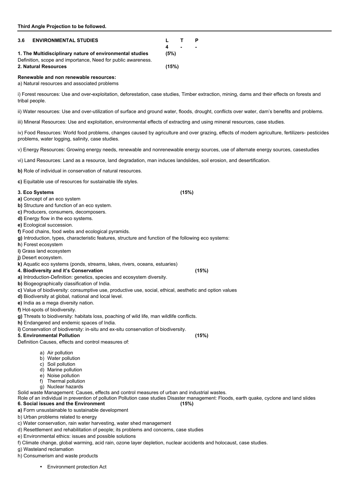| 3.6                                                          | <b>ENVIRONMENTAL STUDIES</b>                             | $\blacksquare$ $\blacksquare$ $\blacksquare$ $\blacksquare$ $\blacksquare$ $\blacksquare$ $\blacksquare$ |  |
|--------------------------------------------------------------|----------------------------------------------------------|----------------------------------------------------------------------------------------------------------|--|
|                                                              |                                                          | $\blacksquare$                                                                                           |  |
|                                                              | 1. The Multidisciplinary nature of environmental studies | (5%)                                                                                                     |  |
| Definition, scope and importance, Need for public awareness. |                                                          |                                                                                                          |  |
|                                                              | 2. Natural Resources                                     | (15%)                                                                                                    |  |

#### **Renewable and non renewable resources:**

a) Natural resources and associated problems

i) Forest resources: Use and over-exploitation, deforestation, case studies, Timber extraction, mining, dams and their effects on forests and tribal people.

ii) Water resources: Use and over-utilization of surface and ground water, floods, drought, conflicts over water, dam's benefits and problems.

iii) Mineral Resources: Use and exploitation, environmental effects of extracting and using mineral resources, case studies.

iv) Food Resources: World food problems, changes caused by agriculture and over grazing, effects of modern agriculture, fertilizers- pesticides problems, water logging, salinity, case studies.

v) Energy Resources: Growing energy needs, renewable and nonrenewable energy sources, use of alternate energy sources, casestudies

vi) Land Resources: Land as a resource, land degradation, man induces landslides, soil erosion, and desertification.

**b)** Role of individual in conservation of natural resources.

**c)** Equitable use of resources for sustainable life styles.

### **3. Eco Systems (15%)**

**a)** Concept of an eco system

**b)** Structure and function of an eco system.

- **c)** Producers, consumers, decomposers.
- **d)** Energy flow in the eco systems.
- **e)** Ecological succession.
- **f)** Food chains, food webs and ecological pyramids.

**g)** Introduction, types, characteristic features, structure and function of the following eco systems:

- **h**) Forest ecosystem
- **i)** Grass land ecosystem
- **j)** Desert ecosystem.
- **k)** Aquatic eco systems (ponds, streams, lakes, rivers, oceans, estuaries)

### **4. Biodiversity and it's Conservation (15%)**

- **a)** Introduction-Definition: genetics, species and ecosystem diversity.
- **b)** Biogeographically classification of India.
- **c)** Value of biodiversity: consumptive use, productive use, social, ethical, aesthetic and option values
- **d)** Biodiversity at global, national and local level.
- **e)** India as a mega diversity nation.
- **f)** Hot-spots of biodiversity.
- **g)** Threats to biodiversity: habitats loss, poaching of wild life, man wildlife conflicts.
- **h)** Endangered and endemic spaces of India.
- **i)** Conservation of biodiversity: in-situ and ex-situ conservation of biodiversity.

### **5. Environmental Pollution (15%)**

Definition Causes, effects and control measures of:

- a) Air pollution
- b) Water pollution
- c) Soil pollution
- 

- d) Marine pollution
- e) Noise pollution
- f) Thermal pollution
- g) Nuclear hazards

Solid waste Management: Causes, effects and control measures of urban and industrial wastes.

Role of an individual in prevention of pollution Pollution case studies Disaster management: Floods, earth quake, cyclone and land slides

**6. Social issues and the Environment (15%)**

- **a)** Form unsustainable to sustainable development
- b) Urban problems related to energy
- c) Water conservation, rain water harvesting, water shed management
- d) Resettlement and rehabilitation of people; its problems and concerns, case studies
- e) Environmental ethics: issues and possible solutions
- f) Climate change, global warming, acid rain, ozone layer depletion, nuclear accidents and holocaust, case studies.
- g) Wasteland reclamation
- h) Consumerism and waste products
	- Environment protection Act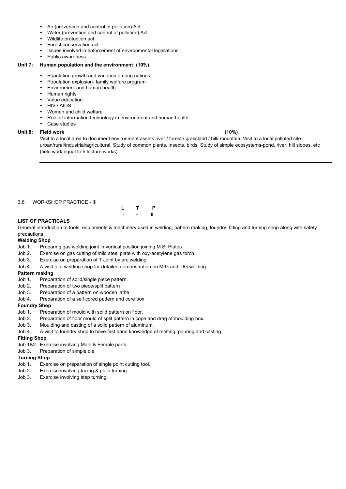- Air (prevention and control of pollution) Act
- Water (prevention and control of pollution) Act
- Wildlife protection act
- Forest conservation act
- Issues involved in enforcement of environmental legislations
- Public awareness

#### **Unit 7: Human population and the environment (10%)**

- Population growth and variation among nations
- Population explosion- family welfare program
- Environment and human health
- Human rights
- Value education
- HIV / AIDS
- Women and child welfare
- Role of information technology in environment and human health
- Case studies

### **Unit 8: Field work (10%)**

Visit to a local area to document environment assets river / forest / grassland / hill/ mountain. Visit to a local polluted siteurban/rural/industrial/agricultural. Study of common plants, insects, birds. Study of simple ecosystems-pond, river, hill slopes, etc (field work equal to 5 lecture works)

#### 3.6 WORKSHOP PRACTICE - III



### **LIST OF PRACTICALS**

General introduction to tools, equipments & machinery used in welding, pattern making, foundry, fitting and turning shop along with safety precautions.

### **Welding Shop**

- Job 1. Preparing gas welding joint in vertical position joining M.S. Plates
- Job 2. Exercise on gas cutting of mild steel plate with oxy-acetylene gas torch.
- Job 3. Exercise on preparation of T Joint by arc welding.
- Job 4. A visit to a welding shop for detailed demonstration on MIG and TIG welding.

## **Pattern making**

- Job 1. Preparation of solid/single piece pattern.
- Job 2. Preparation of two piece/split pattern
- Job 3. Preparation of a pattern on wooden lathe
- Job 4. Preparation of a self cored pattern and core box

### **Foundry Shop**

- Job 1. Preparation of mould with solid pattern on floor.
- Job 2. Preparation of floor mould of split pattern in cope and drag of moulding box.
- Job 3. Moulding and casting of a solid pattern of aluminum.
- Job 4. A visit to foundry shop to have first hand knowledge of melting, pouring and casting.

### **Fitting Shop**

- Job 1&2. Exercise involving Male & Female parts.
- Job 3. Preparation of simple die

### **Turning Shop**

- Job 1. Exercise on preparation of single point cutting tool.
- 
- Job 2. Exercise involving facing & plain turning.
- Job 3. Exercise involving step turning.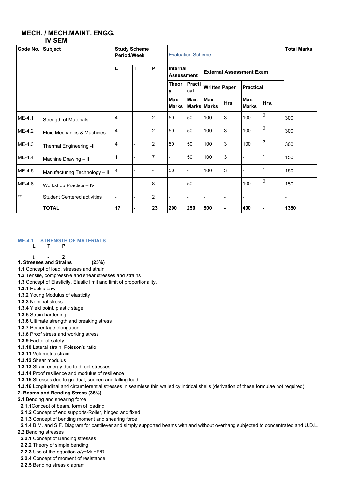## **MECH. / MECH.MAINT. ENGG. IV SEM**

### **ME-4.1 STRENGTH OF MATERIALS**

**L T P**

**1 - 2**

**1. Stresses and Strains (25%)**

**1.1** Concept of load, stresses and strain

**1.2** Tensile, compressive and shear stresses and strains

**1.3** Concept of Elasticity, Elastic limit and limit of proportionality.

**1.3.1** Hook's Law

**1.3.2** Young Modulus of elasticity

**1.3.3** Nominal stress

**1.3.4** Yield point, plastic stage

**1.3.5** Strain hardening

**1.3.6** Ultimate strength and breaking stress

**1.3.7** Percentage elongation

**1.3.8** Proof stress and working stress

**1.3.9** Factor of safety

**1.3.10** Lateral strain, Poisson's ratio

**1.3.11** Volumetric strain

**1.3.12** Shear modulus

**1.3.13** Strain energy due to direct stresses

**1.3.14** Proof resilience and modulus of resilience

**1.3.15** Stresses due to gradual, sudden and falling load

**1.3.16** Longitudinal and circumferential stresses in seamless thin walled cylindrical shells (derivation of these formulae not required)

## **2. Beams and Bending Stress (35%)**

**2.1** Bending and shearing force

**2.1.1**Concept of beam, form of loading

**2.1.2** Concept of end supports-Roller, hinged and fixed

**2.1.3** Concept of bending moment and shearing force

**2.1.4** B.M. and S.F. Diagram for cantilever and simply supported beams with and without overhang subjected to concentrated and U.D.L.

**2.2** Bending stresses

**2.2.1** Concept of Bending stresses

**2.2.2** Theory of simple bending

**2.2.3** Use of the equation σ/y=M/I=E/R

**2.2.4** Concept of moment of resistance

**2.2.5** Bending stress diagram

| Code No. | <b>Subject</b>                        |    | <b>Study Scheme</b><br><b>Period/Week</b> |                |                                      | <b>Evaluation Scheme</b> |                                 |                      |                      |                  |      |  |
|----------|---------------------------------------|----|-------------------------------------------|----------------|--------------------------------------|--------------------------|---------------------------------|----------------------|----------------------|------------------|------|--|
|          |                                       | L  | T                                         | $\mathsf{P}$   | <b>Internal</b><br><b>Assessment</b> |                          | <b>External Assessment Exam</b> |                      |                      |                  |      |  |
|          |                                       |    |                                           |                | <b>Theor</b><br>v                    | Practi<br>cal            |                                 | <b>Written Paper</b> |                      | <b>Practical</b> |      |  |
|          |                                       |    |                                           |                | <b>Max</b><br><b>Marks</b>           | Max.                     | Max.<br><b>Marks Marks</b>      | Hrs.                 | Max.<br><b>Marks</b> | Hrs.             |      |  |
| ME-4.1   | <b>Strength of Materials</b>          | 4  |                                           | $\overline{2}$ | 50                                   | 50                       | 100                             | 3                    | 100                  | $\mathfrak{S}$   | 300  |  |
| $ME-4.2$ | <b>Fluid Mechanics &amp; Machines</b> | 4  |                                           | $\overline{2}$ | 50                                   | 50                       | 100                             | $\mathfrak{S}$       | 100                  | $\mathfrak{S}$   | 300  |  |
| $ME-4.3$ | <b>Thermal Engineering -II</b>        | 4  |                                           | $\overline{2}$ | 50                                   | 50                       | 100                             | 3                    | 100                  | $\mathfrak{S}$   | 300  |  |
| ME-4.4   | Machine Drawing - II                  | 1  |                                           | $\overline{7}$ |                                      | 50                       | 100                             | 3                    |                      |                  | 150  |  |
| ME-4.5   | Manufacturing Technology - II         | 4  |                                           |                | 50                                   |                          | 100                             | 3                    |                      |                  | 150  |  |
| ME-4.6   | Workshop Practice - IV                |    |                                           | 8              |                                      | 50                       |                                 |                      | 100                  | $\sqrt{3}$       | 150  |  |
| $***$    | <b>Student Centered activities</b>    |    |                                           | $\overline{2}$ |                                      |                          |                                 |                      |                      |                  |      |  |
|          | <b>TOTAL</b>                          | 17 |                                           | 23             | 200                                  | 250                      | 500                             | $\blacksquare$       | 400                  | $\blacksquare$   | 1350 |  |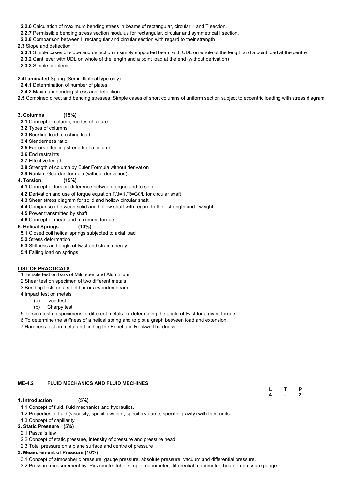- **2.2.6** Calculation of maximum bending stress in beams of rectangular, circular, I and T section.
- **2.2.7** Permissible bending stress section modulus for rectangular, circular and symmetrical I section.

**2.2.8** Comparison between I, rectangular and circular section with regard to their strength

**2.3** Slope and deflection

- **2.3.1** Simple cases of slope and deflection in simply supported beam with UDL on whole of the length and a point load at the centre
- **2.3.2** Cantilever with UDL on whole of the length and a point load at the end (without derivation)
- **2.3.3** Simple problems

**2.4Laminated** Spring (Semi elliptical type only)

- **2.4.1** Determination of number of plates
- **2.4.2** Maximum bending stress and deflection
- **2.5** Combined direct and bending stresses. Simple cases of short columns of uniform section subject to eccentric loading with stress diagram

## **3. Columns (15%)**

- **3.1** Concept of column, modes of failure
- **3.2** Types of columns
- **3.3** Buckling load, crushing load
- **3.4** Slenderness ratio
- **3.5** Factors effecting strength of a column
- **3.6** End restraints
- **3.7** Effective length
- **3.8** Strength of column by Euler Formula without derivation
- **3.9** Rankin- Gourdan formula (without derivation)

## **4. Torsion (15%)**

- **4.1** Concept of torsion-difference between torque and torsion
- **4.2** Derivation and use of torque equation T/J= I /R=Gθ/L for circular shaft
- **4.3** Shear stress diagram for solid and hollow circular shaft
- **4.4** Comparison between solid and hollow shaft with regard to their strength and weight.
- **4.5** Power transmitted by shaft
- **4.6** Concept of mean and maximum torque

## **5. Helical Springs (10%)**

- **5.1** Closed coil helical springs subjected to axial load
- **5.2** Stress deformation
- **5.3** Stiffness and angle of twist and strain energy
- **5.4** Falling load on springs

## **LIST OF PRACTICALS**

- 1.Tensile test on bars of Mild steel and Aluminium.
- 2.Shear test on specimen of two different metals.
- 3.Bending tests on a steel bar or a wooden beam.
- 4.Impact test on metals
	- (a) Izod test
	- (b) Charpy test
- 5.Torsion test on specimens of different metals for determining the angle of twist for a given torque.
- 6.To determine the stiffness of a helical spring and to plot a graph between load and extension.
- 7.Hardness test on metal and finding the Brinel and Rockwell hardness.

#### **ME-4.2 FLUID MECHANICS AND FLUID MECHINES**

**L T P**

**4 - 2**

#### **1. Introduction (5%)**

1.1 Concept of fluid, fluid mechanics and hydraulics.

1.2 Properties of fluid (viscosity, specific weight, specific volume, specific gravity) with their units.

1.3 Concept of capillarity

## **2. Static Pressure (5%)**

2.1 Pascal's law

2.2 Concept of static pressure, intensity of pressure and pressure head

2.3 Total pressure on a plane surface and centre of pressure

## **3. Measurement of Pressure (10%)**

3.1 Concept of atmospheric pressure, gauge pressure, absolute pressure, vacuum and differential pressure.

3.2 Pressure measurement by: Piezometer tube, simple manometer, differential manometer, bourdon pressure gauge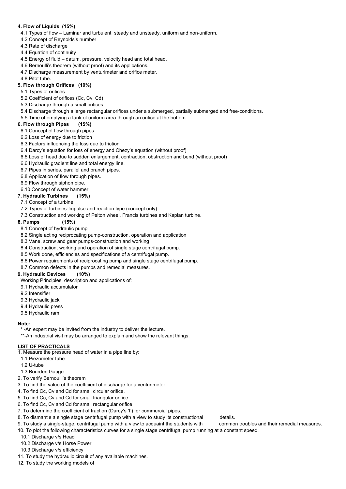## **4. Flow of Liquids (15%)**

- 4.1 Types of flow Laminar and turbulent, steady and unsteady, uniform and non-uniform.
- 4.2 Concept of Reynolds's number
- 4.3 Rate of discharge
- 4.4 Equation of continuity
- 4.5 Energy of fluid datum, pressure, velocity head and total head.
- 4.6 Bernoulli's theorem (without proof) and its applications.
- 4.7 Discharge measurement by venturimeter and orifice meter.
- 4.8 Pitot tube.

## **5. Flow through Orifices (10%)**

- 5.1 Types of orifices
- 5.2 Coefficient of orifices (Cc, Cv, Cd)
- 5.3 Discharge through a small orifices
- 5.4 Discharge through a large rectangular orifices under a submerged, partially submerged and free-conditions.
- 5.5 Time of emptying a tank of uniform area through an orifice at the bottom.

## **6. Flow through Pipes (15%)**

- 6.1 Concept of flow through pipes
- 6.2 Loss of energy due to friction
- 6.3 Factors influencing the loss due to friction
- 6.4 Darcy's equation for loss of energy and Chezy's equation (without proof)
- 6.5 Loss of head due to sudden enlargement, contraction, obstruction and bend (without proof)
- 6.6 Hydraulic gradient line and total energy line.
- 6.7 Pipes in series, parallel and branch pipes.
- 6.8 Application of flow through pipes.
- 6.9 Flow through siphon pipe.
- 6.10 Concept of water hammer.

- \* -An expert may be invited from the industry to deliver the lecture.
- \*\*-An industrial visit may be arranged to explain and show the relevant things.

## **7. Hydraulic Turbines (15%)**

- 7.1 Concept of a turbine
- 7.2 Types of turbines-Impulse and reaction type (concept only)
- 7.3 Construction and working of Pelton wheel, Francis turbines and Kaplan turbine.

### **8. Pumps (15%)**

- 8.1 Concept of hydraulic pump
- 8.2 Single acting reciprocating pump-construction, operation and application
- 8.3 Vane, screw and gear pumps-construction and working
- 8.4 Construction, working and operation of single stage centrifugal pump.
- 8.5 Work done, efficiencies and specifications of a centrifugal pump.
- 8.6 Power requirements of reciprocating pump and single stage centrifugal pump.
- 8.7 Common defects in the pumps and remedial measures.

## **9. Hydraulic Devices (10%)**

Working Principles, description and applications of:

- 9.1 Hydraulic accumulator
- 9.2 Intensifier
- 9.3 Hydraulic jack
- 9.4 Hydraulic press
- 9.5 Hydraulic ram

## **Note:**

### **LIST OF PRACTICALS**

- 1. Measure the pressure head of water in a pipe line by:
- 1.1 Piezometer tube
- 1.2 U-tube
- 

1.3 Bourden Gauge

2. To verify Bernoulli's theorem

3. To find the value of the coefficient of discharge for a venturimeter.

4. To find Cc, Cv and Cd for small circular orifice.

5. To find Cc, Cv and Cd for small triangular orifice

6. To find Cc, Cv and Cd for small rectangular orifice

7. To determine the coefficient of fraction (Darcy's 'f') for commercial pipes.

8. To dismantle a single stage centrifugal pump with a view to study its constructional details.

9. To study a single-stage, centrifugal pump with a view to acquaint the students with common troubles and their remedial measures.

10. To plot the following characteristics curves for a single stage centrifugal pump running at a constant speed.

10.1 Discharge v/s Head

10.2 Discharge v/s Horse Power

10.3 Discharge v/s efficiency

11. To study the hydraulic circuit of any available machines.

12. To study the working models of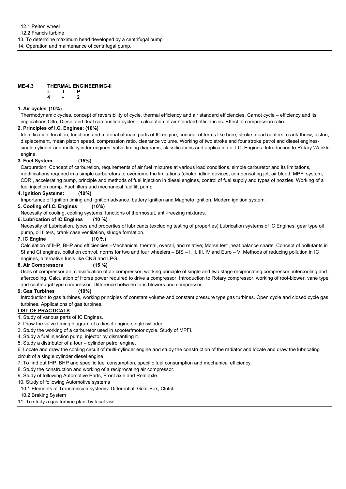12.2 Francis turbine

13. To determine maximum head developed by a centrifugal pump

14. Operation and maintenance of centrifugal pump.

#### **ME-4.3 THERMAL ENGINEERING-II L T P**

**4 - 2**

## **1. Air cycles (10%)**

Thermodynamic cycles, concept of reversibility of cycle, thermal efficiency and air standard efficiencies, Carnot cycle – efficiency and its implications Otto, Diesel and dual combustion cycles – calculation of air standard efficiencies. Effect of compression ratio.

## **2. Principles of I.C. Engines: (10%)**

Identification, location, functions and material of main parts of IC engine, concept of terms like bore, stroke, dead centers, crank-throw, piston, displacement, mean piston speed, compression ratio, clearance volume. Working of two stroke and four stroke petrol and diesel enginessingle cylinder and multi cylinder engines, valve timing diagrams, classifications and application of I.C. Engines. Introduction to Rotary Wankle engine.

## **3. Fuel System: (15%)**

Carburetion: Concept of carburetion, requirements of air fuel mixtures at various load conditions, simple carburetor and its limitations, modifications required in a simple carburetors to overcome the limitations (choke, idling devices, compensating jet, air bleed, MPFI system, CDRI, accelerating pump, principle and methods of fuel injection in diesel engines, control of fuel supply and types of nozzles. Working of a fuel injection pump. Fuel filters and mechanical fuel lift pump.

## **4. Ignition Systems: (10%)**

Importance of Ignition timing and ignition advance, battery ignition and Magneto ignition, Modern ignition system.

## **5. Cooling of I.C. Engines: (10%)**

Necessity of cooling, cooling systems, functions of thermostat, anti-freezing mixtures.

## **6. Lubrication of IC Engines (10 %)**

Necessity of Lubrication, types and properties of lubricants (excluding testing of properties) Lubrication systems of IC Engines, gear type oil pump, oil filters, crank case ventilation, sludge formation.

**7. IC Engine (10 %)**

Calculation of IHP, BHP and efficiencies –Mechanical, thermal, overall, and relative; Morse test ,heat balance charts, Concept of pollutants in SI and CI engines, pollution control, norms for two and four wheelers – BIS – I, II, III, IV and Euro – V. Methods of reducing pollution in IC engines, alternative fuels like CNG and LPG.

## **8. Air Compressors (15 %)**

Uses of compressor air, classification of air compressor, working principle of single and two stage reciprocating compressor, intercooling and aftercooling, Calculation of Horse power required to drive a compressor, Introduction to Rotary compressor, working of root-blower, vane type and centrifugal type compressor. Difference between fans blowers and compressor.

## **9. Gas Turbines (10%)**

Introduction to gas turbines, working principles of constant volume and constant pressure type gas turbines. Open cycle and closed cycle gas turbines. Applications of gas turbines.

## **LIST OF PRACTICALS**

1. Study of various parts of IC Engines.

- 2. Draw the valve timing diagram of a diesel engine-single cylinder.
- 3. Study the working of a carburetor used in scooter/motor cycle. Study of MPFI.
- 4. Study a fuel injection pump, injector by dismantling it.
- 5. Study a distributor of a four cylinder petrol engine.

6. Locate and draw the cooling circuit of multi-cylinder engine and study the construction of the radiator and locate and draw the lubricating circuit of a single cylinder diesel engine.

- 7. To find out IHP, BHP and specific fuel consumption, specific fuel consumption and mechanical efficiency.
- 8. Study the construction and working of a reciprocating air compressor.

9. Study of following Automotive Parts, Front axle and Real axle.

10. Study of following Automotive systems

10.1 Elements of Transmission systems- Differential, Gear Box, Clutch

10.2 Braking System

11. To study a gas turbine plant by local visit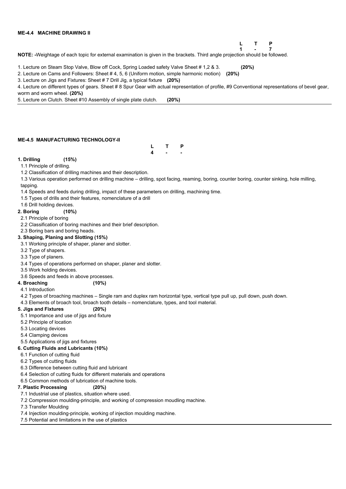## **ME-4.4 MACHINE DRAWING II**

## **L T P 1 - 7**

**NOTE: -**Weightage of each topic for external examination is given in the brackets. Third angle projection should be followed.

1. Lecture on Steam Stop Valve, Blow off Cock, Spring Loaded safety Valve Sheet # 1,2 & 3. **(20%)**

2. Lecture on Cams and Followers: Sheet # 4, 5, 6 (Uniform motion, simple harmonic motion) **(20%)**

3. Lecture on Jigs and Fixtures: Sheet # 7 Drill Jig, a typical fixture **(20%)**

4. Lecture on different types of gears. Sheet # 8 Spur Gear with actual representation of profile, #9 Conventional representations of bevel gear, worm and worm wheel. **(20%)**

5. Lecture on Clutch. Sheet #10 Assembly of single plate clutch. **(20%)**

#### **ME-4.5 MANUFACTURING TECHNOLOGY-II**



### **1. Drilling (15%)**

1.1 Principle of drilling.

1.2 Classification of drilling machines and their description.

1.3 Various operation performed on drilling machine – drilling, spot facing, reaming, boring, counter boring, counter sinking, hole milling, tapping.

1.4 Speeds and feeds during drilling, impact of these parameters on drilling, machining time.

1.5 Types of drills and their features, nomenclature of a drill

1.6 Drill holding devices.

### **2. Boring (10%)**

2.1 Principle of boring

2.2 Classification of boring machines and their brief description.

2.3 Boring bars and boring heads.

### **3. Shaping, Planing and Slotting (15%)**

3.1 Working principle of shaper, planer and slotter.

3.2 Type of shapers.

3.3 Type of planers.

3.4 Types of operations performed on shaper, planer and slotter.

3.5 Work holding devices.

3.6 Speeds and feeds in above processes.

**4. Broaching (10%)**

4.1 Introduction

4.2 Types of broaching machines – Single ram and duplex ram horizontal type, vertical type pull up, pull down, push down.

4.3 Elements of broach tool, broach tooth details – nomenclature, types, and tool material.

## **5. Jigs and Fixtures (20%)**

5.1 Importance and use of jigs and fixture

5.2 Principle of location

5.3 Locating devices

5.4 Clamping devices

5.5 Applications of jigs and fixtures

### **6. Cutting Fluids and Lubricants (10%)**

6.1 Function of cutting fluid

6.2 Types of cutting fluids

6.3 Difference between cutting fluid and lubricant

6.4 Selection of cutting fluids for different materials and operations

6.5 Common methods of lubrication of machine tools.

## **7. Plastic Processing (20%)**

7.1 Industrial use of plastics, situation where used.

7.2 Compression moulding-principle, and working of compression moudling machine.

7.3 Transfer Moulding

7.4 Injection moulding-principle, working of injection moulding machine.

7.5 Potential and limitations in the use of plastics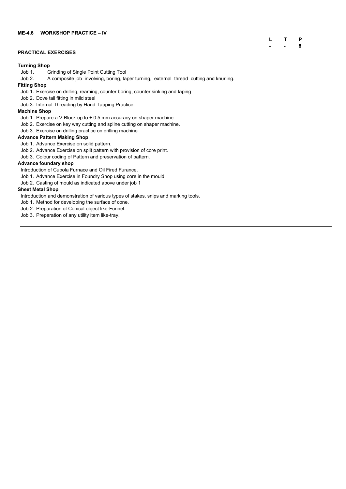## **L T P - - 8**

#### **PRACTICAL EXERCISES**

#### **Turning Shop**

- Job 1. Grinding of Single Point Cutting Tool
- Job 2. A composite job involving, boring, taper turning, external thread cutting and knurling.

#### **Fitting Shop**

- Job 1. Prepare a V-Block up to  $\pm$  0.5 mm accuracy on shaper machine
- Job 2. Exercise on key way cutting and spline cutting on shaper machine.
- Job 3. Exercise on drilling practice on drilling machine
- Job 1. Exercise on drilling, reaming, counter boring, counter sinking and taping
- Job 2. Dove tail fitting in mild steel
- Job 3. Internal Threading by Hand Tapping Practice.

### **Machine Shop**

### **Advance Pattern Making Shop**

- Job 1. Advance Exercise on solid pattern.
- Job 2. Advance Exercise on split pattern with provision of core print.
- Job 3. Colour coding of Pattern and preservation of pattern.

#### **Advance foundary shop**

Introduction of Cupola Furnace and Oil Fired Furance.

- Job 1. Advance Exercise in Foundry Shop using core in the mould.
- Job 2. Casting of mould as indicated above under job 1

### **Sheet Metal Shop**

Introduction and demonstration of various types of stakes, snips and marking tools.

- Job 1. Method for developing the surface of cone.
- Job 2. Preparation of Conical object like-Funnel.
- Job 3. Preparation of any utility item like-tray.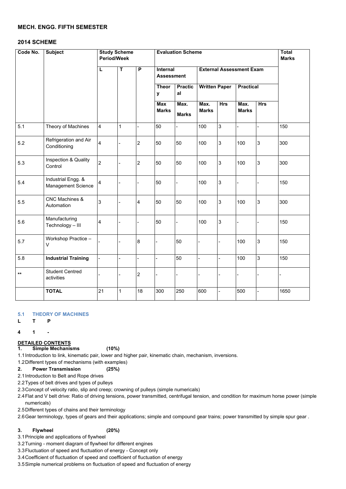## **MECH. ENGG. FIFTH SEMESTER**

## **2014 SCHEME**

### **5.1 THEORY OF MACHINES**

**L T P**

**4 1 -**

#### **DETAILED CONTENTS**

**1. Simple Mechanisms (10%)**

1.1Introduction to link, kinematic pair, lower and higher pair, kinematic chain, mechanism, inversions.

1.2Different types of mechanisms (with examples)

**2. Power Transmission (25%)**

2.1Introduction to Belt and Rope drives

2.2Types of belt drives and types of pulleys

2.3Concept of velocity ratio, slip and creep; crowning of pulleys (simple numericals)

2.4Flat and V belt drive: Ratio of driving tensions, power transmitted, centrifugal tension, and condition for maximum horse power (simple numericals)

2.5Different types of chains and their terminology

2.6Gear terminology, types of gears and their applications; simple and compound gear trains; power transmitted by simple spur gear .

## **3. Flywheel (20%)**

3.1Principle and applications of flywheel

3.2Turning - moment diagram of flywheel for different engines

3.3Fluctuation of speed and fluctuation of energy - Concept only

3.4Coefficient of fluctuation of speed and coefficient of fluctuation of energy

3.5Simple numerical problems on fluctuation of speed and fluctuation of energy

| Code No. | <b>Subject</b>                                  | <b>Study Scheme</b><br><b>Period/Week</b> |             |                | <b>Evaluation Scheme</b>             |                      |                      |                                 |                      |                | <b>Total</b><br><b>Marks</b> |
|----------|-------------------------------------------------|-------------------------------------------|-------------|----------------|--------------------------------------|----------------------|----------------------|---------------------------------|----------------------|----------------|------------------------------|
|          |                                                 | L                                         | T           | $\overline{P}$ | <b>Internal</b><br><b>Assessment</b> |                      |                      | <b>External Assessment Exam</b> |                      |                |                              |
|          |                                                 |                                           |             |                | <b>Theor</b><br>y                    | <b>Practic</b><br>al | <b>Written Paper</b> |                                 | <b>Practical</b>     |                |                              |
|          |                                                 |                                           |             |                | <b>Max</b><br><b>Marks</b>           | Max.<br><b>Marks</b> | Max.<br><b>Marks</b> | <b>Hrs</b>                      | Max.<br><b>Marks</b> | <b>Hrs</b>     |                              |
| 5.1      | Theory of Machines                              | $\overline{4}$                            | $\mathbf 1$ |                | 50                                   |                      | 100                  | 3                               |                      |                | 150                          |
| 5.2      | Refrigeration and Air<br>Conditioning           | 4                                         |             | $\overline{2}$ | 50                                   | 50                   | 100                  | 3                               | 100                  | $\mathfrak{S}$ | 300                          |
| 5.3      | <b>Inspection &amp; Quality</b><br>Control      | $\overline{2}$                            |             | $\overline{2}$ | 50                                   | 50                   | 100                  | 3                               | 100                  | $\mathfrak{S}$ | 300                          |
| 5.4      | Industrial Engg. &<br><b>Management Science</b> | $\overline{4}$                            |             |                | 50                                   |                      | 100                  | $\sqrt{3}$                      |                      |                | 150                          |
| 5.5      | <b>CNC Machines &amp;</b><br>Automation         | 3                                         |             | $\overline{4}$ | 50                                   | 50                   | 100                  | 3                               | 100                  | $\mathfrak{S}$ | 300                          |
| 5.6      | Manufacturing<br>Technology - III               | $\overline{\mathbf{4}}$                   |             |                | 50                                   |                      | 100                  | $\sqrt{3}$                      |                      |                | 150                          |
| 5.7      | Workshop Practice -<br>V                        |                                           |             | $8\phantom{1}$ |                                      | 50                   |                      |                                 | 100                  | $\mathfrak{B}$ | 150                          |
| 5.8      | <b>Industrial Training</b>                      | $\blacksquare$                            |             |                |                                      | 50                   |                      |                                 | 100                  | $\mathfrak{S}$ | 150                          |
| $***$    | <b>Student Centred</b><br>activities            |                                           |             | $\overline{2}$ |                                      |                      |                      |                                 |                      |                |                              |
|          | <b>TOTAL</b>                                    | 21                                        | 1           | 18             | 300                                  | 250                  | 600                  |                                 | 500                  | -              | 1650                         |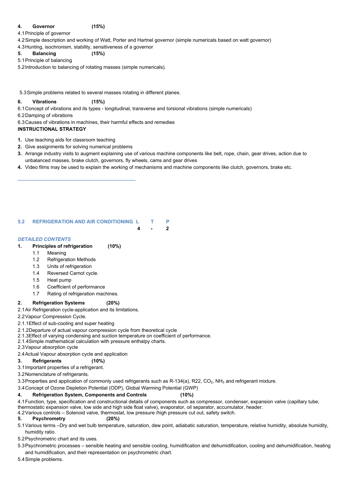## **4. Governor (15%)**

- 4.1Principle of governor
- 4.2Simple description and working of Watt, Porter and Hartnel governor (simple numericals based on watt governor) 4.3Hunting, isochronism, stability, sensitiveness of a governor

**5. Balancing (15%)**

## 5.1Principle of balancing

5.2Introduction to balancing of rotating masses (simple numericals).

5.3Simple problems related to several masses rotating in different planes.

### **6. Vibrations (15%)**

6.1Concept of vibrations and its types - longitudinal, transverse and torsional vibrations (simple numericals)

6.2Damping of vibrations

6.3Causes of vibrations in machines, their harmful effects and remedies

## **INSTRUCTIONAL STRATEGY**

- **1.** Use teaching aids for classroom teaching
- **2.** Give assignments for solving numerical problems

- **3.** Arrange industry visits to augment explaining use of various machine components like belt, rope, chain, gear drives, action due to unbalanced masses, brake clutch, governors, fly wheels, cams and gear drives
- **4.** Video films may be used to explain the working of mechanisms and machine components like clutch, governors, brake etc.

**\_\_\_\_\_\_\_\_\_\_\_\_\_\_\_\_\_\_\_\_\_\_\_\_\_\_\_\_\_\_\_\_\_\_\_\_\_\_\_\_\_\_\_**

## **5.2 REFRIGERATION AND AIR CONDITIONING L T P**

 **4 - 2**

## *DETAILED CONTENTS*

**1. Principles of refrigeration (10%)**

- 1.1 Meaning
- 1.2 Refrigeration Methods
- 1.3 Units of refrigeration
- 1.4 Reversed Carnot cycle.
- 1.5 Heat pump
- 1.6 Coefficient of performance
- 1.7 Rating of refrigeration machines.

## **2. Refrigeration Systems (20%)**

2.1Air Refrigeration cycle-application and its limitations.

- 2.2Vapour Compression Cycle.
- 2.1.1Effect of sub-cooling and super heating
- 2.1.2Departure of actual vapour compression cycle from theoretical cycle
- 2.1.3Effect of varying condensing and suction temperature on coefficient of performance.
- 2.1.4Simple mathematical calculation with pressure enthalpy charts.
- 2.3Vapour absorption cycle
- 2.4Actual Vapour absorption cycle and application

## **3. Refrigerants (10%)**

3.1Important properties of a refrigerant.

## 3.2Nomenclature of refrigerants.

3.3 Properties and application of commonly used refrigerants such as R-134(a), R22, CO<sub>2</sub>, NH<sub>3</sub> and refrigerant mixture.

3.4Concept of Ozone Depletion Potential (ODP), Global Warming Potential (GWP)

## **4. Refrigeration System, Components and Controls (10%)**

4.1Function, type, specification and constructional details of components such as compressor, condenser, expansion valve (capillary tube, thermostatic expansion valve, low side and high side float valve), evaporator, oil separator, accumulator, header.

4.2Various controls – Solenoid valve, thermostat, low pressure /high pressure cut out, safety switch.

## **5. Psychrometry (20%)**

5.1Various terms –Dry and wet bulb temperature, saturation, dew point, adiabatic saturation, temperature, relative humidity, absolute humidity, humidity ratio.

5.2Psychrometric chart and its uses.

5.3Psychrometric processes – sensible heating and sensible cooling, humidification and dehumidification, cooling and dehumidification, heating and humidification, and their representation on psychrometric chart.

5.4Simple problems.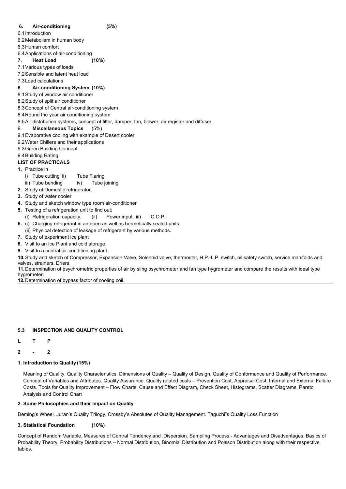## **6. Air-conditioning (5%)**

6.1Introduction

6.2Metabolism in human body

6.3Human comfort

- 6.4Applications of air-conditioning
- **7. Heat Load (10%)**
- 7.1Various types of loads
- 7.2Sensible and latent heat load
- 7.3Load calculations

## **8. Air-conditioning System (10%)**

- 8.1Study of window air conditioner
- 8.2Study of split air conditioner
- 8.3Concept of Central air-conditioning system
- 8.4Round the year air conditioning system
- 8.5Air distribution systems, concept of filter, damper, fan, blower, air register and diffuser.

## 9. **Miscellaneous Topics** (5%)

- 9.1Evaporative cooling with example of Desert cooler
- 9.2Water Chillers and their applications
- 9.3Green Building Concept
- 9.4Building Rating

## **LIST OF PRACTICALS**

- **1.** Practice in
	- i) Tube cutting ii) Tube Flaring
	- iii) Tube bending iv) Tube joining
- **2.** Study of Domestic refrigerator.
- **3.** Study of water cooler
- **4.** Study and sketch window type room air-conditioner
- **5.** Testing of a refrigeration unit to find out;
	- (i) Refrigeration capacity, (ii) Power input, iii) C.O.P.
- **6.** (i) Charging refrigerant in an open as well as hermetically sealed units. (ii) Physical detection of leakage of refrigerant by various methods.
- **7.** Study of experiment ice plant
- **8.** Visit to an Ice Plant and cold storage.
- **9.** Visit to a central air-conditioning plant.

**10.**Study and sketch of Compressor, Expansion Valve, Solenoid valve, thermostat, H.P.-L.P. switch, oil safety switch, service manifolds and valves, strainers, Driers.

**11.**Determination of psychrometric properties of air by sling psychrometer and fan type hygrometer and compare the results with ideal type hygrometer.

**12.**Determination of bypass factor of cooling coil.

## **5.3 INSPECTION AND QUALITY CONTROL**

- **L T P**
- **2 - 2**
- **1. Introduction to Quality (15%)**

Meaning of Quality. Quality Characteristics. Dimensions of Quality – Quality of Design, Quality of Conformance and Quality of Performance. Concept of Variables and Attributes. Quality Assurance. Quality related costs – Prevention Cost, Appraisal Cost, Internal and External Failure Costs. Tools for Quality Improvement – Flow Charts, Cause and Effect Diagram, Check Sheet, Histograms, Scatter Diagrams, Pareto Analysis and Control Chart

### **2. Some Philosophies and their Impact on Quality**

Deming's Wheel. Juran's Quality Trilogy, Crossby's Absolutes of Quality Management. Taguchi"s Quality Loss Function

#### **3. Statistical Foundation (10%)**

Concept of Random Variable. Measures of Central Tendency and .Dispersion. Sampling Process.- Advantages and Disadvantages. Basics of Probability Theory. Probability Distributions – Normal Distribution, Binomial Distribution and Poisson Distribution along with their respective tables.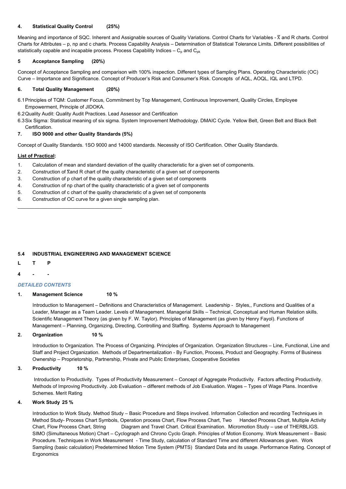#### **4. Statistical Quality Control (25%)**

Meaning and importance of SQC. Inherent and Assignable sources of Quality Variations. Control Charts for Variables -  $\overline{X}$  and R charts. Control Charts for Attributes – p, np and c charts. Process Capability Analysis – Determination of Statistical Tolerance Limits. Different possibilities of statistically capable and incapable process. Process Capability Indices –  $C_p$  and  $C_{pk}$ 

#### **5 Acceptance Sampling (20%)**

Concept of Acceptance Sampling and comparison with 100% inspection. Different types of Sampling Plans. Operating Characteristic (OC) Curve – Importance and Significance. Concept of Producer's Risk and Consumer's Risk. Concepts of AQL, AOQL, IQL and LTPD.

#### **6. Total Quality Management (20%)**

- 6.1Principles of TQM: Customer Focus, Commitment by Top Management, Continuous Improvement, Quality Circles, Employee Empowerment, Principle of JIDOKA.
- 6.2Quality Audit: Quality Audit Practices. Lead Assessor and Certification
- 6.3Six Sigma: Statistical meaning of six sigma. System Improvement Methodology. DMAIC Cycle. Yellow Belt, Green Belt and Black Belt Certification.

#### **7. ISO 9000 and other Quality Standards (5%)**

Concept of Quality Standards. 1SO 9000 and 14000 standards. Necessity of ISO Certification. Other Quality Standards.

#### **List of Practical:**

- 1. Calculation of mean and standard deviation of the quality characteristic for a given set of components.
- 2. Construction of  $\overline{X}$ and R chart of the quality characteristic of a given set of components
- 3. Construction of p chart of the quality characteristic of a given set of components
- 4. Construction of np chart of the quality characteristic of a given set of components
- 5. Construction of c chart of the quality characteristic of a given set of components
- 6. Construction of OC curve for a given single sampling plan.

Introduction to Work Study. Method Study – Basic Procedure and Steps involved. Information Collection and recording Techniques in Method Study- Process Chart Symbols, Operation process Chart, Flow Process Chart, Two Handed Process Chart, Multiple Activity Chart, Flow Process Chart, String Diagram and Travel Chart. Critical Examination. Micromotion Study – use of THERBLIGS. SIMO (Simultaneous Motion) Chart – Cyclograph and Chrono Cyclo Graph. Principles of Motion Economy. Work Measurement – Basic Procedure. Techniques in Work Measurement - Time Study, calculation of Standard Time and different Allowances given. Work Sampling (basic calculation) Predetermined Motion Time System (PMTS) Standard Data and its usage. Performance Rating. Concept of **Ergonomics** 

### **5.4 INDUSTRIAL ENGINEERING AND MANAGEMENT SCIENCE**

- **L T P**
- **4 - -**

#### *DETAILED CONTENTS*

#### **1. Management Science 10 %**

 $\overline{\phantom{a}}$  ,  $\overline{\phantom{a}}$  ,  $\overline{\phantom{a}}$  ,  $\overline{\phantom{a}}$  ,  $\overline{\phantom{a}}$  ,  $\overline{\phantom{a}}$  ,  $\overline{\phantom{a}}$  ,  $\overline{\phantom{a}}$  ,  $\overline{\phantom{a}}$  ,  $\overline{\phantom{a}}$  ,  $\overline{\phantom{a}}$  ,  $\overline{\phantom{a}}$  ,  $\overline{\phantom{a}}$  ,  $\overline{\phantom{a}}$  ,  $\overline{\phantom{a}}$  ,  $\overline{\phantom{a}}$ 

Introduction to Management – Definitions and Characteristics of Management. Leadership - Styles,, Functions and Qualities of a Leader, Manager as a Team Leader. Levels of Management. Managerial Skills – Technical, Conceptual and Human Relation skills. Scientific Management Theory (as given by F. W. Taylor). Principles of Management (as given by Henry Fayol). Functions of Management – Planning, Organizing, Directing, Controlling and Staffing. Systems Approach to Management

#### **2. Organization 10 %**

Introduction to Organization. The Process of Organizing. Principles of Organization. Organization Structures – Line, Functional, Line and Staff and Project Organization. Methods of Departmentalization - By Function, Process, Product and Geography. Forms of Business Ownership – Proprietorship, Partnership, Private and Public Enterprises, Cooperative Societies

#### **3. Productivity 10 %**

Introduction to Productivity. Types of Productivity Measurement – Concept of Aggregate Productivity. Factors affecting Productivity. Methods of Improving Productivity. Job Evaluation – different methods of Job Evaluation. Wages – Types of Wage Plans. Incentive Schemes. Merit Rating

**4. Work Study 25 %**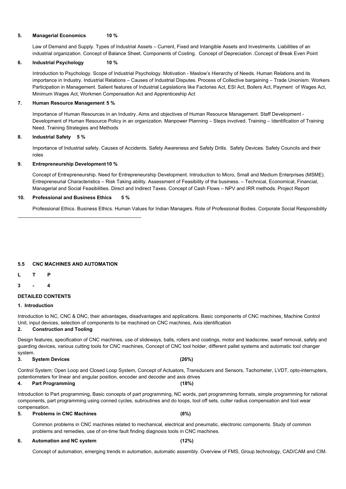### **5. Managerial Economics 10 %**

Law of Demand and Supply. Types of Industrial Assets – Current, Fixed and Intangible Assets and Investments. Liabilities of an industrial organization. Concept of Balance Sheet. Components of Costing. Concept of Depreciation .Concept of Break Even Point

#### **6. Industrial Psychology 10 %**

Introduction to Psychology. Scope of Industrial Psychology. Motivation - Maslow's Hierarchy of Needs. Human Relations and its importance in Industry. Industrial Relations – Causes of Industrial Disputes. Process of Collective bargaining – Trade Unionism. Workers Participation in Management. Salient features of Industrial Legislations like Factories Act, ESI Act, Boilers Act, Payment of Wages Act, Minimum Wages Act, Workmen Compensation Act and Apprenticeship Act

#### **7. Human Resource Management 5 %**

Importance of Human Resources in an Industry. Aims and objectives of Human Resource Management. Staff Development - Development of Human Resource Policy in an organization. Manpower Planning – Steps involved. Training – Identification of Training Need, Training Strategies and Methods

#### **8. Industrial Safety 5 %**

Importance of Industrial safety. Causes of Accidents. Safety Awareness and Safety Drills. Safety Devices. Safety Councils and their roles

#### **9. Entrepreneurship Development10 %**

Concept of Entrepreneurship. Need for Entrepreneurship Development. Introduction to Micro, Small and Medium Enterprises (MSME). Entrepreneurial Characteristics – Risk Taking ability. Assessment of Feasibility of the business. – Technical, Economical, Financial, Managerial and Social Feasibilities. Direct and Indirect Taxes. Concept of Cash Flows – NPV and IRR methods. Project Report

### **10. Professional and Business Ethics 5 %**

 $\mathcal{L}_\text{max}$  , and the set of the set of the set of the set of the set of the set of the set of the set of the set of the set of the set of the set of the set of the set of the set of the set of the set of the set of the

Professional Ethics. Business Ethics. Human Values for Indian Managers. Role of Professional Bodies. Corporate Social Responsibility

### **5.5 CNC MACHINES AND AUTOMATION**

**L T P**

**3 - 4**

### **DETAILED CONTENTS**

#### **1. Introduction**

Introduction to NC, CNC & DNC, their advantages, disadvantages and applications. Basic components of CNC machines, Machine Control Unit, input devices, selection of components to be machined on CNC machines, Axis identification

#### **2. Construction and Tooling**

Design features, specification of CNC machines, use of slideways, balls, rollers and coatings, motor and leadscrew, swarf removal, safety and guarding devices, various cutting tools for CNC machines, Concept of CNC tool holder, different pallet systems and automatic tool changer system.

#### **3. System Devices (26%)**

Control System; Open Loop and Closed Loop System, Concept of Actuators, Transducers and Sensors, Tachometer, LVDT, opto-interrupters, potentiometers for linear and angular position, encoder and decoder and axis drives

#### **4. Part Programming (18%)**

Introduction to Part programming, Basic concepts of part programming, NC words, part programming formats, simple programming for rational components, part programming using conned cycles, subroutines and do loops, tool off sets, cutter radius compensation and tool wear compensation.

**5. Problems in CNC Machines (8%)**

Common problems in CNC machines related to mechanical, electrical and pneumatic, electronic components. Study of common problems and remedies, use of on-time fault finding diagnosis tools in CNC machines.

**6. Automation and NC system (12%)**

Concept of automation, emerging trends in automation, automatic assembly. Overview of FMS, Group technology, CAD/CAM and CIM.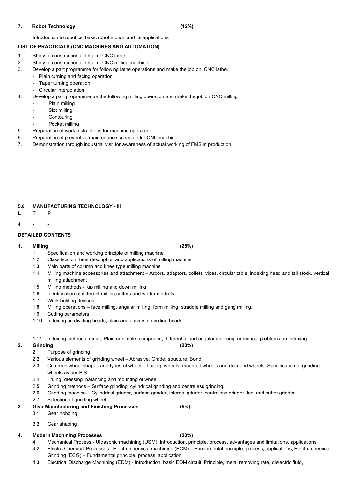#### **7. Robot Technology (12%)**

Introduction to robotics, basic robot motion and its applications

## **LIST OF PRACTICALS (CNC MACHINES AND AUTOMATION)**

- 1. Study of constructional detail of CNC lathe.
- 2. Study of constructional detail of CNC milling machine.
- 3. Develop a part programme for following lathe operations and make the job on CNC lathe.
	- Plain turning and facing operation
	- Taper turning operation
	- Circular interpolation.
- 4. Develop a part programme for the following milling operation and make the job on CNC milling
	- Plain milling
	- Slot milling
	- Contouring
	- Pocket milling
- 5. Preparation of work instructions for machine operator
- 6. Preparation of preventive maintenance schedule for CNC machine.
- 7. Demonstration through industrial visit for awareness of actual working of FMS in production.

### **5.6 MANUFACTURING TECHNOLOGY - III**

- **L T P**
- **4 - -**

## **DETAILED CONTENTS**

### **1. Milling (25%)**

- 1.1 Specification and working principle of milling machine
- 1.2 Classification, brief description and applications of milling machine
- 1.3 Main parts of column and knee type milling machine
- 1.4 Milling machine accessories and attachment Arbors, adaptors, collets, vices, circular table, indexing head and tail stock, vertical milling attachment
- 1.5 Milling methods up milling and down milling
- 1.6 Identification of different milling cutters and work mandrels
- 1.7 Work holding devices
- 1.8 Milling operations face milling, angular milling, form milling, straddle milling and gang milling.
- 1.9 Cutting parameters
- 1.10 Indexing on dividing heads, plain and universal dividing heads.
- 1.11 Indexing methods: direct, Plain or simple, compound, differential and angular indexing, numerical problems on indexing.

### **2. Grinding (20%)**

- 2.1 Purpose of grinding
- 2.2 Various elements of grinding wheel Abrasive, Grade, structure, Bond
- 2.3 Common wheel shapes and types of wheel built up wheels, mounted wheels and diamond wheels. Specification of grinding

wheels as per BIS.

- 2.4 Truing, dressing, balancing and mounting of wheel.
- 2.5 Grinding methods Surface grinding, cylindrical grinding and centreless grinding.
- 2.6 Grinding machine Cylindrical grinder, surface grinder, internal grinder, centreless grinder, tool and cutter grinder.
- 2.7 Selection of grinding wheel
- **3. Gear Manufacturing and Finishing Processes (5%)**
	- 3.1 Gear hobbing
	- 3.2 Gear shaping

## **4. Modern Machining Processes (20%)**

- 4.1 Mechanical Process Ultrasonic machining (USM): Introduction, principle, process, advantages and limitations, applications
- 4.2 Electro Chemical Processes Electro chemical machining (ECM) Fundamental principle, process, applications, Electro chemical Grinding (ECG) – Fundamental principle, process, application
- 4.3 Electrical Discharge Machining (EDM) Introduction, basic EDM circuit, Principle, metal removing rate, dielectric fluid,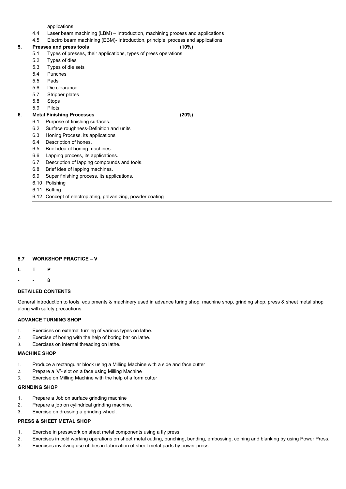applications

- 4.4 Laser beam machining (LBM) Introduction, machining process and applications
- 4.5 Electro beam machining (EBM)- Introduction, principle, process and applications

#### **5. Presses and press tools (10%)**

- 
- 5.1 Types of presses, their applications, types of press operations.
- 5.2 Types of dies
- 5.3 Types of die sets
- 5.4 Punches
- 5.5 Pads
- 5.6 Die clearance
- 5.7 Stripper plates
- 5.8 Stops
- 5.9 Pilots

### **6. Metal Finishing Processes (20%)**

- 6.1 Purpose of finishing surfaces.
- 6.2 Surface roughness-Definition and units
- 6.3 Honing Process, its applications
- 6.4 Description of hones.
- 6.5 Brief idea of honing machines.
- 6.6 Lapping process, its applications.
- 6.7 Description of lapping compounds and tools.
- 6.8 Brief idea of lapping machines.
- 6.9 Super finishing process, its applications.
- 6.10 Polishing
- 6.11 Buffing
- 6.12 Concept of electroplating, galvanizing, powder coating

## **5.7 WORKSHOP PRACTICE – V**

- **L T P**
- **- - 8**

### **DETAILED CONTENTS**

General introduction to tools, equipments & machinery used in advance turing shop, machine shop, grinding shop, press & sheet metal shop along with safety precautions.

### **ADVANCE TURNING SHOP**

- 1. Exercises on external turning of various types on lathe.
- 2. Exercise of boring with the help of boring bar on lathe.
- 3. Exercises on internal threading on lathe.

### **MACHINE SHOP**

- 1. Produce a rectangular block using a Milling Machine with a side and face cutter
	-
- 2. Prepare a 'V'- slot on a face using Milling Machine
- 3. Exercise on Milling Machine with the help of a form cutter

#### **GRINDING SHOP**

- 1. Prepare a Job on surface grinding machine
- 2. Prepare a job on cylindrical grinding machine.
- 3. Exercise on dressing a grinding wheel.

#### **PRESS & SHEET METAL SHOP**

- 1. Exercise in presswork on sheet metal components using a fly press.
- 2. Exercises in cold working operations on sheet metal cutting, punching, bending, embossing, coining and blanking by using Power Press.
- 3. Exercises involving use of dies in fabrication of sheet metal parts by power press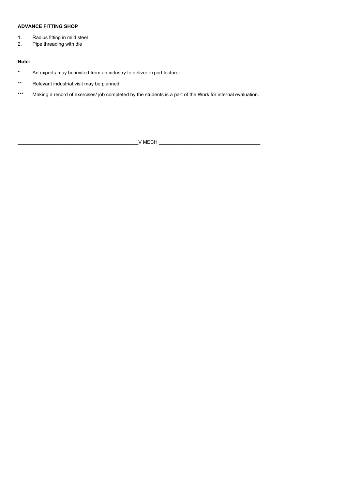## **ADVANCE FITTING SHOP**

- **\*** An experts may be invited from an industry to deliver export lecturer.
- \*\* Relevant industrial visit may be planned.
- \*\*\* Making a record of exercises/ job completed by the students is a part of the Work for internal evaluation.
- 1. Radius fitting in mild steel
- 2. Pipe threading with die

### **Note:**

\_\_\_\_\_\_\_\_\_\_\_\_\_\_\_\_\_\_\_\_\_\_\_\_\_\_\_\_\_\_\_\_\_\_\_\_\_\_\_\_\_\_\_\_V MECH \_\_\_\_\_\_\_\_\_\_\_\_\_\_\_\_\_\_\_\_\_\_\_\_\_\_\_\_\_\_\_\_\_\_\_\_\_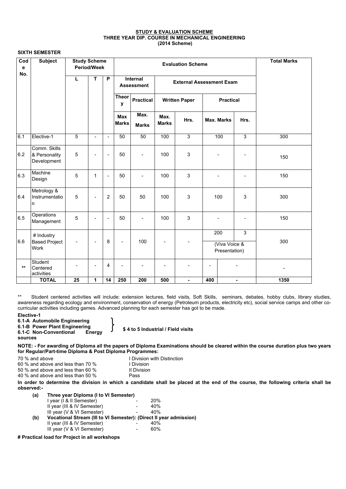#### **STUDY & EVALUATION SCHEME THREE YEAR DIP. COURSE IN MECHANICAL ENGINEERING (2014 Scheme)**

#### **SIXTH SEMESTER**

| Cod<br>e<br>No. | <b>Subject</b>                               | <b>Study Scheme</b><br><b>Period/Week</b> |                |                          |                            |                                                                         | <b>Total Marks</b>   |                      |                                                       |                   |                |      |  |     |
|-----------------|----------------------------------------------|-------------------------------------------|----------------|--------------------------|----------------------------|-------------------------------------------------------------------------|----------------------|----------------------|-------------------------------------------------------|-------------------|----------------|------|--|-----|
|                 |                                              | L                                         | T              | P                        |                            | <b>Internal</b><br><b>External Assessment Exam</b><br><b>Assessment</b> |                      |                      |                                                       |                   |                |      |  |     |
|                 |                                              |                                           |                |                          | <b>Theor</b><br>y          | <b>Practical</b>                                                        |                      | <b>Written Paper</b> |                                                       | <b>Practical</b>  |                |      |  |     |
|                 |                                              |                                           |                |                          | <b>Max</b><br><b>Marks</b> | Max.<br><b>Marks</b>                                                    | Max.<br><b>Marks</b> | Hrs.                 |                                                       | <b>Max. Marks</b> | Hrs.           |      |  |     |
| 6.1             | Elective-1                                   | $5\phantom{.}$                            | $\blacksquare$ | $\blacksquare$           | 50                         | 50                                                                      | 100                  | $\mathfrak{S}$       |                                                       | 100               | $\mathfrak{Z}$ | 300  |  |     |
| 6.2             | Comm. Skills<br>& Personality<br>Development | 5                                         | -              | $\overline{\phantom{a}}$ | 50                         |                                                                         | 100                  | 3                    |                                                       |                   |                | 150  |  |     |
| 6.3             | Machine<br>Design                            | 5                                         | 1              | $\blacksquare$           | 50                         |                                                                         | 100                  | 3                    |                                                       |                   |                | 150  |  |     |
| 6.4             | Metrology &<br>Instrumentatio<br>n           | $\overline{5}$                            |                | $\overline{2}$           | 50                         | 50                                                                      | 100                  | 3                    |                                                       | 100               | 3              | 300  |  |     |
| 6.5             | Operations<br>Management                     | 5                                         |                | $\blacksquare$           | 50                         |                                                                         | 100                  | 3                    |                                                       |                   |                | 150  |  |     |
| 6.6             | # Industry<br><b>Based Project</b><br>Work   |                                           |                | 8                        |                            | 100                                                                     |                      |                      | 200<br>$\mathbf{3}$<br>(Viva Voice &<br>Presentation) |                   |                |      |  | 300 |
| $***$           | Student<br>Centered<br>activities            |                                           |                | $\overline{4}$           |                            |                                                                         |                      |                      | ۰                                                     |                   |                |      |  |     |
|                 | <b>TOTAL</b>                                 | 25                                        | 1              | 14                       | 250                        | 200                                                                     | 500                  | $\blacksquare$       | 400                                                   |                   | $\blacksquare$ | 1350 |  |     |

50 % and above and less than 60 % II Division 40 % and above and less than 50 % Pass

> **(a) Three year Diploma (I to VI Semester)** I year (I & II Semester)  $-20\%$ II year (III & IV Semester)  $-$  40% III year  $(V & VI$  Semester)  $10V + 40\%$ **(b) Vocational Stream (III to VI Semester): (Direct II year admission)** II year (III & IV Semester)  $-$  40% III year  $(V & VI$  Semester)  $-$  60%

\*\* Student centered activities will include: extension lectures, field visits, Soft Skills, seminars, debates, hobby clubs, library studies, awareness regarding ecology and environment, conservation of energy (Petroleum products, electricity etc), social service camps and other cocurricular activities including games. Advanced planning for each semester has got to be made.

#### **Elective-1**

**6.1-A Automobile Engineering**

**6.1-B Power Plant Engineering**

**6.1-C Non-Conventional Energy** 

**sources**

**\$ 4 to 5 Industrial / Field visits**

**NOTE: - For awarding of Diploma all the papers of Diploma Examinations should be cleared within the course duration plus two years for Regular/Part-time Diploma & Post Diploma Programmes:**

70 % and above I Division with Distinction

60 % and above and less than 70 % I Division

**In order to determine the division in which a candidate shall be placed at the end of the course, the following criteria shall be observed:-**

**# Practical load for Project in all workshops**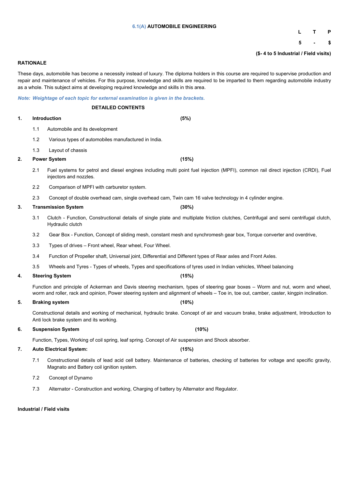#### **6.1(A) AUTOMOBILE ENGINEERING**

## **L T P**

**5 - \$**

**(\$- 4 to 5 Industrial / Field visits)**

#### **RATIONALE**

These days, automobile has become a necessity instead of luxury. The diploma holders in this course are required to supervise production and repair and maintenance of vehicles. For this purpose, knowledge and skills are required to be imparted to them regarding automobile industry as a whole. This subject aims at developing required knowledge and skills in this area.

*Note: Weightage of each topic for external examination is given in the brackets.*

#### **DETAILED CONTENTS**

#### **1. Introduction (5%)**

- 1.1 Automobile and its development
- 1.2 Various types of automobiles manufactured in India.
- 1.3 Layout of chassis
- **2. Power System (15%)**
	- 2.1 Fuel systems for petrol and diesel engines including multi point fuel injection (MPFI), common rail direct injection (CRDI), Fuel injectors and nozzles.
	- 2.2 Comparison of MPFI with carburetor system.
	- 2.3 Concept of double overhead cam, single overhead cam, Twin cam 16 valve technology in 4 cylinder engine.
- **3. Transmission System (30%)**
	- 3.1 Clutch Function, Constructional details of single plate and multiplate friction clutches, Centrifugal and semi centrifugal clutch, Hydraulic clutch
	- 3.2 Gear Box Function, Concept of sliding mesh, constant mesh and synchromesh gear box, Torque converter and overdrive,
	- 3.3 Types of drives Front wheel, Rear wheel, Four Wheel.
	- 3.4 Function of Propeller shaft, Universal joint, Differential and Different types of Rear axles and Front Axles.
	- 3.5 Wheels and Tyres Types of wheels, Types and specifications of tyres used in Indian vehicles, Wheel balancing

#### **4. Steering System (15%)**

Function and principle of Ackerman and Davis steering mechanism, types of steering gear boxes – Worm and nut, worm and wheel, worm and roller, rack and opinion, Power steering system and alignment of wheels – Toe in, toe out, camber, caster, kingpin inclination.

#### **5. Braking system (10%)**

Constructional details and working of mechanical, hydraulic brake. Concept of air and vacuum brake, brake adjustment, Introduction to Anti lock brake system and its working.

**6. Suspension System (10%)**

Function, Types, Working of coil spring, leaf spring. Concept of Air suspension and Shock absorber.

#### **7. Auto Electrical System: (15%)**

7.1 Constructional details of lead acid cell battery. Maintenance of batteries, checking of batteries for voltage and specific gravity, Magnato and Battery coil ignition system.

- 7.2 Concept of Dynamo
- 7.3 Alternator Construction and working, Charging of battery by Alternator and Regulator.

**Industrial / Field visits**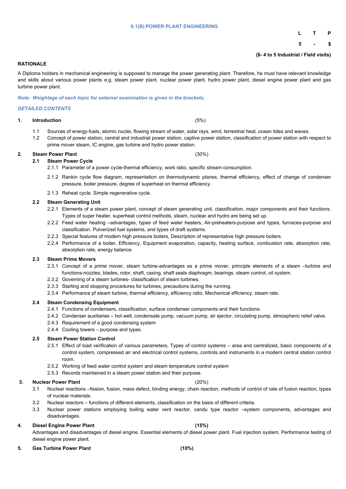#### **6.1(B) POWER PLANT ENGINEERING**

# **L T P**

**5 - \$**

**(\$- 4 to 5 Industrial / Field visits)**

#### **RATIONALE**

A Diploma holders in mechanical engineering is supposed to manage the power generating plant. Therefore, he must have relevant knowledge and skills about various power plants e.g. steam power plant, nuclear power plant, hydro power plant, diesel engine power plant and gas turbine power plant.

*Note: Weightage of each topic for external examination is given in the brackets.*

#### *DETAILED CONTENTS*

**1. Introduction** (5%)

1.1 Sources of energy-fuels, atomic nuclei, flowing stream of water, solar rays, wind, terrestrial heat, ocean tides and waves.

1.2 Concept of power station, central and industrial power station, captive power station, classification of power station with respect to prime mover steam, IC engine, gas turbine and hydro power station.

#### **2. Steam Power Plant** (30%)

- **2.1 Steam Power Cycle** 2.1.1 Parameter of a power cycle-thermal efficiency, work ratio, specific stream consumption.
	- 2.1.2 Rankin cycle flow diagram, representation on thermodynamic planes, thermal efficiency, effect of change of condenser pressure, boiler pressure, degree of superheat on thermal efficiency.
	- 2.1.3 Reheat cycle. Simple regenerative cycle.

#### **2.2 Steam Generating Unit**

- 2.2.1 Elements of a steam power plant, concept of steam generating unit, classification, major components and their functions. Types of super heater, superheat control methods, steam, nuclear and hydro are being set up.
- 2.2.2 Feed water heating –advantages, types of feed water heaters, Air-preheaters-purpose and types, furnaces-purpose and classification. Pulverized fuel systems, and types of draft systems.
- 2.2.3 Special features of modern high pressure boilers, Description of representative high pressure boilers.
- 2.2.4 Performance of a boiler, Efficiency, Equipment evaporation, capacity, heating surface, combustion rate, absorption rate, absorption rate, energy balance.

#### **2.3 Steam Prime Movers**

- 2.3.1 Concept of a prime mover, steam turbine-advantages as a prime mover, principle elements of a steam –turbine and functions-nozzles, blades, rotor, shaft, casing, shaft seals diaphragm, bearings, steam control, oil system.
- 2.3.2 Governing of a steam turbines- classification of steam turbines.
- 2.3.3 Starting and stopping procedures for turbines, precautions during the running.
- 2.3.4 Performance pf steam turbine, thermal efficiency, efficiency ratio, Mechanical efficiency, steam rate.

#### **2.4 Steam Condensing Equipment**

- 2.4.1 Functions of condensers, classification, surface condenser components and their functions.
- 2.4.2 Condenser auxiliaries hot well, condensate pump, vacuum pump, air ejector, circulating pump, atmospheric relief valve.
- 2.4.3 Requirement of a good condensing system
- 2.4.4 Cooling towers purpose and types.

#### **2.5 Steam Power Station Control**

- 2.5.1 Effect of load verification of various parameters, Types of control systems area and centralized, basic components of a control system, compressed air and electrical control systems, controls and instruments in a modern central station control room.
- 2.5.2 Working of feed water control system and steam temperature control system

2.5.3 Records maintained in a steam power station and their purpose.

- **3. Nuclear Power Plant** (20%)
	- 3.1 Nuclear reactions –fission, fusion, mass defect, binding energy, chain reaction, methods of control of rate of fusion reaction, types of nuclear materials.
	- 3.2 Nuclear reactors functions of different elements, classification on the basis of different criteria.
	- 3.3 Nuclear power stations employing boiling water vent reactor, candu type reactor –system components, advantages and disadvantages.

#### **4. Diesel Engine Power Plant (15%)**

Advantages and disadvantages of diesel engine. Essential elements of diesel power plant. Fuel injection system. Performance testing of diesel engine power plant.

**5. Gas Turbine Power Plant (10%)**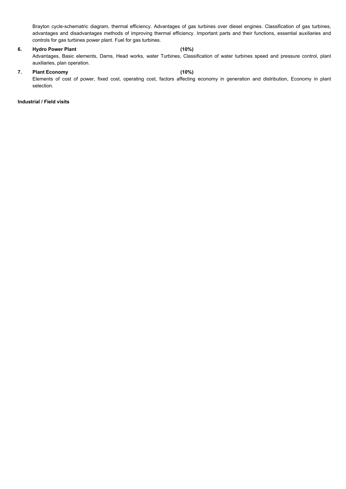Brayton cycle-schematric diagram, thermal efficiency. Advantages of gas turbines over diesel engines. Classification of gas turbines, advantages and disadvantages methods of improving thermal efficiency. Important parts and their functions, essential auxiliaries and controls for gas turbines power plant. Fuel for gas turbines.

#### **6. Hydro Power Plant (10%)**

Advantages, Basic elements, Dams, Head works, water Turbines, Classification of water turbines speed and pressure control, plant auxiliaries, plan operation.

## **7. Plant Economy (10%)**

Elements of cost of power, fixed cost, operating cost, factors affecting economy in generation and distribution, Economy in plant selection.

#### **Industrial / Field visits**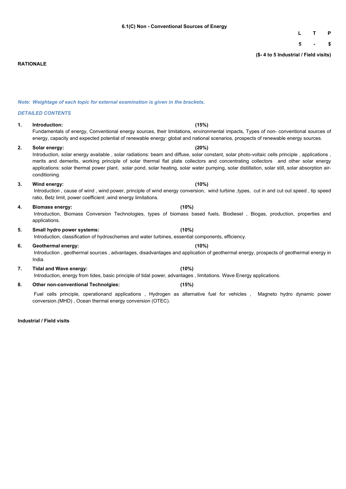## **L T P**

**5 - \$**

**(\$- 4 to 5 Industrial / Field visits)**

#### **RATIONALE**

*Note: Weightage of each topic for external examination is given in the brackets.*

#### *DETAILED CONTENTS*

#### **1. Introduction: (15%)**

Fundamentals of energy, Conventional energy sources, their limitations, environmental impacts, Types of non- conventional sources of energy, capacity and expected potential of renewable energy: global and national scenarios, prospects of renewable energy sources.

**2. Solar energy: (20%)**

Introduction, solar energy available , solar radiations: beam and diffuse, solar constant, solar photo-voltaic cells principle , applications , merits and demerits, working principle of solar thermal flat plate collectors and concentrating collectors and other solar energy applications: solar thermal power plant, solar pond, solar heating, solar water pumping, solar distillation, solar still, solar absorption airconditioning.

#### **3. Wind energy: (10%)**

Introduction , cause of wind , wind power, principle of wind energy conversion, wind turbine ,types, cut in and cut out speed , tip speed ratio, Betz limit, power coefficient ,wind energy limitations.

#### **4. Biomass energy: (10%)**

Introduction, Biomass Conversion Technologies, types of biomass based fuels, Biodiesel , Biogas, production, properties and applications.

## **5. Small hydro power systems: (10%)**

Introduction, classification of hydroschemes and water turbines, essential components, efficiency.

#### **6. Geothermal energy: (10%)**

Introduction , geothermal sources , advantages, disadvantages and application of geothermal energy, prospects of geothermal energy in India.

#### **7. Tidal and Wave energy: (10%)**

Introduction, energy from tides, basic principle of tidal power, advantages , limitations. Wave Energy applications.

**8. Other non-conventional Technolgies: (15%)**

Fuel cells principle, operationand applications , Hydrogen as alternative fuel for vehicles , Magneto hydro dynamic power conversion.(MHD) , Ocean thermal energy conversion (OTEC).

#### **Industrial / Field visits**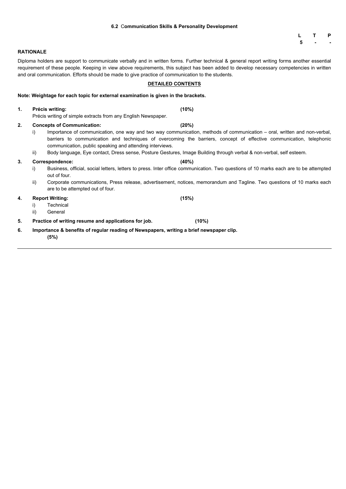### **6.2** C**ommunication Skills & Personality Development**

**L T P 5 - -**

Diploma holders are support to communicate verbally and in written forms. Further technical & general report writing forms another essential requirement of these people. Keeping in view above requirements, this subject has been added to develop necessary competencies in written and oral communication. Efforts should be made to give practice of communication to the students.

## **DETAILED CONTENTS**

| Note: Weightage for each topic for external examination is given in the brackets. |
|-----------------------------------------------------------------------------------|
|-----------------------------------------------------------------------------------|

| 1. |           | Précis writing:<br>Précis writing of simple extracts from any English Newspaper.                | (10%)                                                                                                                                                                                                                                                                                                                                                                           |  |  |  |  |  |
|----|-----------|-------------------------------------------------------------------------------------------------|---------------------------------------------------------------------------------------------------------------------------------------------------------------------------------------------------------------------------------------------------------------------------------------------------------------------------------------------------------------------------------|--|--|--|--|--|
| 2. | i)<br>ii) | <b>Concepts of Communication:</b><br>communication, public speaking and attending interviews.   | (20%)<br>Importance of communication, one way and two way communication, methods of communication – oral, written and non-verbal,<br>barriers to communication and techniques of overcoming the barriers, concept of effective communication, telephonic<br>Body language, Eye contact, Dress sense, Posture Gestures, Image Building through verbal & non-verbal, self esteem. |  |  |  |  |  |
| 3. | i)<br>ii) | <b>Correspondence:</b><br>out of four.<br>are to be attempted out of four.                      | (40%)<br>Business, official, social letters, letters to press. Inter office communication. Two questions of 10 marks each are to be attempted<br>Corporate communications, Press release, advertisement, notices, memorandum and Tagline. Two questions of 10 marks each                                                                                                        |  |  |  |  |  |
| 4. | ii)       | <b>Report Writing:</b><br><b>Technical</b><br>General                                           | (15%)                                                                                                                                                                                                                                                                                                                                                                           |  |  |  |  |  |
| 5. |           | Practice of writing resume and applications for job.                                            | (10%)                                                                                                                                                                                                                                                                                                                                                                           |  |  |  |  |  |
| 6. |           | Importance & benefits of regular reading of Newspapers, writing a brief newspaper clip.<br>(5%) |                                                                                                                                                                                                                                                                                                                                                                                 |  |  |  |  |  |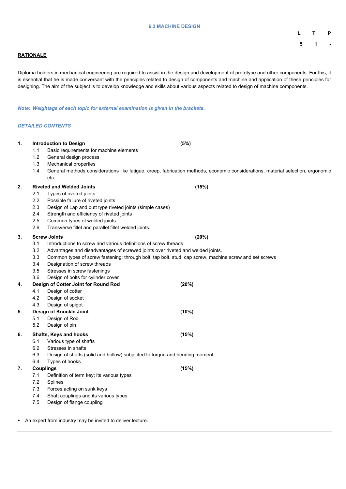#### **6.3 MACHINE DESIGN**

**L T P**

**5 1 -**

## **RATIONALE**

Diploma holders in mechanical engineering are required to assist in the design and development of prototype and other components. For this, it is essential that he is made conversant with the principles related to design of components and machine and application of these principles for designing. The aim of the subject is to develop knowledge and skills about various aspects related to design of machine components.

*Note: Weightage of each topic for external examination is given in the brackets.*

#### *DETAILED CONTENTS*

| $\mathbf 1$ . |                                                                                                               | <b>Introduction to Design</b>                                                                                                   | (5%)  |  |  |  |  |  |  |
|---------------|---------------------------------------------------------------------------------------------------------------|---------------------------------------------------------------------------------------------------------------------------------|-------|--|--|--|--|--|--|
|               | 1.1                                                                                                           | Basic requirements for machine elements                                                                                         |       |  |  |  |  |  |  |
|               | 1.2                                                                                                           | General design process                                                                                                          |       |  |  |  |  |  |  |
|               | 1.3                                                                                                           | <b>Mechanical properties</b>                                                                                                    |       |  |  |  |  |  |  |
|               | 1.4                                                                                                           | General methods considerations like fatigue, creep, fabrication methods, economic considerations, material selection, ergonomic |       |  |  |  |  |  |  |
|               |                                                                                                               | etc.                                                                                                                            |       |  |  |  |  |  |  |
| 2.            |                                                                                                               | <b>Riveted and Welded Joints</b>                                                                                                | (15%) |  |  |  |  |  |  |
|               | 2.1                                                                                                           | Types of riveted joints                                                                                                         |       |  |  |  |  |  |  |
|               | 2.2                                                                                                           | Possible failure of riveted joints                                                                                              |       |  |  |  |  |  |  |
|               | 2.3                                                                                                           | Design of Lap and butt type riveted joints (simple cases)                                                                       |       |  |  |  |  |  |  |
|               | 2.4                                                                                                           | Strength and efficiency of riveted joints                                                                                       |       |  |  |  |  |  |  |
|               | 2.5                                                                                                           | Common types of welded joints                                                                                                   |       |  |  |  |  |  |  |
|               | 2.6                                                                                                           | Transverse fillet and parallel fillet welded joints.                                                                            |       |  |  |  |  |  |  |
| 3.            |                                                                                                               | <b>Screw Joints</b>                                                                                                             | (20%) |  |  |  |  |  |  |
|               | 3.1                                                                                                           | Introductions to screw and various definitions of screw threads.                                                                |       |  |  |  |  |  |  |
|               | 3.2                                                                                                           | Advantages and disadvantages of screwed joints over riveted and welded joints.                                                  |       |  |  |  |  |  |  |
|               | Common types of screw fastening; through bolt, tap bolt, stud, cap screw, machine screw and set screws<br>3.3 |                                                                                                                                 |       |  |  |  |  |  |  |
|               | 3.4                                                                                                           | Designation of screw threads                                                                                                    |       |  |  |  |  |  |  |
|               | 3.5                                                                                                           | Stresses in screw fastenings                                                                                                    |       |  |  |  |  |  |  |
|               | 3.6                                                                                                           | Design of bolts for cylinder cover                                                                                              |       |  |  |  |  |  |  |
| 4.            |                                                                                                               | Design of Cotter Joint for Round Rod                                                                                            | (20%) |  |  |  |  |  |  |
|               | 4.1                                                                                                           | Design of cotter                                                                                                                |       |  |  |  |  |  |  |
|               | 4.2                                                                                                           | Design of socket                                                                                                                |       |  |  |  |  |  |  |
|               | 4.3                                                                                                           | Design of spigot                                                                                                                |       |  |  |  |  |  |  |
| 5.            |                                                                                                               | <b>Design of Knuckle Joint</b>                                                                                                  | (10%) |  |  |  |  |  |  |
|               | 5.1                                                                                                           | Design of Rod                                                                                                                   |       |  |  |  |  |  |  |
|               | 5.2                                                                                                           | Design of pin                                                                                                                   |       |  |  |  |  |  |  |
| 6.            |                                                                                                               | <b>Shafts, Keys and hooks</b>                                                                                                   | (15%) |  |  |  |  |  |  |
|               | 6.1                                                                                                           | Various type of shafts                                                                                                          |       |  |  |  |  |  |  |
|               | 6.2                                                                                                           | Stresses in shafts                                                                                                              |       |  |  |  |  |  |  |
|               | 6.3                                                                                                           | Design of shafts (solid and hollow) subjected to torque and bending moment                                                      |       |  |  |  |  |  |  |
|               | 6.4                                                                                                           | Types of hooks                                                                                                                  |       |  |  |  |  |  |  |

**7. Couplings (15%)**

- 7.1 Definition of term key; its various types
- 7.2 Splines
- 7.3 Forces acting on sunk keys
- 7.4 Shaft couplings and its various types
- 7.5 Design of flange coupling
- An expert from industry may be invited to deliver lecture.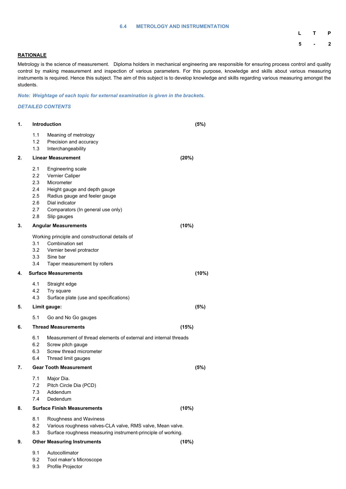#### **6.4 METROLOGY AND INSTRUMENTATION**

| $\mathsf{L}$   | $\mathbf{T}$ | P              |
|----------------|--------------|----------------|
| $5\phantom{1}$ |              | $\overline{2}$ |

## **RATIONALE**

Metrology is the science of measurement. Diploma holders in mechanical engineering are responsible for ensuring process control and quality control by making measurement and inspection of various parameters. For this purpose, knowledge and skills about various measuring instruments is required. Hence this subject. The aim of this subject is to develop knowledge and skills regarding various measuring amongst the students.

*Note: Weightage of each topic for external examination is given in the brackets.*

#### *DETAILED CONTENTS*

| 1. | <b>Introduction</b>                                  | (5%)                                                                                                                                                                                                    |       |  |
|----|------------------------------------------------------|---------------------------------------------------------------------------------------------------------------------------------------------------------------------------------------------------------|-------|--|
|    | 1.1<br>1.2<br>1.3                                    | Meaning of metrology<br>Precision and accuracy<br>Interchangeability                                                                                                                                    |       |  |
| 2. |                                                      | <b>Linear Measurement</b>                                                                                                                                                                               | (20%) |  |
|    | 2.1<br>2.2<br>2.3<br>2.4<br>2.5<br>2.6<br>2.7<br>2.8 | <b>Engineering scale</b><br><b>Vernier Caliper</b><br>Micrometer<br>Height gauge and depth gauge<br>Radius gauge and feeler gauge<br>Dial indicator<br>Comparators (In general use only)<br>Slip gauges |       |  |
| 3. |                                                      | <b>Angular Measurements</b>                                                                                                                                                                             | (10%) |  |
|    | 3.1<br>3.2<br>3.3<br>3.4                             | Working principle and constructional details of<br><b>Combination set</b><br>Vernier bevel protractor<br>Sine bar<br>Taper measurement by rollers                                                       |       |  |
| 4. |                                                      | <b>Surface Measurements</b>                                                                                                                                                                             | (10%) |  |
|    | 4.1<br>4.2<br>4.3                                    | Straight edge<br>Try square<br>Surface plate (use and specifications)                                                                                                                                   |       |  |
| 5. |                                                      | Limit gauge:                                                                                                                                                                                            | (5%)  |  |
|    | 5.1                                                  | Go and No Go gauges                                                                                                                                                                                     |       |  |
| 6. |                                                      | <b>Thread Measurements</b>                                                                                                                                                                              | (15%) |  |
|    | 6.1<br>6.2<br>6.3<br>6.4                             | Measurement of thread elements of external and internal threads<br>Screw pitch gauge<br>Screw thread micrometer<br>Thread limit gauges                                                                  |       |  |
| 7. |                                                      | <b>Gear Tooth Measurement</b>                                                                                                                                                                           | (5%)  |  |

- 7.1 Major Dia.
- 7.2 Pitch Circle Dia (PCD)
- 7.3 Addendum
- 7.4 Dedendum

## **8. Surface Finish Measurements (10%)**

- 8.1 Roughness and Waviness
- 8.2 Various roughness valves-CLA valve, RMS valve, Mean valve.
- 8.3 Surface roughness measuring instrument-principle of working.
- **9. Other Measuring Instruments (10%)**

- 9.1 Autocollimator
- 9.2 Tool maker's Microscope
- 9.3 Profile Projector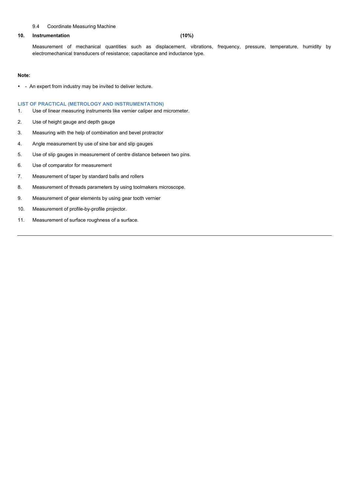#### 9.4 Coordinate Measuring Machine

#### **10. Instrumentation (10%)**

Measurement of mechanical quantities such as displacement, vibrations, frequency, pressure, temperature, humidity by electromechanical transducers of resistance; capacitance and inductance type.

#### **Note:**

• - An expert from industry may be invited to deliver lecture.

#### **LIST OF PRACTICAL (METROLOGY AND INSTRUMENTATION)**

- 1. Use of linear measuring instruments like vernier caliper and micrometer.
- 2. Use of height gauge and depth gauge
- 3. Measuring with the help of combination and bevel protractor
- 4. Angle measurement by use of sine bar and slip gauges
- 5. Use of slip gauges in measurement of centre distance between two pins.
- 6. Use of comparator for measurement
- 7. Measurement of taper by standard balls and rollers
- 8. Measurement of threads parameters by using toolmakers microscope.
- 9. Measurement of gear elements by using gear tooth vernier
- 10. Measurement of profile-by-profile projector.
- 11. Measurement of surface roughness of a surface.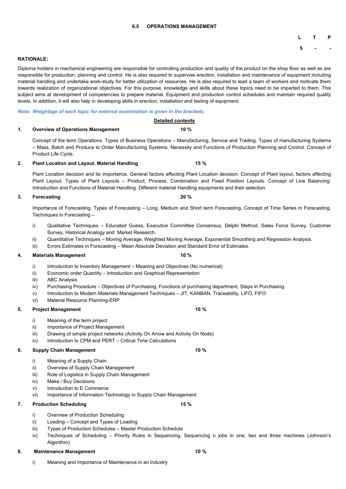#### **6.5 OPERATIONS MANAGEMENT**

## **L T P**

**5 - -**

#### **RATIONALE:**

Diploma holders in mechanical engineering are responsible for controlling production and quality of the product on the shop floor as well as are responsible for production, planning and control. He is also required to supervise erection, installation and maintenance of equipment including material handling and undertake work-study for better utilization of resources. He is also required to lead a team of workers and motivate them towards realization of organizational objectives. For this purpose, knowledge and skills about these topics need to be imparted to them. This subject aims at development of competencies to prepare material. Equipment and production control schedules and maintain required quality levels. In addition, it will also help in developing skills in erection, installation and testing of equipment.

#### *Note: Weightage of each topic for external examination is given in the brackets.*

#### **Detailed contents**

#### **1. Overview of Operations Management 10 %**

Concept of the term Operations. Types of Business Operations – Manufacturing, Service and Trading. Types of manufacturing Systems – Mass, Batch and Produce to Order Manufacturing Systems. Necessity and Functions of Production Planning and Control. Concept of Product Life Cycle.

#### **2. Plant Location and Layout. Material Handling 15 %**

- i) Introduction to Inventory Management Meaning and Objectives (No numerical)
- ii) Economic order Quantity Introduction and Graphical Representation
- iii) ABC Analysis
- iv) Purchasing Procedure Objectives of Purchasing, Functions of purchasing department, Steps in Purchasing.
- v) Introduction to Modern Materials Management Techniques JIT, KANBAN, Traceability, LIFO, FIFO
- vi) Material Resource Planning-ERP

- i) Meaning of the term project
- ii) Importance of Project Management
- iii) Drawing of simple project networks (Activity On Arrow and Activity On Node)
- iv) Introduction to CPM and PERT Critical Time Calculations

Plant Location decision and its importance. General factors affecting Plant Location decision. Concept of Plant layout, factors affecting Plant Layout. Types of Plant Layouts – Product, Process, Combination and Fixed Position Layouts. Concept of Line Balancing. Introduction and Functions of Material Handling. Different material Handling equipments and their selection.

### **3. Forecasting 20 %**

Importance of Forecasting. Types of Forecasting – Long, Medium and Short term Forecasting. Concept of Time Series in Forecasting. Techniques in Forecasting –

- i) Qualitative Techniques Educated Guess, Executive Committee Consensus, Delphi Method, Sales Force Survey, Customer Survey, Historical Analogy and Market Research.
- ii) Quantitative Techniques Moving Average, Weighted Moving Average, Exponential Smoothing and Regression Analysis.
- iii) Errors Estimates in Forecasting Mean Absolute Deviation and Standard Error of Estimates.

### **4. Materials Management 10 %**

#### **5. Project Management 10 %**

#### **6. Supply Chain Management 10 %**

- i) Meaning of a Supply Chain
- ii) Overview of Supply Chain Management

- 
- iii) Role of Logistics in Supply Chain Management
- iv) Make / Buy Decisions
- v) Introduction to E Commerce
- vi) Importance of Information Technology in Supply Chain Management
- **7. Production Scheduling 15 %**

- i) Overview of Production Scheduling
- ii) Loading Concept and Types of Loading
- iii) Types of Production Schedules Master Production Schedule
- iv) Techniques of Scheduling Priority Rules in Sequencing, Sequencing n jobs in one, two and three machines (Johnson's Algorithm)
- **8. Maintenance Management 10 %**

i) Meaning and Importance of Maintenance in an industry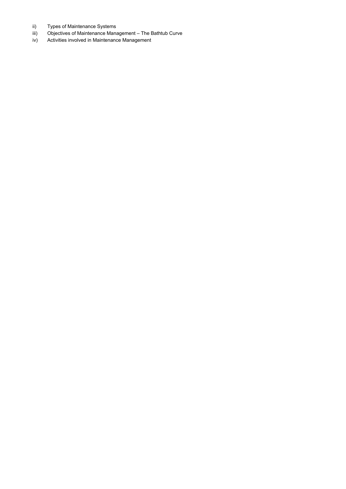- ii) Types of Maintenance Systems
- iii) Objectives of Maintenance Management The Bathtub Curve
- iv) Activities involved in Maintenance Management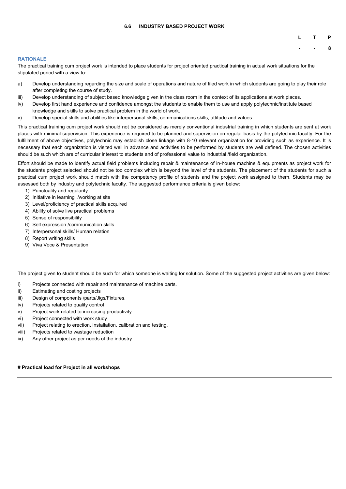#### **6.6 INDUSTRY BASED PROJECT WORK**

**- - 8**

#### **RATIONALE**

The practical training cum project work is intended to place students for project oriented practical training in actual work situations for the stipulated period with a view to:

- a) Develop understanding regarding the size and scale of operations and nature of filed work in which students are going to play their role after completing the course of study.
- iii) Develop understanding of subject based knowledge given in the class room in the context of its applications at work places.
- iv) Develop first hand experience and confidence amongst the students to enable them to use and apply polytechnic/institute based knowledge and skills to solve practical problem in the world of work.
- v) Develop special skills and abilities like interpersonal skills, communications skills, attitude and values.

This practical training cum project work should not be considered as merely conventional industrial training in which students are sent at work places with minimal supervision. This experience is required to be planned and supervision on regular basis by the polytechnic faculty. For the fulfillment of above objectives, polytechnic may establish close linkage with 8-10 relevant organization for providing such as experience. It is necessary that each organization is visited well in advance and activities to be performed by students are well defined. The chosen activities should be such which are of curricular interest to students and of professional value to industrial /field organization.

Effort should be made to identify actual field problems including repair & maintenance of in-house machine & equipments as project work for the students project selected should not be too complex which is beyond the level of the students. The placement of the students for such a practical cum project work should match with the competency profile of students and the project work assigned to them. Students may be assessed both by industry and polytechnic faculty. The suggested performance criteria is given below:

- 1) Punctuality and regularity
- 2) Initiative in learning /working at site
- 3) Level/proficiency of practical skills acquired
- 4) Ability of solve live practical problems
- 5) Sense of responsibility
- 6) Self expression /communication skills
- 7) Interpersonal skills/ Human relation
- 8) Report writing skills
- 9) Viva Voce & Presentation

The project given to student should be such for which someone is waiting for solution. Some of the suggested project activities are given below:

- i) Projects connected with repair and maintenance of machine parts.
- ii) Estimating and costing projects
- iii) Design of components /parts/Jigs/Fixtures.
- iv) Projects related to quality control
- v) Project work related to increasing productivity
- vi) Project connected with work study
- vii) Project relating to erection, installation, calibration and testing.
- viii) Projects related to wastage reduction
- ix) Any other project as per needs of the industry

#### **# Practical load for Project in all workshops**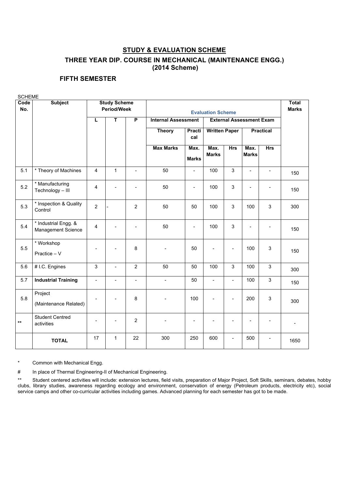# **STUDY & EVALUATION SCHEME THREE YEAR DIP. COURSE IN MECHANICAL (MAINTENANCE ENGG.) (2014 Scheme)**

## **FIFTH SEMESTER**

SCHEME **Code No. Subject Study Scheme Period/Week Evaluation Scheme Total Marks L T P Internal Assessment External Assessment Exam Theory Practi cal Written Paper** Practical **Max Marks Max. Marks Max. Marks Hrs Max. Marks Hrs** 5.1 \* Theory of Machines <sup>4</sup> <sup>1</sup> - <sup>50</sup> - <sup>100</sup> <sup>3</sup> - - <sup>150</sup> 5.2  $\begin{array}{|c|c|}\n 5.2 & \text{Hanufacturing} \\
\text{Technology} - \text{III}\n \end{array}$ | Mandrastaning | 4 | - | - | 50 | - | 100 | 3 | - | - | 150<br>| Technology – III | 4 | - | - | 50 | - | 100 | 3 | - | - | 150 5.3  $\left| \begin{array}{c} \star \end{array} \right|$  inspection & Quality Control <sup>2</sup> - <sup>2</sup> <sup>50</sup> <sup>50</sup> <sup>100</sup> <sup>3</sup> <sup>100</sup> <sup>3</sup> <sup>300</sup> 5.4  $^*$  Industrial Engg. & Management Science  $\begin{vmatrix} 4 & 1 & 1 \\ 1 & 4 & 1 \end{vmatrix}$  -  $\begin{vmatrix} 1 & 50 & 1 \\ 1 & 50 & 1 \end{vmatrix}$  -  $\begin{vmatrix} 100 & 3 & 1 \\ 3 & 1 & 1 \end{vmatrix}$  -  $\begin{vmatrix} 1 & 150 & 1 \\ 1 & 150 & 1 \end{vmatrix}$ 5.5 \* Workshop Practice – V - | - | 8 | - - | 50 | - | - | 100 | 3 | <sub>150</sub> 5.6 |# I.C. Engines 3 | - | 2 | 50 | 50 | 100 | 3 | 100 | 3 | <sub>300</sub> 5.7 **| Industrial Training**  $\begin{vmatrix} - & \cdot & \cdot & \cdot \\ - & \cdot & \cdot & \cdot \\ 1 & 0 & \cdot & \cdot \end{vmatrix}$  50  $\begin{vmatrix} - & \cdot & \cdot & \cdot \\ - & \cdot & \cdot & \cdot \\ 1 & 0 & \cdot & \cdot \end{vmatrix}$  50  $\begin{vmatrix} - & \cdot & \cdot & \cdot \\ \cdot & \cdot & \cdot & \cdot \\ 1 & 0 & \cdot & \cdot \end{vmatrix}$  100  $\begin{vmatrix} 3 & \cdot & \cdot & \cdot \\ 1 & 5 & \cdot & \cdot \end{vmatrix}$ 5.8 Project (Maintenance Related) - | - | 8 | - - | 100 | - | - |200 | 3 | <sub>300</sub> **\*\*** Student Centred activities - - <sup>2</sup> - - - - - - - **TOTAL** <sup>17</sup> <sup>1</sup> <sup>22</sup> <sup>300</sup> <sup>250</sup> <sup>600</sup> - <sup>500</sup> - <sup>1650</sup>

Common with Mechanical Engg.

# In place of Thermal Engineering-II of Mechanical Engineering.

\*\* Student centered activities will include: extension lectures, field visits, preparation of Major Project, Soft Skills, seminars, debates, hobby clubs, library studies, awareness regarding ecology and environment, conservation of energy (Petroleum products, electricity etc), social service camps and other co-curricular activities including games. Advanced planning for each semester has got to be made.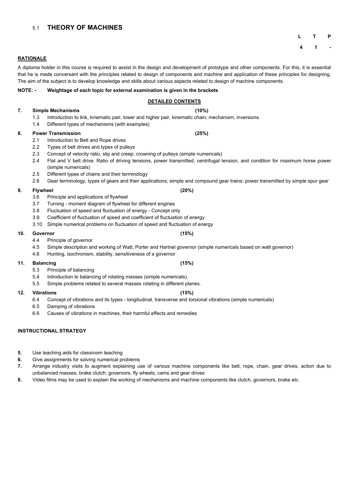## 5.1 **THEORY OF MACHINES**

**L T P**

**4 1 -**

#### **RATIONALE**

A diploma holder in this course is required to assist in the design and development of prototype and other components. For this, it is essential that he is made conversant with the principles related to design of components and machine and application of these principles for designing. The aim of the subject is to develop knowledge and skills about various aspects related to design of machine components.

#### **NOTE: - Weightage of each topic for external examination is given in the brackets**

### **DETAILED CONTENTS**

### **7. Simple Mechanisms (10%)**

- 1.3 Introduction to link, kinematic pair, lower and higher pair, kinematic chain, mechanism, inversions.
- 1.4 Different types of mechanisms (with examples)

#### **8. Power Transmission (25%)**

- 2.1 Introduction to Belt and Rope drives
- 2.2 Types of belt drives and types of pulleys
- 2.3 Concept of velocity ratio, slip and creep; crowning of pulleys (simple numericals)
- 2.4 Flat and V belt drive: Ratio of driving tensions, power transmitted, centrifugal tension, and condition for maximum horse power (simple numericals)
- 2.5 Different types of chains and their terminology
- 2.6 Gear terminology, types of gears and their applications; simple and compound gear trains; power transmitted by simple spur gear

#### **9. Flywheel (20%)**

- 3.6 Principle and applications of flywheel
- 3.7 Turning moment diagram of flywheel for different engines
- 3.8 Fluctuation of speed and fluctuation of energy Concept only
- 3.9 Coefficient of fluctuation of speed and coefficient of fluctuation of energy
- 3.10 Simple numerical problems on fluctuation of speed and fluctuation of energy

#### **10. Governor (15%)**

- 4.4 Principle of governor
- 4.5 Simple description and working of Watt, Porter and Hartnel governor (simple numericals based on watt governor)
- 4.6 Hunting, isochronism, stability, sensitiveness of a governor

#### **11. Balancing (15%)**

- 5.3 Principle of balancing
- 5.4 Introduction to balancing of rotating masses (simple numericals).
- 5.5 Simple problems related to several masses rotating in different planes.

#### **12. Vibrations (15%)**

- 6.4 Concept of vibrations and its types longitudinal, transverse and torsional vibrations (simple numericals)
- 6.5 Damping of vibrations
- 6.6 Causes of vibrations in machines, their harmful effects and remedies

## **INSTRUCTIONAL STRATEGY**

- **5.** Use teaching aids for classroom teaching
- **6.** Give assignments for solving numerical problems
- **7.** Arrange industry visits to augment explaining use of various machine components like belt, rope, chain, gear drives, action due to

unbalanced masses, brake clutch, governors, fly wheels, cams and gear drives

**8.** Video films may be used to explain the working of mechanisms and machine components like clutch, governors, brake etc.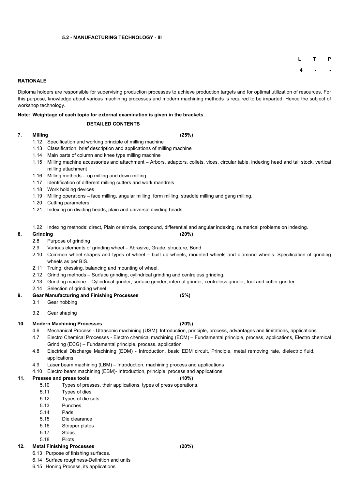#### **5.2 - MANUFACTURING TECHNOLOGY - III**

**L T P**

**4 - -**

#### **RATIONALE**

Diploma holders are responsible for supervising production processes to achieve production targets and for optimal utilization of resources. For this purpose, knowledge about various machining processes and modern machining methods is required to be imparted. Hence the subject of workshop technology.

**Note: Weightage of each topic for external examination is given in the brackets.**

#### **DETAILED CONTENTS**

#### **7. Milling (25%)**

- 1.12 Specification and working principle of milling machine
- 1.13 Classification, brief description and applications of milling machine
- 1.14 Main parts of column and knee type milling machine
- 1.15 Milling machine accessories and attachment Arbors, adaptors, collets, vices, circular table, indexing head and tail stock, vertical milling attachment
- 1.16 Milling methods up milling and down milling
- 1.17 Identification of different milling cutters and work mandrels
- 1.18 Work holding devices
- 1.19 Milling operations face milling, angular milling, form milling, straddle milling and gang milling.
- 1.20 Cutting parameters
- 1.21 Indexing on dividing heads, plain and universal dividing heads.
- 1.22 Indexing methods: direct, Plain or simple, compound, differential and angular indexing, numerical problems on indexing.

#### **8. Grinding (20%)**

- 2.8 Purpose of grinding
- 2.9 Various elements of grinding wheel Abrasive, Grade, structure, Bond
- 2.10 Common wheel shapes and types of wheel built up wheels, mounted wheels and diamond wheels. Specification of grinding wheels as per BIS.
- 2.11 Truing, dressing, balancing and mounting of wheel.
- 2.12 Grinding methods Surface grinding, cylindrical grinding and centreless grinding.
- 2.13 Grinding machine Cylindrical grinder, surface grinder, internal grinder, centreless grinder, tool and cutter grinder.
- 2.14 Selection of grinding wheel
- **9. Gear Manufacturing and Finishing Processes (5%)**
	- 3.1 Gear hobbing
	- 3.2 Gear shaping

#### **10. Modern Machining Processes (20%)**

- 4.6 Mechanical Process Ultrasonic machining (USM): Introduction, principle, process, advantages and limitations, applications
- 4.7 Electro Chemical Processes Electro chemical machining (ECM) Fundamental principle, process, applications, Electro chemical Grinding (ECG) – Fundamental principle, process, application
- 4.8 Electrical Discharge Machining (EDM) Introduction, basic EDM circuit, Principle, metal removing rate, dielectric fluid, applications
- 4.9 Laser beam machining (LBM) Introduction, machining process and applications

4.10 Electro beam machining (EBM)- Introduction, principle, process and applications

#### **11. Presses and press tools (10%)**

- 5.10 Types of presses, their applications, types of press operations.
- 5.11 Types of dies
- 5.12 Types of die sets
- 5.13 Punches
- 5.14 Pads
- 5.15 Die clearance
- 5.16 Stripper plates
- 5.17 Stops
- 5.18 Pilots

## **12. Metal Finishing Processes (20%)**

- 6.13 Purpose of finishing surfaces.
- 6.14 Surface roughness-Definition and units
- 6.15 Honing Process, its applications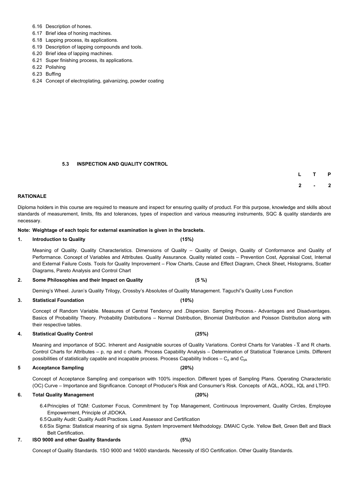- 6.16 Description of hones.
- 6.17 Brief idea of honing machines.
- 6.18 Lapping process, its applications.
- 6.19 Description of lapping compounds and tools.
- 6.20 Brief idea of lapping machines.
- 6.21 Super finishing process, its applications.
- 6.22 Polishing
- 6.23 Buffing
- 6.24 Concept of electroplating, galvanizing, powder coating

#### **5.3 INSPECTION AND QUALITY CONTROL**

| L | $\mathbf{T}$ | P            |
|---|--------------|--------------|
| 2 |              | $\mathbf{2}$ |

#### **RATIONALE**

Diploma holders in this course are required to measure and inspect for ensuring quality of product. For this purpose, knowledge and skills about standards of measurement, limits, fits and tolerances, types of inspection and various measuring instruments, SQC & quality standards are necessary.

#### **Note: Weightage of each topic for external examination is given in the brackets.**

**1. Introduction to Quality (15%)**

Meaning of Quality. Quality Characteristics. Dimensions of Quality – Quality of Design, Quality of Conformance and Quality of Performance. Concept of Variables and Attributes. Quality Assurance. Quality related costs – Prevention Cost, Appraisal Cost, Internal and External Failure Costs. Tools for Quality Improvement – Flow Charts, Cause and Effect Diagram, Check Sheet, Histograms, Scatter Diagrams, Pareto Analysis and Control Chart

**2. Some Philosophies and their Impact on Quality (5 %)**

Deming's Wheel. Juran's Quality Trilogy, Crossby's Absolutes of Quality Management. Taguchi"s Quality Loss Function

**3. Statistical Foundation (10%)**

Concept of Random Variable. Measures of Central Tendency and .Dispersion. Sampling Process.- Advantages and Disadvantages. Basics of Probability Theory. Probability Distributions – Normal Distribution, Binomial Distribution and Poisson Distribution along with their respective tables.

#### **4. Statistical Quality Control (25%)**

Meaning and importance of SQC. Inherent and Assignable sources of Quality Variations. Control Charts for Variables -  $\overline{X}$  and R charts. Control Charts for Attributes – p, np and c charts. Process Capability Analysis – Determination of Statistical Tolerance Limits. Different possibilities of statistically capable and incapable process. Process Capability Indices –  $C_p$  and  $C_{pk}$ 

#### **5 Acceptance Sampling (20%)**

Concept of Acceptance Sampling and comparison with 100% inspection. Different types of Sampling Plans. Operating Characteristic (OC) Curve – Importance and Significance. Concept of Producer's Risk and Consumer's Risk. Concepts of AQL, AOQL, IQL and LTPD.

#### **6. Total Quality Management (20%)**

6.4Principles of TQM: Customer Focus, Commitment by Top Management, Continuous Improvement, Quality Circles, Employee Empowerment, Principle of JIDOKA.

6.5Quality Audit: Quality Audit Practices. Lead Assessor and Certification

6.6Six Sigma: Statistical meaning of six sigma. System Improvement Methodology. DMAIC Cycle. Yellow Belt, Green Belt and Black Belt Certification.

#### **7. ISO 9000 and other Quality Standards (5%)**

Concept of Quality Standards. 1SO 9000 and 14000 standards. Necessity of ISO Certification. Other Quality Standards.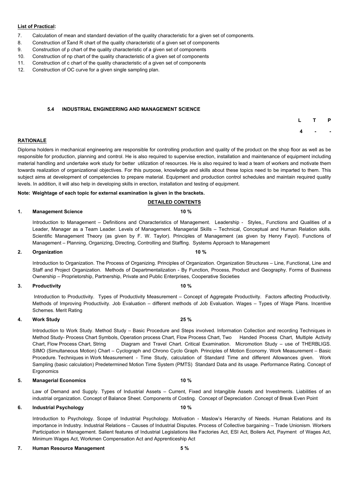#### **List of Practical:**

- 7. Calculation of mean and standard deviation of the quality characteristic for a given set of components.
- 8. Construction of  $\overline{X}$  and R chart of the quality characteristic of a given set of components
- 9. Construction of p chart of the quality characteristic of a given set of components
- 10. Construction of np chart of the quality characteristic of a given set of components
- 11. Construction of c chart of the quality characteristic of a given set of components
- 12. Construction of OC curve for a given single sampling plan.

#### **5.4 INDUSTRIAL ENGINEERING AND MANAGEMENT SCIENCE**

**L T P 4 - -**

#### **RATIONALE**

Diploma holders in mechanical engineering are responsible for controlling production and quality of the product on the shop floor as well as be responsible for production, planning and control. He is also required to supervise erection, installation and maintenance of equipment including material handling and undertake work study for better utilization of resources. He is also required to lead a team of workers and motivate them towards realization of organizational objectives. For this purpose, knowledge and skills about these topics need to be imparted to them. This subject aims at development of competencies to prepare material. Equipment and production control schedules and maintain required quality levels. In addition, it will also help in developing skills in erection, installation and testing of equipment.

#### **Note: Weightage of each topic for external examination is given in the brackets.**

#### **DETAILED CONTENTS**

#### **1. Management Science 10 %**

Introduction to Management – Definitions and Characteristics of Management. Leadership - Styles,, Functions and Qualities of a Leader, Manager as a Team Leader. Levels of Management. Managerial Skills – Technical, Conceptual and Human Relation skills. Scientific Management Theory (as given by F. W. Taylor). Principles of Management (as given by Henry Fayol). Functions of Management – Planning, Organizing, Directing, Controlling and Staffing. Systems Approach to Management

#### **2. Organization 10 %**

Introduction to Organization. The Process of Organizing. Principles of Organization. Organization Structures – Line, Functional, Line and Staff and Project Organization. Methods of Departmentalization - By Function, Process, Product and Geography. Forms of Business Ownership – Proprietorship, Partnership, Private and Public Enterprises, Cooperative Societies

#### **3. Productivity 10 %**

Introduction to Productivity. Types of Productivity Measurement – Concept of Aggregate Productivity. Factors affecting Productivity. Methods of Improving Productivity. Job Evaluation – different methods of Job Evaluation. Wages – Types of Wage Plans. Incentive Schemes. Merit Rating

#### **4. Work Study 25 %**

Introduction to Work Study. Method Study – Basic Procedure and Steps involved. Information Collection and recording Techniques in Method Study- Process Chart Symbols, Operation process Chart, Flow Process Chart, Two Handed Process Chart, Multiple Activity Chart, Flow Process Chart, String Diagram and Travel Chart. Critical Examination. Micromotion Study – use of THERBLIGS. SIMO (Simultaneous Motion) Chart – Cyclograph and Chrono Cyclo Graph. Principles of Motion Economy. Work Measurement – Basic Procedure. Techniques in Work Measurement - Time Study, calculation of Standard Time and different Allowances given. Work Sampling (basic calculation) Predetermined Motion Time System (PMTS) Standard Data and its usage. Performance Rating. Concept of

**Ergonomics** 

#### **5. Managerial Economics 10 %**

Law of Demand and Supply. Types of Industrial Assets – Current, Fixed and Intangible Assets and Investments. Liabilities of an industrial organization. Concept of Balance Sheet. Components of Costing. Concept of Depreciation .Concept of Break Even Point

#### **6. Industrial Psychology 10 %**

Introduction to Psychology. Scope of Industrial Psychology. Motivation - Maslow's Hierarchy of Needs. Human Relations and its importance in Industry. Industrial Relations – Causes of Industrial Disputes. Process of Collective bargaining – Trade Unionism. Workers Participation in Management. Salient features of Industrial Legislations like Factories Act, ESI Act, Boilers Act, Payment of Wages Act, Minimum Wages Act, Workmen Compensation Act and Apprenticeship Act

#### **7. Human Resource Management 5 %**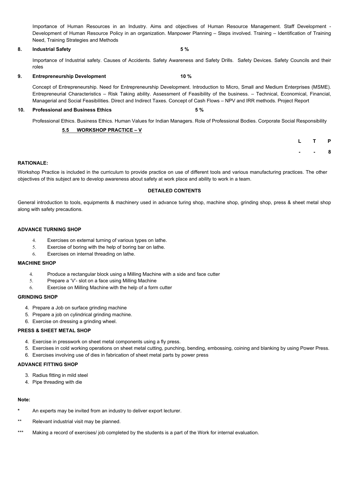Importance of Human Resources in an Industry. Aims and objectives of Human Resource Management. Staff Development - Development of Human Resource Policy in an organization. Manpower Planning – Steps involved. Training – Identification of Training Need, Training Strategies and Methods

#### **8. Industrial Safety 5 %**

Importance of Industrial safety. Causes of Accidents. Safety Awareness and Safety Drills. Safety Devices. Safety Councils and their roles

#### **9. Entrepreneurship Development 10 %**

Concept of Entrepreneurship. Need for Entrepreneurship Development. Introduction to Micro, Small and Medium Enterprises (MSME). Entrepreneurial Characteristics – Risk Taking ability. Assessment of Feasibility of the business. – Technical, Economical, Financial, Managerial and Social Feasibilities. Direct and Indirect Taxes. Concept of Cash Flows – NPV and IRR methods. Project Report

#### **10. Professional and Business Ethics 5 %**

Professional Ethics. Business Ethics. Human Values for Indian Managers. Role of Professional Bodies. Corporate Social Responsibility

### **5.5 WORKSHOP PRACTICE – V**

| L | т | P |
|---|---|---|
|   | ▬ | 8 |

#### **RATIONALE:**

Workshop Practice is included in the curriculum to provide practice on use of different tools and various manufacturing practices. The other objectives of this subject are to develop awareness about safety at work place and ability to work in a team.

- **\*** An experts may be invited from an industry to deliver export lecturer.
- \*\* Relevant industrial visit may be planned.
- \*\*\* Making a record of exercises/ job completed by the students is a part of the Work for internal evaluation.

### **DETAILED CONTENTS**

General introduction to tools, equipments & machinery used in advance turing shop, machine shop, grinding shop, press & sheet metal shop along with safety precautions.

#### **ADVANCE TURNING SHOP**

- 4. Exercises on external turning of various types on lathe.
- 5. Exercise of boring with the help of boring bar on lathe.
- 6. Exercises on internal threading on lathe.

#### **MACHINE SHOP**

- 4. Produce a rectangular block using a Milling Machine with a side and face cutter
- 5. Prepare a 'V'- slot on a face using Milling Machine
- 6. Exercise on Milling Machine with the help of a form cutter

#### **GRINDING SHOP**

- 4. Prepare a Job on surface grinding machine
- 5. Prepare a job on cylindrical grinding machine.
- 6. Exercise on dressing a grinding wheel.

### **PRESS & SHEET METAL SHOP**

- 4. Exercise in presswork on sheet metal components using a fly press.
- 5. Exercises in cold working operations on sheet metal cutting, punching, bending, embossing, coining and blanking by using Power Press.
- 6. Exercises involving use of dies in fabrication of sheet metal parts by power press

#### **ADVANCE FITTING SHOP**

- 3. Radius fitting in mild steel
- 4. Pipe threading with die

#### **Note:**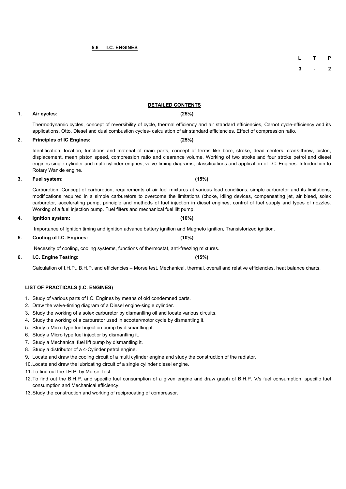## **5.6 I.C. ENGINES**

**L T P**

**3 - 2**

## **DETAILED CONTENTS**

## **1. Air cycles: (25%)**

Thermodynamic cycles, concept of reversibility of cycle, thermal efficiency and air standard efficiencies, Carnot cycle-efficiency and its applications. Otto, Diesel and dual combustion cycles- calculation of air standard efficiencies. Effect of compression ratio.

## **2. Principles of IC Engines: (25%)**

Identification, location, functions and material of main parts, concept of terms like bore, stroke, dead centers, crank-throw, piston, displacement, mean piston speed, compression ratio and clearance volume. Working of two stroke and four stroke petrol and diesel engines-single cylinder and multi cylinder engines, valve timing diagrams, classifications and application of I.C. Engines. Introduction to Rotary Wankle engine.

## **3. Fuel system: (15%)**

Carburetion: Concept of carburetion, requirements of air fuel mixtures at various load conditions, simple carburetor and its limitations, modifications required in a simple carburetors to overcome the limitations (choke, idling devices, compensating jet, air bleed, solex carburetor, accelerating pump, principle and methods of fuel injection in diesel engines, control of fuel supply and types of nozzles. Working of a fuel injection pump. Fuel filters and mechanical fuel lift pump.

## **4. Ignition system: (10%)**

Importance of Ignition timing and ignition advance battery ignition and Magneto ignition, Transistorized ignition.

**5. Cooling of I.C. Engines: (10%)**

Necessity of cooling, cooling systems, functions of thermostat, anti-freezing mixtures.

## **6. I.C. Engine Testing: (15%)**

Calculation of I.H.P., B.H.P. and efficiencies – Morse test, Mechanical, thermal, overall and relative efficiencies, heat balance charts.

**LIST OF PRACTICALS (I.C. ENGINES)**

1. Study of various parts of I.C. Engines by means of old condemned parts. 2. Draw the valve-timing diagram of a Diesel engine-single cylinder.

- 3. Study the working of a solex carburetor by dismantling oil and locate various circuits.
- 4. Study the working of a carburetor used in scooter/motor cycle by dismantling it.
- 5. Study a Micro type fuel injection pump by dismantling it.
- 6. Study a Micro type fuel injectior by dismantling it.

7. Study a Mechanical fuel lift pump by dismantling it.

8. Study a distributor of a 4-Cylinder petrol engine.

9. Locate and draw the cooling circuit of a multi cylinder engine and study the construction of the radiator.

# 10.Locate and draw the lubricating circuit of a single cylinder diesel engine.

11.To find out the I.H.P. by Morse Test.

12.To find out the B.H.P. and specific fuel consumption of a given engine and draw graph of B.H.P. V/s fuel consumption, specific fuel consumption and Mechanical efficiency.

13.Study the construction and working of reciprocating of compressor.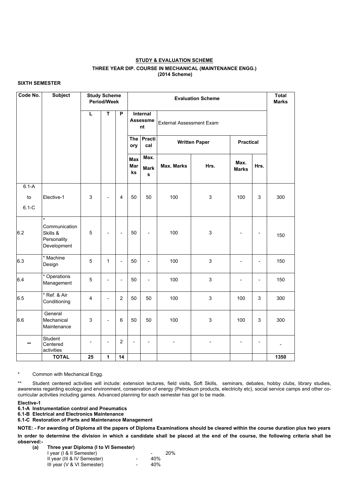#### **STUDY & EVALUATION SCHEME**

#### **THREE YEAR DIP. COURSE IN MECHANICAL (MAINTENANCE ENGG.) (2014 Scheme)**

#### **SIXTH SEMESTER**

| Code No.                   | <b>Subject</b>                                                     | <b>Study Scheme</b><br><b>Period/Week</b> |                          |                          |                         | <b>Total</b><br><b>Marks</b>             |                                 |                |                      |                              |      |
|----------------------------|--------------------------------------------------------------------|-------------------------------------------|--------------------------|--------------------------|-------------------------|------------------------------------------|---------------------------------|----------------|----------------------|------------------------------|------|
|                            |                                                                    | L                                         | $\mathsf T$              | $\mathsf{P}$             |                         | <b>Internal</b><br><b>Assessme</b><br>nt | <b>External Assessment Exam</b> |                |                      |                              |      |
|                            |                                                                    |                                           |                          |                          | ory                     | The Practi<br>cal                        | <b>Written Paper</b>            |                | <b>Practical</b>     |                              |      |
|                            |                                                                    |                                           |                          |                          | <b>Max</b><br>Mar<br>ks | Max.<br><b>Mark</b><br>$\mathbf s$       | <b>Max. Marks</b>               | Hrs.           | Max.<br><b>Marks</b> | Hrs.                         |      |
| $6.1-A$<br>to<br>$6.1 - C$ | Elective-1                                                         | 3                                         | $\overline{\phantom{a}}$ | 4                        | 50                      | 50                                       | 100                             | $\mathfrak{S}$ | 100                  | 3                            | 300  |
| 6.2                        | $\star$<br>Communication<br>Skills &<br>Personality<br>Development | 5                                         | $\overline{\phantom{a}}$ | $\overline{\phantom{a}}$ | 50                      | $\overline{\phantom{0}}$                 | 100                             | $\sqrt{3}$     |                      | $\overline{\phantom{a}}$     | 150  |
| 6.3                        | * Machine<br>Design                                                | 5                                         | $\mathbf{1}$             | $\overline{\phantom{0}}$ | 50                      | $\overline{\phantom{0}}$                 | 100                             | $\mathfrak{S}$ |                      | $\qquad \qquad \blacksquare$ | 150  |
| 6.4                        | * Operations<br>Management                                         | 5                                         | $\overline{\phantom{a}}$ | $\overline{\phantom{0}}$ | 50                      | $\overline{\phantom{a}}$                 | 100                             | $\mathfrak{S}$ | $\blacksquare$       | $\blacksquare$               | 150  |
| 6.5                        | * Ref. & Air<br>Conditioning                                       | $\overline{4}$                            | $\blacksquare$           | $\overline{2}$           | 50                      | 50                                       | 100                             | $\mathfrak{S}$ | 100                  | $\mathfrak{S}$               | 300  |
| 6.6                        | General<br>Mechanical<br>Maintenance                               | $\mathfrak{S}$                            | $\overline{\phantom{a}}$ | $6\phantom{1}6$          | 50                      | 50                                       | 100                             | $\mathfrak{S}$ | 100                  | $\mathfrak{S}$               | 300  |
| $***$                      | Student<br>Centered<br>activities                                  |                                           | $\blacksquare$           | $\overline{2}$           |                         |                                          | $\overline{\phantom{a}}$        |                |                      | $\blacksquare$               |      |
|                            | <b>TOTAL</b>                                                       | 25                                        | $\mathbf{1}$             | 14                       |                         |                                          |                                 |                |                      |                              | 1350 |

- **(a) Three year Diploma (I to VI Semester)**
	- I year (I & II Semester) and the control of the 20% II year (III & IV Semester)  $-$  40% III year  $(V & W)$  Semester)  $10V + 40V$

\* Common with Mechanical Engg.

\*\* Student centered activities will include: extension lectures, field visits, Soft Skills, seminars, debates, hobby clubs, library studies, awareness regarding ecology and environment, conservation of energy (Petroleum products, electricity etc), social service camps and other cocurricular activities including games. Advanced planning for each semester has got to be made.

#### **Elective-1**

**6.1-A Instrumentation control and Pneumatics**

- **6.1-B Electrical and Electronics Maintenance**
- **6.1-C Restoration of Parts and Maintenance Management**

**NOTE: - For awarding of Diploma all the papers of Diploma Examinations should be cleared within the course duration plus two years**

**In order to determine the division in which a candidate shall be placed at the end of the course, the following criteria shall be observed:-**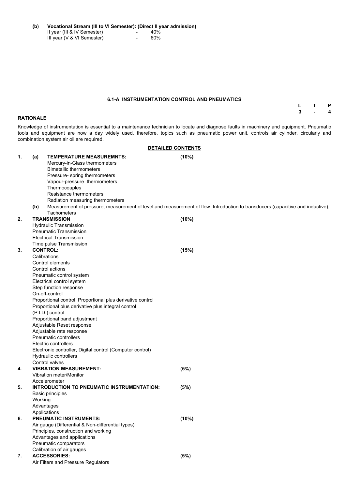**(b) Vocational Stream (III to VI Semester): (Direct II year admission)** II year (III & IV Semester)  $-$  40% III year (V & VI Semester) - 60%

#### **6.1-A INSTRUMENTATION CONTROL AND PNEUMATICS**

**L T P 3 - 4**

#### **RATIONALE**

Knowledge of instrumentation is essential to a maintenance technician to locate and diagnose faults in machinery and equipment. Pneumatic tools and equipment are now a day widely used, therefore, topics such as pneumatic power unit, controls air cylinder, circularly and combination system air oil are required.

|    |     |                                                                                                                                                                                                                                                                                                                                                                                                                                                                                                                                                                          | <b>DETAILED CONTENTS</b>                                                                                                       |
|----|-----|--------------------------------------------------------------------------------------------------------------------------------------------------------------------------------------------------------------------------------------------------------------------------------------------------------------------------------------------------------------------------------------------------------------------------------------------------------------------------------------------------------------------------------------------------------------------------|--------------------------------------------------------------------------------------------------------------------------------|
| 1. | (a) | <b>TEMPERATURE MEASUREMNTS:</b><br>Mercury-in-Glass thermometers<br><b>Bimetallic thermometers</b><br>Pressure- spring thermometers<br>Vapour-pressure thermometers<br>Thermocouples<br><b>Resistance thermometers</b>                                                                                                                                                                                                                                                                                                                                                   | (10%)                                                                                                                          |
|    | (b) | Radiation measuring thermometers<br><b>Tachometers</b>                                                                                                                                                                                                                                                                                                                                                                                                                                                                                                                   | Measurement of pressure, measurement of level and measurement of flow. Introduction to transducers (capacitive and inductive), |
| 2. |     | <b>TRANSMISSION</b><br><b>Hydraulic Transmission</b><br><b>Pneumatic Transmission</b><br><b>Electrical Transmission</b><br>Time pulse Transmission                                                                                                                                                                                                                                                                                                                                                                                                                       | (10%)                                                                                                                          |
| 3. |     | <b>CONTROL:</b><br>Calibrations<br><b>Control elements</b><br>Control actions<br>Pneumatic control system<br>Electrical control system<br>Step function response<br>On-off-control<br>Proportional control, Proportional plus derivative control<br>Proportional plus derivative plus integral control<br>(P.I.D.) control<br>Proportional band adjustment<br>Adjustable Reset response<br>Adjustable rate response<br><b>Pneumatic controllers</b><br><b>Electric controllers</b><br>Electronic controller, Digital control (Computer control)<br>Hydraulic controllers | (15%)                                                                                                                          |
| 4. |     | Control valves<br><b>VIBRATION MEASUREMENT:</b>                                                                                                                                                                                                                                                                                                                                                                                                                                                                                                                          | (5%)                                                                                                                           |

Vibration meter/Monitor

Accelerometer

## **5. INTRODUCTION TO PNEUMATIC INSTRUMENTATION: (5%)**

Basic principles

Working

Advantages

Applications

### **6. PNEUMATIC INSTRUMENTS: (10%)**

Air gauge (Differential & Non-differential types) Principles, construction and working Advantages and applications Pneumatic comparators Calibration of air gauges

## **7. ACCESSORIES: (5%)**

Air Filters and Pressure Regulators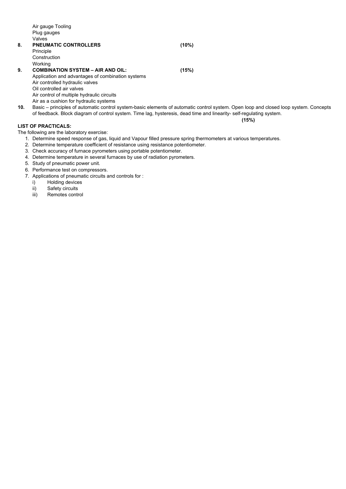| (10%) |
|-------|
|       |
|       |
|       |
| (15%) |
|       |
|       |
|       |
|       |
|       |
|       |

**10.** Basic – principles of automatic control system-basic elements of automatic control system. Open loop and closed loop system. Concepts of feedback. Block diagram of control system. Time lag, hysteresis, dead time and linearity- self-regulating system.

**(15%)**

## **LIST OF PRACTICALS:**

The following are the laboratory exercise:

- 1. Determine speed response of gas, liquid and Vapour filled pressure spring thermometers at various temperatures.
- 2. Determine temperature coefficient of resistance using resistance potentiometer.
- 3. Check accuracy of furnace pyrometers using portable potentiometer.
- 4. Determine temperature in several furnaces by use of radiation pyrometers.
- 5. Study of pneumatic power unit.
- 6. Performance test on compressors.
- 7. Applications of pneumatic circuits and controls for :
	- i) Holding devices
	- ii) Safety circuits
	- iii) Remotes control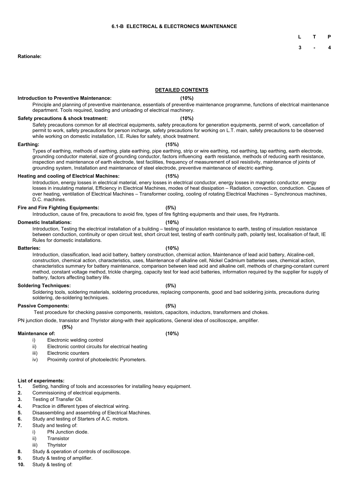**L T P**

**3 - 4**

#### **Rationale:**

#### **DETAILED CONTENTS**

#### **Introduction to Preventive Maintenance: (10%)**

Principle and planning of preventive maintenance, essentials of preventive maintenance programme, functions of electrical maintenance department. Tools required, loading and unloading of electrical machinery.

#### **Safety precautions & shock treatment: (10%)**

Safety precautions common for all electrical equipments, safety precautions for generation equipments, permit of work, cancellation of permit to work, safety precautions for person incharge, safety precautions for working on L.T. main, safety precautions to be observed while working on domestic installation, I.E. Rules for safety, shock treatment.

#### **Earthing: (15%)**

Types of earthing, methods of earthing, plate earthing, pipe earthing, strip or wire earthing, rod earthing, tap earthing, earth electrode, grounding conductor material, size of grounding conductor, factors influencing earth resistance, methods of reducing earth resistance, inspection and maintenance of earth electrode, test facilities, frequency of measurement of soil resistivity, maintenance of joints of grounding system, Installation and maintenance of steel electrode, preventive maintenance of electric earthing.

#### **Heating and cooling of Electrical Machines: (15%)**

Introduction, energy losses in electrical material, enery losses in electrical conductor, energy losses in magnetic conductor, energy losses in insulating material, Efficiency in Electrical Machines, modes of heat dissipation – Radiation, convection, conduction. Causes of over heating, ventilation of Electrical Machines – Transformer cooling, cooling of rotating Electrical Machines – Synchronous machines, D.C. machines.

#### **Fire and Fire Fighting Equipments: (5%)**

Introduction, cause of fire, precautions to avoid fire, types of fire fighting equipments and their uses, fire Hydrants.

#### **Domestic Installations: (10%)**

Introduction, Testing the electrical installation of a building – testing of insulation resistance to earth, testing of insulation resistance between conduction, continuity or open circuit test, short circuit test, testing of earth continuity path, polarity test, localisation of fault, IE Rules for domestic installations.

#### **Batteries: (10%)**

Introduction, classification, lead acid battery, battery construction, chemical action, Maintenance of lead acid battery, Alcaline-cell, construction, chemical action, characteristics, uses, Maintenance of alkaline cell, Nickel Cadmium batteries uses, chemical action, characteristics summary for battery maintenance, comparison between lead acid and alkaline cell, methods of charging-constant current method, constant voltage method, trickle charging, capacity test for lead acid batteries, information required by the supplier for supply of battery, factors affecting battery life.

#### **Soldering Techniques: (5%)**

Soldering tools, soldering materials, soldering procedures, replacing components, good and bad soldering joints, precautions during soldering, de-soldering techniques.

#### **Passive Components: (5%)**

Test procedure for checking passive components, resistors, capacitors, inductors, transformers and chokes.

PN junction diode, transistor and Thyristor along-with their applications, General idea of oscilloscope, amplifier.

## **(5%)**

#### **Maintenance of: (10%)**

- i) Electronic welding control
- ii) Electronic control circuits for electrical heating
- iii) Electronic counters
- iv) Proximity control of photoelectric Pyrometers.

#### **List of experiments:**

- **1.** Setting, handling of tools and accessories for installing heavy equipment.
- **2.** Commissioning of electrical equipments.
- **3.** Testing of Transfer Oil.
- **4.** Practice in different types of electrical wiring.
- **5.** Disassembling and assembling of Electrical Machines.
- **6.** Study and testing of Starters of A.C. motors.
- **7.** Study and testing of:
	- i) PN Junction diode.
	- ii) Transistor
	- iii) Thyristor
- **8.** Study & operation of controls of oscilloscope.
- **9.** Study & testing of amplifier.
- **10.** Study & testing of: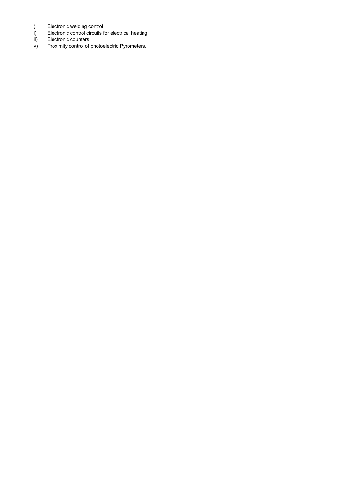- i) Electronic welding control
- ii) Electronic control circuits for electrical heating<br>iii) Electronic counters
- Electronic counters
- iv) Proximity control of photoelectric Pyrometers.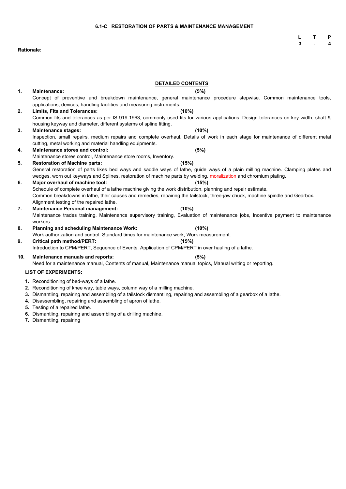**L T P 3 - 4**

## **Rationale:**

|          | <b>DETAILED CONTENTS</b>                                                                                                                                                                                                                                                                                                                         |  |  |  |  |
|----------|--------------------------------------------------------------------------------------------------------------------------------------------------------------------------------------------------------------------------------------------------------------------------------------------------------------------------------------------------|--|--|--|--|
| 1.       | <b>Maintenance:</b><br>(5%)                                                                                                                                                                                                                                                                                                                      |  |  |  |  |
|          | Concept of preventive and breakdown maintenance, general maintenance procedure stepwise. Common maintenance tools,<br>applications, devices, handling facilities and measuring instruments.                                                                                                                                                      |  |  |  |  |
| 2.       | <b>Limits, Fits and Tolerances:</b><br>(10%)                                                                                                                                                                                                                                                                                                     |  |  |  |  |
|          | Common fits and tolerances as per IS 919-1963, commonly used fits for various applications. Design tolerances on key width, shaft &<br>housing keyway and diameter, different systems of spline fitting.                                                                                                                                         |  |  |  |  |
| 3.       | <b>Maintenance stages:</b><br>$(10\%)$                                                                                                                                                                                                                                                                                                           |  |  |  |  |
|          | Inspection, small repairs, medium repairs and complete overhaul. Details of work in each stage for maintenance of different metal<br>cutting, metal working and material handling equipments.                                                                                                                                                    |  |  |  |  |
| 4.       | <b>Maintenance stores and control:</b><br>(5%)                                                                                                                                                                                                                                                                                                   |  |  |  |  |
|          | Maintenance stores control, Maintenance store rooms, Inventory.                                                                                                                                                                                                                                                                                  |  |  |  |  |
| 5.       | <b>Restoration of Machine parts:</b><br>(15%)                                                                                                                                                                                                                                                                                                    |  |  |  |  |
|          | General restoration of parts likes bed ways and saddle ways of lathe, guide ways of a plain milling machine. Clamping plates and<br>wedges, worn out keyways and Splines, restoration of machine parts by welding, moralization and chromium plating.                                                                                            |  |  |  |  |
| 6.       | Major overhaul of machine tool:<br>(15%)                                                                                                                                                                                                                                                                                                         |  |  |  |  |
|          | Schedule of complete overhaul of a lathe machine giving the work distribution, planning and repair estimate.                                                                                                                                                                                                                                     |  |  |  |  |
|          | Common breakdowns in lathe, their causes and remedies, repairing the tailstock, three-jaw chuck, machine spindle and Gearbox.<br>Alignment testing of the repaired lathe.                                                                                                                                                                        |  |  |  |  |
| 7.       | <b>Maintenance Personal management:</b><br>(10%)                                                                                                                                                                                                                                                                                                 |  |  |  |  |
|          | Maintenance trades training, Maintenance supervisory training, Evaluation of maintenance jobs, Incentive payment to maintenance<br>workers.                                                                                                                                                                                                      |  |  |  |  |
| 8.       | <b>Planning and scheduling Maintenance Work:</b><br>$(10\%)$                                                                                                                                                                                                                                                                                     |  |  |  |  |
|          | Work authorization and control. Standard times for maintenance work, Work measurement.                                                                                                                                                                                                                                                           |  |  |  |  |
| 9.       | <b>Critical path method/PERT:</b><br>(15%)                                                                                                                                                                                                                                                                                                       |  |  |  |  |
|          | Introduction to CPM/PERT, Sequence of Events. Application of CPM/PERT in over hauling of a lathe.                                                                                                                                                                                                                                                |  |  |  |  |
| 10.      | <b>Maintenance manuals and reports:</b><br>(5%)                                                                                                                                                                                                                                                                                                  |  |  |  |  |
|          | Need for a maintenance manual, Contents of manual, Maintenance manual topics, Manual writing or reporting.                                                                                                                                                                                                                                       |  |  |  |  |
|          | <b>LIST OF EXPERIMENTS:</b>                                                                                                                                                                                                                                                                                                                      |  |  |  |  |
| 3.<br>4. | 1. Reconditioning of bed-ways of a lathe.<br>2. Reconditioning of knee way, table ways, column way of a milling machine.<br>Dismantling, repairing and assembling of a tailstock dismantling, repairing and assembling of a gearbox of a lathe.<br>Disassembling, repairing and assembling of apron of lathe.<br>5. Testing of a repaired lathe. |  |  |  |  |

- **6.** Dismantling, repairing and assembling of a drilling machine.
- **7.** Dismantling, repairing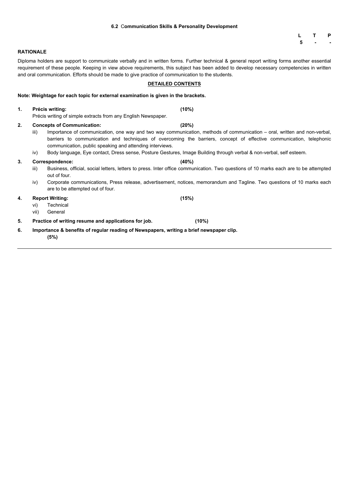## **6.2** C**ommunication Skills & Personality Development**

|   | Р |
|---|---|
| 5 |   |

### **RATIONALE**

Diploma holders are support to communicate verbally and in written forms. Further technical & general report writing forms another essential requirement of these people. Keeping in view above requirements, this subject has been added to develop necessary competencies in written and oral communication. Efforts should be made to give practice of communication to the students.

### **DETAILED CONTENTS**

| Note: Weightage for each topic for external examination is given in the brackets. |  |
|-----------------------------------------------------------------------------------|--|
|-----------------------------------------------------------------------------------|--|

| $\mathbf{1}$ . |                                   | <b>Précis writing:</b>                                                                          | (10%)                                                                                                                                                                                                                                           |  |
|----------------|-----------------------------------|-------------------------------------------------------------------------------------------------|-------------------------------------------------------------------------------------------------------------------------------------------------------------------------------------------------------------------------------------------------|--|
|                |                                   | Précis writing of simple extracts from any English Newspaper.                                   |                                                                                                                                                                                                                                                 |  |
| 2.             | <b>Concepts of Communication:</b> |                                                                                                 | (20%)                                                                                                                                                                                                                                           |  |
|                | iii)                              | communication, public speaking and attending interviews.                                        | Importance of communication, one way and two way communication, methods of communication – oral, written and non-verbal,<br>barriers to communication and techniques of overcoming the barriers, concept of effective communication, telephonic |  |
|                | iv)                               |                                                                                                 | Body language, Eye contact, Dress sense, Posture Gestures, Image Building through verbal & non-verbal, self esteem.                                                                                                                             |  |
| 3.             |                                   | <b>Correspondence:</b>                                                                          | (40%)                                                                                                                                                                                                                                           |  |
|                | iii)                              | out of four.                                                                                    | Business, official, social letters, letters to press. Inter office communication. Two questions of 10 marks each are to be attempted                                                                                                            |  |
|                | iv)                               | are to be attempted out of four.                                                                | Corporate communications, Press release, advertisement, notices, memorandum and Tagline. Two questions of 10 marks each                                                                                                                         |  |
| 4.             |                                   | <b>Report Writing:</b>                                                                          | (15%)                                                                                                                                                                                                                                           |  |
|                | vi)                               | <b>Technical</b>                                                                                |                                                                                                                                                                                                                                                 |  |
|                | vii)                              | General                                                                                         |                                                                                                                                                                                                                                                 |  |
| 5.             |                                   | Practice of writing resume and applications for job.                                            | (10%)                                                                                                                                                                                                                                           |  |
| 6.             |                                   | Importance & benefits of regular reading of Newspapers, writing a brief newspaper clip.<br>(5%) |                                                                                                                                                                                                                                                 |  |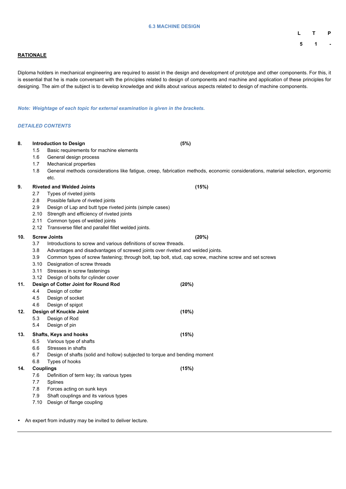#### **6.3 MACHINE DESIGN**

**L T P 5 1 -**

### **RATIONALE**

Diploma holders in mechanical engineering are required to assist in the design and development of prototype and other components. For this, it is essential that he is made conversant with the principles related to design of components and machine and application of these principles for designing. The aim of the subject is to develop knowledge and skills about various aspects related to design of machine components.

*Note: Weightage of each topic for external examination is given in the brackets.*

#### *DETAILED CONTENTS*

| 8.  |      | <b>Introduction to Design</b>                                                                          | (5%)                                                                                                                            |  |
|-----|------|--------------------------------------------------------------------------------------------------------|---------------------------------------------------------------------------------------------------------------------------------|--|
|     | 1.5  | Basic requirements for machine elements                                                                |                                                                                                                                 |  |
|     | 1.6  | General design process                                                                                 |                                                                                                                                 |  |
|     | 1.7  | <b>Mechanical properties</b>                                                                           |                                                                                                                                 |  |
|     | 1.8  |                                                                                                        | General methods considerations like fatigue, creep, fabrication methods, economic considerations, material selection, ergonomic |  |
|     |      | etc.                                                                                                   |                                                                                                                                 |  |
| 9.  |      | <b>Riveted and Welded Joints</b>                                                                       | (15%)                                                                                                                           |  |
|     | 2.7  | Types of riveted joints                                                                                |                                                                                                                                 |  |
|     | 2.8  | Possible failure of riveted joints                                                                     |                                                                                                                                 |  |
|     | 2.9  | Design of Lap and butt type riveted joints (simple cases)                                              |                                                                                                                                 |  |
|     | 2.10 | Strength and efficiency of riveted joints                                                              |                                                                                                                                 |  |
|     | 2.11 | Common types of welded joints                                                                          |                                                                                                                                 |  |
|     | 2.12 | Transverse fillet and parallel fillet welded joints.                                                   |                                                                                                                                 |  |
| 10. |      | <b>Screw Joints</b>                                                                                    | (20%)                                                                                                                           |  |
|     | 3.7  | Introductions to screw and various definitions of screw threads.                                       |                                                                                                                                 |  |
|     | 3.8  | Advantages and disadvantages of screwed joints over riveted and welded joints.                         |                                                                                                                                 |  |
|     | 3.9  | Common types of screw fastening; through bolt, tap bolt, stud, cap screw, machine screw and set screws |                                                                                                                                 |  |
|     | 3.10 | Designation of screw threads                                                                           |                                                                                                                                 |  |
|     | 3.11 | Stresses in screw fastenings                                                                           |                                                                                                                                 |  |
|     | 3.12 | Design of bolts for cylinder cover                                                                     |                                                                                                                                 |  |
| 11. |      | Design of Cotter Joint for Round Rod                                                                   | (20%)                                                                                                                           |  |
|     | 4.4  | Design of cotter                                                                                       |                                                                                                                                 |  |
|     | 4.5  | Design of socket                                                                                       |                                                                                                                                 |  |
|     | 4.6  | Design of spigot                                                                                       |                                                                                                                                 |  |
| 12. |      | <b>Design of Knuckle Joint</b>                                                                         | (10%)                                                                                                                           |  |
|     | 5.3  | Design of Rod                                                                                          |                                                                                                                                 |  |
|     | 5.4  | Design of pin                                                                                          |                                                                                                                                 |  |
| 13. |      | <b>Shafts, Keys and hooks</b>                                                                          | (15%)                                                                                                                           |  |
|     | 6.5  | Various type of shafts                                                                                 |                                                                                                                                 |  |
|     | 6.6  | Stresses in shafts                                                                                     |                                                                                                                                 |  |
|     | 6.7  | Design of shafts (solid and hollow) subjected to torque and bending moment                             |                                                                                                                                 |  |
|     | 6.8  | Types of hooks                                                                                         |                                                                                                                                 |  |

**14. Couplings (15%)**

- 
- 7.6 Definition of term key; its various types
- 7.7 Splines
- 7.8 Forces acting on sunk keys
- 7.9 Shaft couplings and its various types
- 7.10 Design of flange coupling
- An expert from industry may be invited to deliver lecture.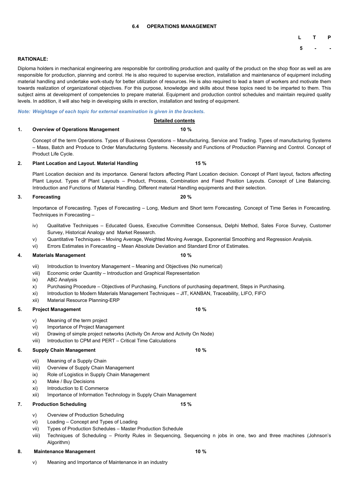#### **6.4 OPERATIONS MANAGEMENT**

## **L T P**

**5 - -**

#### **RATIONALE:**

Diploma holders in mechanical engineering are responsible for controlling production and quality of the product on the shop floor as well as are responsible for production, planning and control. He is also required to supervise erection, installation and maintenance of equipment including material handling and undertake work-study for better utilization of resources. He is also required to lead a team of workers and motivate them towards realization of organizational objectives. For this purpose, knowledge and skills about these topics need to be imparted to them. This subject aims at development of competencies to prepare material. Equipment and production control schedules and maintain required quality levels. In addition, it will also help in developing skills in erection, installation and testing of equipment.

#### *Note: Weightage of each topic for external examination is given in the brackets.*

#### **Detailed contents**

#### **1. Overview of Operations Management 10 %**

Concept of the term Operations. Types of Business Operations – Manufacturing, Service and Trading. Types of manufacturing Systems – Mass, Batch and Produce to Order Manufacturing Systems. Necessity and Functions of Production Planning and Control. Concept of Product Life Cycle.

#### **2. Plant Location and Layout. Material Handling 15 %**

Plant Location decision and its importance. General factors affecting Plant Location decision. Concept of Plant layout, factors affecting Plant Layout. Types of Plant Layouts – Product, Process, Combination and Fixed Position Layouts. Concept of Line Balancing. Introduction and Functions of Material Handling. Different material Handling equipments and their selection.

#### **3. Forecasting 20 %**

Importance of Forecasting. Types of Forecasting – Long, Medium and Short term Forecasting. Concept of Time Series in Forecasting. Techniques in Forecasting –

- iv) Qualitative Techniques Educated Guess, Executive Committee Consensus, Delphi Method, Sales Force Survey, Customer Survey, Historical Analogy and Market Research.
- v) Quantitative Techniques Moving Average, Weighted Moving Average, Exponential Smoothing and Regression Analysis.
- vi) Errors Estimates in Forecasting Mean Absolute Deviation and Standard Error of Estimates.

#### **4. Materials Management 10 %**

- vii) Introduction to Inventory Management Meaning and Objectives (No numerical)
- viii) Economic order Quantity Introduction and Graphical Representation
- ix) ABC Analysis
- x) Purchasing Procedure Objectives of Purchasing, Functions of purchasing department, Steps in Purchasing.
- xi) Introduction to Modern Materials Management Techniques JIT, KANBAN, Traceability, LIFO, FIFO
- xii) Material Resource Planning-ERP

#### **5. Project Management 10 %**

- v) Meaning of the term project
- vi) Importance of Project Management
- vii) Drawing of simple project networks (Activity On Arrow and Activity On Node)
- viii) Introduction to CPM and PERT Critical Time Calculations

#### **6. Supply Chain Management 10 %**

- vii) Meaning of a Supply Chain
- viii) Overview of Supply Chain Management

- 
- ix) Role of Logistics in Supply Chain Management
- x) Make / Buy Decisions
- xi) Introduction to E Commerce
- xii) Importance of Information Technology in Supply Chain Management
- **7. Production Scheduling 15 %**

- v) Overview of Production Scheduling
- vi) Loading Concept and Types of Loading
- vii) Types of Production Schedules Master Production Schedule
- viii) Techniques of Scheduling Priority Rules in Sequencing, Sequencing n jobs in one, two and three machines (Johnson's Algorithm)
- **8. Maintenance Management 10 %**

v) Meaning and Importance of Maintenance in an industry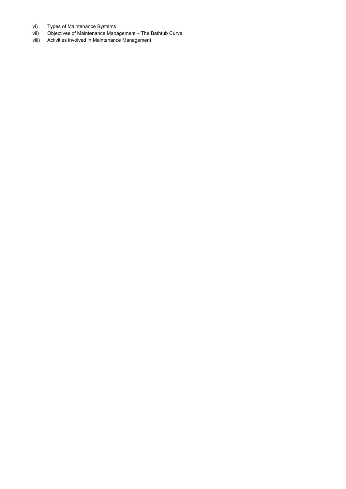- vi) Types of Maintenance Systems
- vii) Objectives of Maintenance Management The Bathtub Curve
- viii) Activities involved in Maintenance Management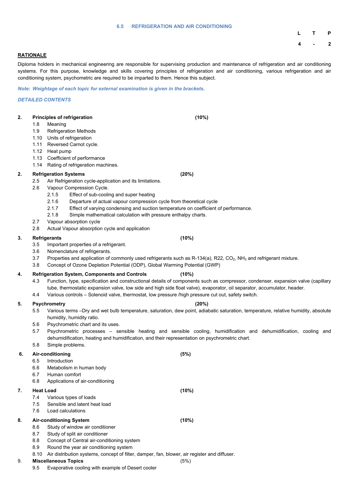#### **6.5 REFRIGERATION AND AIR CONDITIONING**

# **L T P 4 - 2**

#### **RATIONALE**

Diploma holders in mechanical engineering are responsible for supervising production and maintenance of refrigeration and air conditioning systems. For this purpose, knowledge and skills covering principles of refrigeration and air conditioning, various refrigeration and air conditioning system, psychometric are required to be imparted to them. Hence this subject.

*Note: Weightage of each topic for external examination is given in the brackets.*

#### *DETAILED CONTENTS*

## **2. Principles of refrigeration (10%)** 1.8 Meaning 1.9 Refrigeration Methods 1.10 Units of refrigeration 1.11 Reversed Carnot cycle. 1.12 Heat pump 1.13 Coefficient of performance 1.14 Rating of refrigeration machines. **2. Refrigeration Systems (20%)** 2.5 Air Refrigeration cycle-application and its limitations. 2.6 Vapour Compression Cycle. 2.1.5 Effect of sub-cooling and super heating 2.1.6 Departure of actual vapour compression cycle from theoretical cycle 2.1.7 Effect of varying condensing and suction temperature on coefficient of performance. 2.1.8 Simple mathematical calculation with pressure enthalpy charts. 2.7 Vapour absorption cycle 2.8 Actual Vapour absorption cycle and application **3. Refrigerants (10%)** 3.5 Important properties of a refrigerant. 3.6 Nomenclature of refrigerants. 3.7 Properties and application of commonly used refrigerants such as R-134(a), R22, CO<sub>2</sub>, NH<sub>3</sub> and refrigerant mixture. 3.8 Concept of Ozone Depletion Potential (ODP), Global Warming Potential (GWP) **4. Refrigeration System, Components and Controls (10%)** 4.3 Function, type, specification and constructional details of components such as compressor, condenser, expansion valve (capillary tube, thermostatic expansion valve, low side and high side float valve), evaporator, oil separator, accumulator, header. 4.4 Various controls – Solenoid valve, thermostat, low pressure /high pressure cut out, safety switch. **5. Psychrometry (20%)**

- 5.5 Various terms –Dry and wet bulb temperature, saturation, dew point, adiabatic saturation, temperature, relative humidity, absolute humidity, humidity ratio.
- 5.6 Psychrometric chart and its uses.
- 5.7 Psychrometric processes sensible heating and sensible cooling, humidification and dehumidification, cooling and dehumidification, heating and humidification, and their representation on psychrometric chart.
- 5.8 Simple problems.

## **6. Air-conditioning (5%)**

- 6.5 Introduction
- 6.6 Metabolism in human body

- 
- 6.7 Human comfort
- 6.8 Applications of air-conditioning

## **7. Heat Load (10%)**

- 7.4 Various types of loads
- 7.5 Sensible and latent heat load
- 7.6 Load calculations

## **8. Air-conditioning System (10%)**

- 8.6 Study of window air conditioner
- 8.7 Study of split air conditioner
- 8.8 Concept of Central air-conditioning system
- 8.9 Round the year air conditioning system
- 8.10 Air distribution systems, concept of filter, damper, fan, blower, air register and diffuser.

## 9. **Miscellaneous Topics** (5%)

9.5 Evaporative cooling with example of Desert cooler

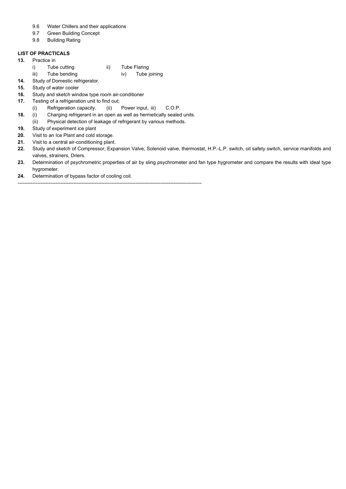- 9.6 Water Chillers and their applications
- 9.7 Green Building Concept
- 9.8 Building Rating

#### **LIST OF PRACTICALS**

- **13.** Practice in
	- i) Tube cutting ii) Tube Flaring
	- iii) Tube bending iv) Tube joining
- **14.** Study of Domestic refrigerator.
- **15.** Study of water cooler
- **16.** Study and sketch window type room air-conditioner
- **17.** Testing of a refrigeration unit to find out;
	- (i) Refrigeration capacity, (ii) Power input, iii) C.O.P.
- **18.** (i) Charging refrigerant in an open as well as hermetically sealed units.

- (ii) Physical detection of leakage of refrigerant by various methods.
- **19.** Study of experiment ice plant
- **20.** Visit to an Ice Plant and cold storage.
- **21.** Visit to a central air-conditioning plant.
- **22.** Study and sketch of Compressor, Expansion Valve, Solenoid valve, thermostat, H.P.-L.P. switch, oil safety switch, service manifolds and valves, strainers, Driers.
- **23.** Determination of psychrometric properties of air by sling psychrometer and fan type hygrometer and compare the results with ideal type hygrometer.
- **24.** Determination of bypass factor of cooling coil.

----------------------------------------------------------------------------------------------------------------